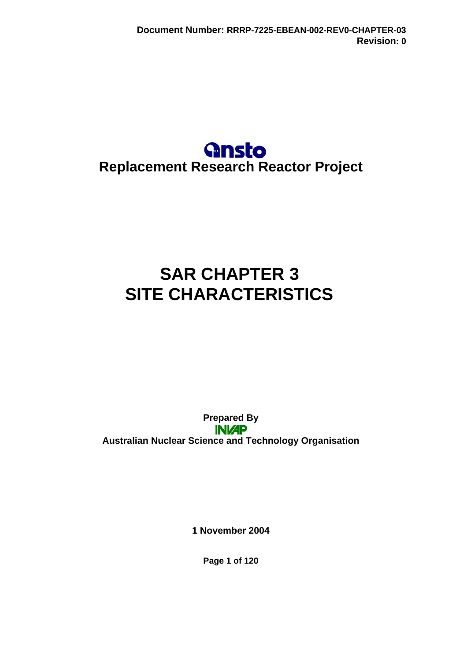## **Gnsto Replacement Research Reactor Project**

# **SAR CHAPTER 3 SITE CHARACTERISTICS**

**Prepared By INI/AP Australian Nuclear Science and Technology Organisation** 

**1 November 2004** 

**Page 1 of 120**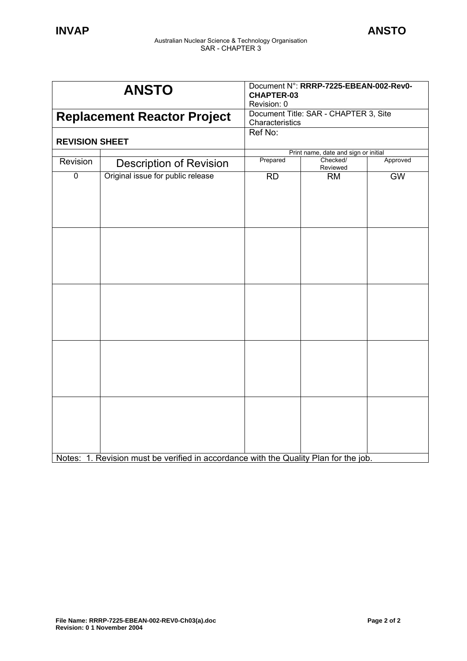| <b>ANSTO</b>                       |                                                                                      | Document N°: RRRP-7225-EBEAN-002-Rev0-<br><b>CHAPTER-03</b><br>Revision: 0 |                                      |          |
|------------------------------------|--------------------------------------------------------------------------------------|----------------------------------------------------------------------------|--------------------------------------|----------|
| <b>Replacement Reactor Project</b> |                                                                                      | Document Title: SAR - CHAPTER 3, Site<br>Characteristics                   |                                      |          |
| <b>REVISION SHEET</b>              |                                                                                      | Ref No:                                                                    |                                      |          |
|                                    |                                                                                      |                                                                            | Print name, date and sign or initial |          |
| Revision                           | <b>Description of Revision</b>                                                       | Prepared                                                                   | Checked/<br>Reviewed                 | Approved |
| $\mathbf 0$                        | Original issue for public release                                                    | <b>RD</b>                                                                  | <b>RM</b>                            | GW       |
|                                    |                                                                                      |                                                                            |                                      |          |
|                                    |                                                                                      |                                                                            |                                      |          |
|                                    |                                                                                      |                                                                            |                                      |          |
|                                    | Notes: 1. Revision must be verified in accordance with the Quality Plan for the job. |                                                                            |                                      |          |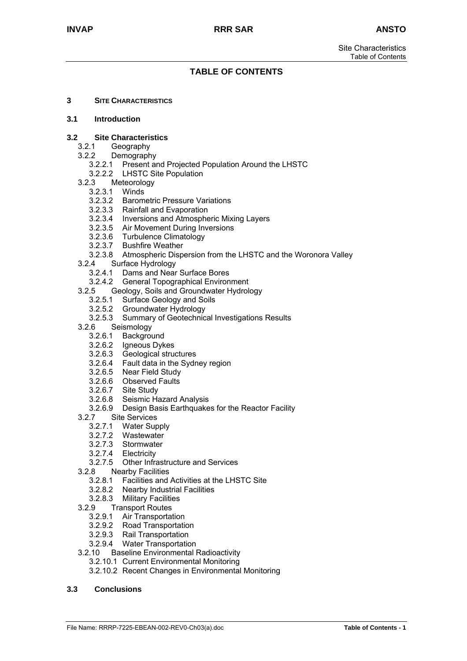## **TABLE OF CONTENTS**

**3 SITE CHARACTERISTICS**

#### **3.1 Introduction**

#### **3.2 Site Characteristics**

- 3.2.1 Geography
- 3.2.2 Demography
	- 3.2.2.1 Present and Projected Population Around the LHSTC
	- 3.2.2.2 LHSTC Site Population
- 3.2.3 Meteorology
	- 3.2.3.1 Winds
	- 3.2.3.2 Barometric Pressure Variations
	- 3.2.3.3 Rainfall and Evaporation
	- 3.2.3.4 Inversions and Atmospheric Mixing Layers
	- 3.2.3.5 Air Movement During Inversions
	- 3.2.3.6 Turbulence Climatology
	- 3.2.3.7 Bushfire Weather
	- 3.2.3.8 Atmospheric Dispersion from the LHSTC and the Woronora Valley
- 3.2.4 Surface Hydrology
	- 3.2.4.1 Dams and Near Surface Bores
	- 3.2.4.2 General Topographical Environment
- 3.2.5 Geology, Soils and Groundwater Hydrology
	- 3.2.5.1 Surface Geology and Soils
	- 3.2.5.2 Groundwater Hydrology
	- 3.2.5.3 Summary of Geotechnical Investigations Results
- 3.2.6 Seismology
	- 3.2.6.1 Background
	- 3.2.6.2 Igneous Dykes
	- 3.2.6.3 Geological structures
	- 3.2.6.4 Fault data in the Sydney region
	- 3.2.6.5 Near Field Study
	- 3.2.6.6 Observed Faults
	- 3.2.6.7 Site Study
	- 3.2.6.8 Seismic Hazard Analysis
	- 3.2.6.9 Design Basis Earthquakes for the Reactor Facility
- 3.2.7 Site Services
	- 3.2.7.1 Water Supply
	- 3.2.7.2 Wastewater
	- 3.2.7.3 Stormwater
	- 3.2.7.4 Electricity
	- 3.2.7.5 Other Infrastructure and Services
- 3.2.8 Nearby Facilities
	- 3.2.8.1 Facilities and Activities at the LHSTC Site
	- 3.2.8.2 Nearby Industrial Facilities
	- 3.2.8.3 Military Facilities
- 3.2.9 Transport Routes
	- 3.2.9.1 Air Transportation
	- 3.2.9.2 Road Transportation
	- 3.2.9.3 Rail Transportation
	- 3.2.9.4 Water Transportation
- 3.2.10 Baseline Environmental Radioactivity
	- 3.2.10.1 Current Environmental Monitoring
	- 3.2.10.2 Recent Changes in Environmental Monitoring

#### **3.3 Conclusions**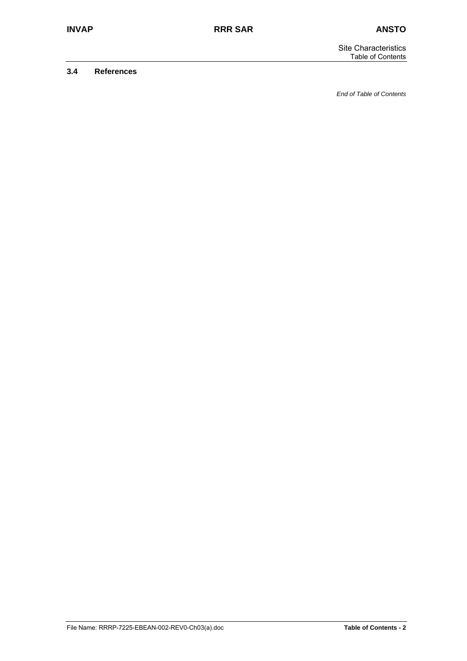#### **3.4 References**

*End of Table of Contents*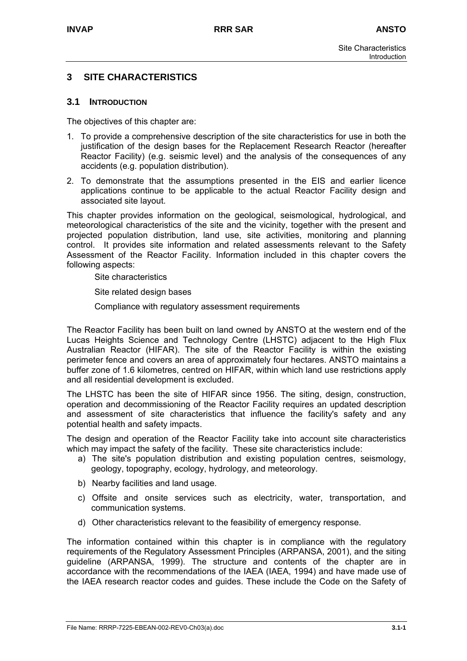## **3 SITE CHARACTERISTICS**

#### **3.1 INTRODUCTION**

The objectives of this chapter are:

- 1. To provide a comprehensive description of the site characteristics for use in both the justification of the design bases for the Replacement Research Reactor (hereafter Reactor Facility) (e.g. seismic level) and the analysis of the consequences of any accidents (e.g. population distribution).
- 2. To demonstrate that the assumptions presented in the EIS and earlier licence applications continue to be applicable to the actual Reactor Facility design and associated site layout.

This chapter provides information on the geological, seismological, hydrological, and meteorological characteristics of the site and the vicinity, together with the present and projected population distribution, land use, site activities, monitoring and planning control. It provides site information and related assessments relevant to the Safety Assessment of the Reactor Facility. Information included in this chapter covers the following aspects:

Site characteristics

Site related design bases

Compliance with regulatory assessment requirements

The Reactor Facility has been built on land owned by ANSTO at the western end of the Lucas Heights Science and Technology Centre (LHSTC) adjacent to the High Flux Australian Reactor (HIFAR). The site of the Reactor Facility is within the existing perimeter fence and covers an area of approximately four hectares. ANSTO maintains a buffer zone of 1.6 kilometres, centred on HIFAR, within which land use restrictions apply and all residential development is excluded.

The LHSTC has been the site of HIFAR since 1956. The siting, design, construction, operation and decommissioning of the Reactor Facility requires an updated description and assessment of site characteristics that influence the facility's safety and any potential health and safety impacts.

The design and operation of the Reactor Facility take into account site characteristics which may impact the safety of the facility. These site characteristics include:

- a) The site's population distribution and existing population centres, seismology, geology, topography, ecology, hydrology, and meteorology.
- b) Nearby facilities and land usage.
- c) Offsite and onsite services such as electricity, water, transportation, and communication systems.
- d) Other characteristics relevant to the feasibility of emergency response.

The information contained within this chapter is in compliance with the regulatory requirements of the Regulatory Assessment Principles (ARPANSA, 2001), and the siting guideline (ARPANSA, 1999). The structure and contents of the chapter are in accordance with the recommendations of the IAEA (IAEA, 1994) and have made use of the IAEA research reactor codes and guides. These include the Code on the Safety of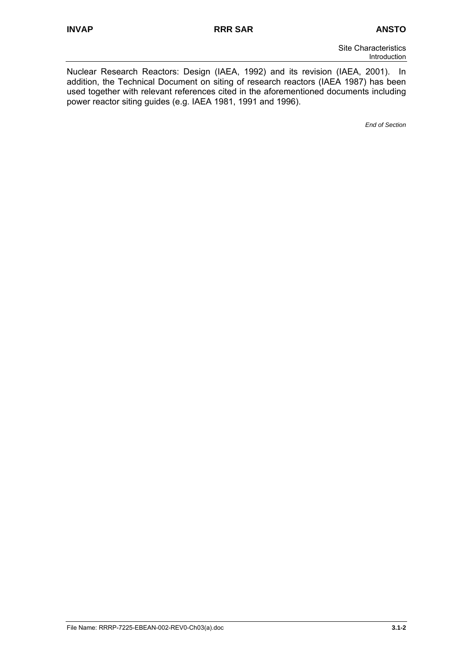Nuclear Research Reactors: Design (IAEA, 1992) and its revision (IAEA, 2001). In addition, the Technical Document on siting of research reactors (IAEA 1987) has been used together with relevant references cited in the aforementioned documents including power reactor siting guides (e.g. IAEA 1981, 1991 and 1996).

*End of Section*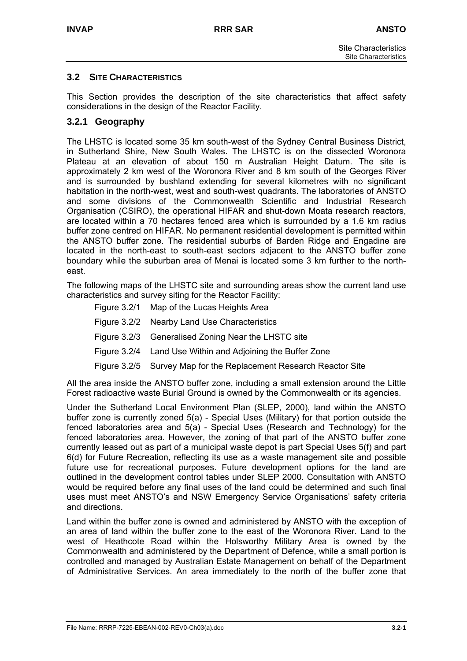## **3.2 SITE CHARACTERISTICS**

This Section provides the description of the site characteristics that affect safety considerations in the design of the Reactor Facility.

## **3.2.1 Geography**

The LHSTC is located some 35 km south-west of the Sydney Central Business District, in Sutherland Shire, New South Wales. The LHSTC is on the dissected Woronora Plateau at an elevation of about 150 m Australian Height Datum. The site is approximately 2 km west of the Woronora River and 8 km south of the Georges River and is surrounded by bushland extending for several kilometres with no significant habitation in the north-west, west and south-west quadrants. The laboratories of ANSTO and some divisions of the Commonwealth Scientific and Industrial Research Organisation (CSIRO), the operational HIFAR and shut-down Moata research reactors, are located within a 70 hectares fenced area which is surrounded by a 1.6 km radius buffer zone centred on HIFAR. No permanent residential development is permitted within the ANSTO buffer zone. The residential suburbs of Barden Ridge and Engadine are located in the north-east to south-east sectors adjacent to the ANSTO buffer zone boundary while the suburban area of Menai is located some 3 km further to the northeast.

The following maps of the LHSTC site and surrounding areas show the current land use characteristics and survey siting for the Reactor Facility:

| Figure 3.2/1 Map of the Lucas Heights Area                        |
|-------------------------------------------------------------------|
| Figure 3.2/2 Nearby Land Use Characteristics                      |
| Figure 3.2/3 Generalised Zoning Near the LHSTC site               |
| Figure 3.2/4 Land Use Within and Adjoining the Buffer Zone        |
| Figure 3.2/5 Survey Map for the Replacement Research Reactor Site |
|                                                                   |

All the area inside the ANSTO buffer zone, including a small extension around the Little Forest radioactive waste Burial Ground is owned by the Commonwealth or its agencies.

Under the Sutherland Local Environment Plan (SLEP, 2000), land within the ANSTO buffer zone is currently zoned 5(a) - Special Uses (Military) for that portion outside the fenced laboratories area and 5(a) - Special Uses (Research and Technology) for the fenced laboratories area. However, the zoning of that part of the ANSTO buffer zone currently leased out as part of a municipal waste depot is part Special Uses 5(f) and part 6(d) for Future Recreation, reflecting its use as a waste management site and possible future use for recreational purposes. Future development options for the land are outlined in the development control tables under SLEP 2000. Consultation with ANSTO would be required before any final uses of the land could be determined and such final uses must meet ANSTO's and NSW Emergency Service Organisations' safety criteria and directions.

Land within the buffer zone is owned and administered by ANSTO with the exception of an area of land within the buffer zone to the east of the Woronora River. Land to the west of Heathcote Road within the Holsworthy Military Area is owned by the Commonwealth and administered by the Department of Defence, while a small portion is controlled and managed by Australian Estate Management on behalf of the Department of Administrative Services. An area immediately to the north of the buffer zone that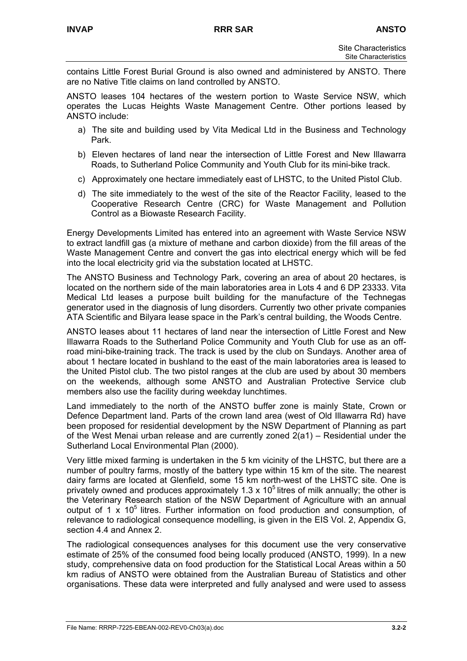contains Little Forest Burial Ground is also owned and administered by ANSTO. There are no Native Title claims on land controlled by ANSTO.

ANSTO leases 104 hectares of the western portion to Waste Service NSW, which operates the Lucas Heights Waste Management Centre. Other portions leased by ANSTO include:

- a) The site and building used by Vita Medical Ltd in the Business and Technology Park.
- b) Eleven hectares of land near the intersection of Little Forest and New Illawarra Roads, to Sutherland Police Community and Youth Club for its mini-bike track.
- c) Approximately one hectare immediately east of LHSTC, to the United Pistol Club.
- d) The site immediately to the west of the site of the Reactor Facility, leased to the Cooperative Research Centre (CRC) for Waste Management and Pollution Control as a Biowaste Research Facility.

Energy Developments Limited has entered into an agreement with Waste Service NSW to extract landfill gas (a mixture of methane and carbon dioxide) from the fill areas of the Waste Management Centre and convert the gas into electrical energy which will be fed into the local electricity grid via the substation located at LHSTC.

The ANSTO Business and Technology Park, covering an area of about 20 hectares, is located on the northern side of the main laboratories area in Lots 4 and 6 DP 23333. Vita Medical Ltd leases a purpose built building for the manufacture of the Technegas generator used in the diagnosis of lung disorders. Currently two other private companies ATA Scientific and Bilyara lease space in the Park's central building, the Woods Centre.

ANSTO leases about 11 hectares of land near the intersection of Little Forest and New Illawarra Roads to the Sutherland Police Community and Youth Club for use as an offroad mini-bike-training track. The track is used by the club on Sundays. Another area of about 1 hectare located in bushland to the east of the main laboratories area is leased to the United Pistol club. The two pistol ranges at the club are used by about 30 members on the weekends, although some ANSTO and Australian Protective Service club members also use the facility during weekday lunchtimes.

Land immediately to the north of the ANSTO buffer zone is mainly State, Crown or Defence Department land. Parts of the crown land area (west of Old Illawarra Rd) have been proposed for residential development by the NSW Department of Planning as part of the West Menai urban release and are currently zoned 2(a1) – Residential under the Sutherland Local Environmental Plan (2000).

Very little mixed farming is undertaken in the 5 km vicinity of the LHSTC, but there are a number of poultry farms, mostly of the battery type within 15 km of the site. The nearest dairy farms are located at Glenfield, some 15 km north-west of the LHSTC site. One is privately owned and produces approximately 1.3 x  $10<sup>5</sup>$  litres of milk annually; the other is the Veterinary Research station of the NSW Department of Agriculture with an annual output of 1 x  $10^5$  litres. Further information on food production and consumption, of relevance to radiological consequence modelling, is given in the EIS Vol. 2, Appendix G, section 4.4 and Annex 2.

The radiological consequences analyses for this document use the very conservative estimate of 25% of the consumed food being locally produced (ANSTO, 1999). In a new study, comprehensive data on food production for the Statistical Local Areas within a 50 km radius of ANSTO were obtained from the Australian Bureau of Statistics and other organisations. These data were interpreted and fully analysed and were used to assess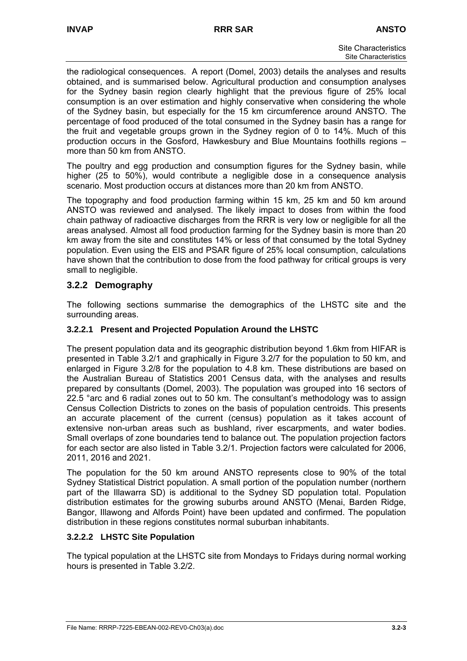the radiological consequences. A report (Domel, 2003) details the analyses and results obtained, and is summarised below. Agricultural production and consumption analyses for the Sydney basin region clearly highlight that the previous figure of 25% local consumption is an over estimation and highly conservative when considering the whole of the Sydney basin, but especially for the 15 km circumference around ANSTO. The percentage of food produced of the total consumed in the Sydney basin has a range for the fruit and vegetable groups grown in the Sydney region of 0 to 14%. Much of this production occurs in the Gosford, Hawkesbury and Blue Mountains foothills regions – more than 50 km from ANSTO.

The poultry and egg production and consumption figures for the Sydney basin, while higher (25 to 50%), would contribute a negligible dose in a consequence analysis scenario. Most production occurs at distances more than 20 km from ANSTO.

The topography and food production farming within 15 km, 25 km and 50 km around ANSTO was reviewed and analysed. The likely impact to doses from within the food chain pathway of radioactive discharges from the RRR is very low or negligible for all the areas analysed. Almost all food production farming for the Sydney basin is more than 20 km away from the site and constitutes 14% or less of that consumed by the total Sydney population. Even using the EIS and PSAR figure of 25% local consumption, calculations have shown that the contribution to dose from the food pathway for critical groups is very small to negligible.

## **3.2.2 Demography**

The following sections summarise the demographics of the LHSTC site and the surrounding areas.

## **3.2.2.1 Present and Projected Population Around the LHSTC**

The present population data and its geographic distribution beyond 1.6km from HIFAR is presented in Table 3.2/1 and graphically in Figure 3.2/7 for the population to 50 km, and enlarged in Figure 3.2/8 for the population to 4.8 km. These distributions are based on the Australian Bureau of Statistics 2001 Census data, with the analyses and results prepared by consultants (Domel, 2003). The population was grouped into 16 sectors of 22.5 °arc and 6 radial zones out to 50 km. The consultant's methodology was to assign Census Collection Districts to zones on the basis of population centroids. This presents an accurate placement of the current (census) population as it takes account of extensive non-urban areas such as bushland, river escarpments, and water bodies. Small overlaps of zone boundaries tend to balance out. The population projection factors for each sector are also listed in Table 3.2/1. Projection factors were calculated for 2006, 2011, 2016 and 2021.

The population for the 50 km around ANSTO represents close to 90% of the total Sydney Statistical District population. A small portion of the population number (northern part of the Illawarra SD) is additional to the Sydney SD population total. Population distribution estimates for the growing suburbs around ANSTO (Menai, Barden Ridge, Bangor, Illawong and Alfords Point) have been updated and confirmed. The population distribution in these regions constitutes normal suburban inhabitants.

## **3.2.2.2 LHSTC Site Population**

The typical population at the LHSTC site from Mondays to Fridays during normal working hours is presented in Table 3.2/2.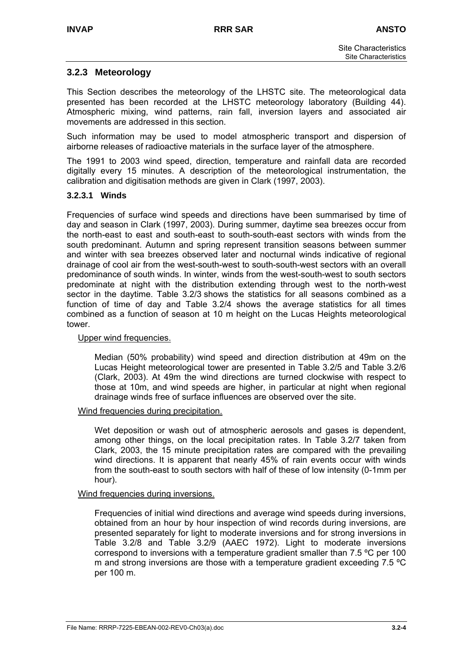## **3.2.3 Meteorology**

This Section describes the meteorology of the LHSTC site. The meteorological data presented has been recorded at the LHSTC meteorology laboratory (Building 44). Atmospheric mixing, wind patterns, rain fall, inversion layers and associated air movements are addressed in this section.

Such information may be used to model atmospheric transport and dispersion of airborne releases of radioactive materials in the surface layer of the atmosphere.

The 1991 to 2003 wind speed, direction, temperature and rainfall data are recorded digitally every 15 minutes. A description of the meteorological instrumentation, the calibration and digitisation methods are given in Clark (1997, 2003).

#### **3.2.3.1 Winds**

Frequencies of surface wind speeds and directions have been summarised by time of day and season in Clark (1997, 2003). During summer, daytime sea breezes occur from the north-east to east and south-east to south-south-east sectors with winds from the south predominant. Autumn and spring represent transition seasons between summer and winter with sea breezes observed later and nocturnal winds indicative of regional drainage of cool air from the west-south-west to south-south-west sectors with an overall predominance of south winds. In winter, winds from the west-south-west to south sectors predominate at night with the distribution extending through west to the north-west sector in the daytime. Table 3.2/3 shows the statistics for all seasons combined as a function of time of day and Table 3.2/4 shows the average statistics for all times combined as a function of season at 10 m height on the Lucas Heights meteorological tower.

#### Upper wind frequencies.

Median (50% probability) wind speed and direction distribution at 49m on the Lucas Height meteorological tower are presented in Table 3.2/5 and Table 3.2/6 (Clark, 2003). At 49m the wind directions are turned clockwise with respect to those at 10m, and wind speeds are higher, in particular at night when regional drainage winds free of surface influences are observed over the site.

#### Wind frequencies during precipitation.

Wet deposition or wash out of atmospheric aerosols and gases is dependent, among other things, on the local precipitation rates. In Table 3.2/7 taken from Clark, 2003, the 15 minute precipitation rates are compared with the prevailing wind directions. It is apparent that nearly 45% of rain events occur with winds from the south-east to south sectors with half of these of low intensity (0-1mm per hour).

#### Wind frequencies during inversions.

Frequencies of initial wind directions and average wind speeds during inversions, obtained from an hour by hour inspection of wind records during inversions, are presented separately for light to moderate inversions and for strong inversions in Table 3.2/8 and Table 3.2/9 (AAEC 1972). Light to moderate inversions correspond to inversions with a temperature gradient smaller than 7.5 ºC per 100 m and strong inversions are those with a temperature gradient exceeding 7.5 ºC per 100 m.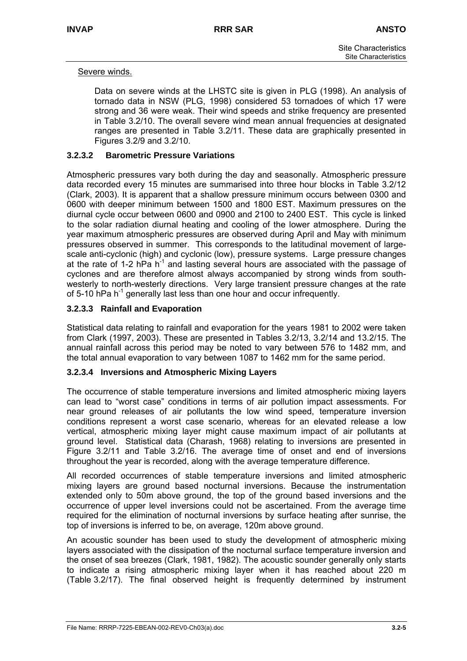#### Severe winds.

Data on severe winds at the LHSTC site is given in PLG (1998). An analysis of tornado data in NSW (PLG, 1998) considered 53 tornadoes of which 17 were strong and 36 were weak. Their wind speeds and strike frequency are presented in Table 3.2/10. The overall severe wind mean annual frequencies at designated ranges are presented in Table 3.2/11. These data are graphically presented in Figures 3.2/9 and 3.2/10.

#### **3.2.3.2 Barometric Pressure Variations**

Atmospheric pressures vary both during the day and seasonally. Atmospheric pressure data recorded every 15 minutes are summarised into three hour blocks in Table 3.2/12 (Clark, 2003). It is apparent that a shallow pressure minimum occurs between 0300 and 0600 with deeper minimum between 1500 and 1800 EST. Maximum pressures on the diurnal cycle occur between 0600 and 0900 and 2100 to 2400 EST. This cycle is linked to the solar radiation diurnal heating and cooling of the lower atmosphere. During the year maximum atmospheric pressures are observed during April and May with minimum pressures observed in summer. This corresponds to the latitudinal movement of largescale anti-cyclonic (high) and cyclonic (low), pressure systems. Large pressure changes at the rate of 1-2 hPa  $h^{-1}$  and lasting several hours are associated with the passage of cyclones and are therefore almost always accompanied by strong winds from southwesterly to north-westerly directions. Very large transient pressure changes at the rate of 5-10 hPa h<sup>-1</sup> generally last less than one hour and occur infrequently.

## **3.2.3.3 Rainfall and Evaporation**

Statistical data relating to rainfall and evaporation for the years 1981 to 2002 were taken from Clark (1997, 2003). These are presented in Tables 3.2/13, 3.2/14 and 13.2/15. The annual rainfall across this period may be noted to vary between 576 to 1482 mm, and the total annual evaporation to vary between 1087 to 1462 mm for the same period.

#### **3.2.3.4 Inversions and Atmospheric Mixing Layers**

The occurrence of stable temperature inversions and limited atmospheric mixing layers can lead to "worst case" conditions in terms of air pollution impact assessments. For near ground releases of air pollutants the low wind speed, temperature inversion conditions represent a worst case scenario, whereas for an elevated release a low vertical, atmospheric mixing layer might cause maximum impact of air pollutants at ground level. Statistical data (Charash, 1968) relating to inversions are presented in Figure 3.2/11 and Table 3.2/16. The average time of onset and end of inversions throughout the year is recorded, along with the average temperature difference.

All recorded occurrences of stable temperature inversions and limited atmospheric mixing layers are ground based nocturnal inversions. Because the instrumentation extended only to 50m above ground, the top of the ground based inversions and the occurrence of upper level inversions could not be ascertained. From the average time required for the elimination of nocturnal inversions by surface heating after sunrise, the top of inversions is inferred to be, on average, 120m above ground.

An acoustic sounder has been used to study the development of atmospheric mixing layers associated with the dissipation of the nocturnal surface temperature inversion and the onset of sea breezes (Clark, 1981, 1982). The acoustic sounder generally only starts to indicate a rising atmospheric mixing layer when it has reached about 220 m (Table 3.2/17). The final observed height is frequently determined by instrument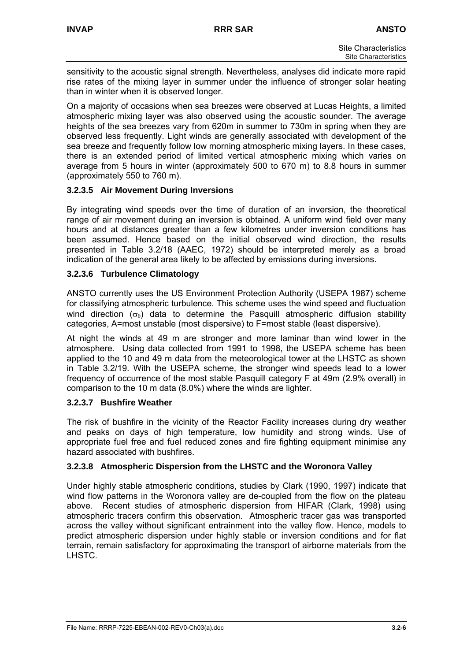sensitivity to the acoustic signal strength. Nevertheless, analyses did indicate more rapid rise rates of the mixing layer in summer under the influence of stronger solar heating than in winter when it is observed longer.

On a majority of occasions when sea breezes were observed at Lucas Heights, a limited atmospheric mixing layer was also observed using the acoustic sounder. The average heights of the sea breezes vary from 620m in summer to 730m in spring when they are observed less frequently. Light winds are generally associated with development of the sea breeze and frequently follow low morning atmospheric mixing layers. In these cases, there is an extended period of limited vertical atmospheric mixing which varies on average from 5 hours in winter (approximately 500 to 670 m) to 8.8 hours in summer (approximately 550 to 760 m).

## **3.2.3.5 Air Movement During Inversions**

By integrating wind speeds over the time of duration of an inversion, the theoretical range of air movement during an inversion is obtained. A uniform wind field over many hours and at distances greater than a few kilometres under inversion conditions has been assumed. Hence based on the initial observed wind direction, the results presented in Table 3.2/18 (AAEC, 1972) should be interpreted merely as a broad indication of the general area likely to be affected by emissions during inversions.

## **3.2.3.6 Turbulence Climatology**

ANSTO currently uses the US Environment Protection Authority (USEPA 1987) scheme for classifying atmospheric turbulence. This scheme uses the wind speed and fluctuation wind direction ( $\sigma_{\theta}$ ) data to determine the Pasquill atmospheric diffusion stability categories, A=most unstable (most dispersive) to F=most stable (least dispersive).

At night the winds at 49 m are stronger and more laminar than wind lower in the atmosphere. Using data collected from 1991 to 1998, the USEPA scheme has been applied to the 10 and 49 m data from the meteorological tower at the LHSTC as shown in Table 3.2/19. With the USEPA scheme, the stronger wind speeds lead to a lower frequency of occurrence of the most stable Pasquill category F at 49m (2.9% overall) in comparison to the 10 m data (8.0%) where the winds are lighter.

## **3.2.3.7 Bushfire Weather**

The risk of bushfire in the vicinity of the Reactor Facility increases during dry weather and peaks on days of high temperature, low humidity and strong winds. Use of appropriate fuel free and fuel reduced zones and fire fighting equipment minimise any hazard associated with bushfires.

## **3.2.3.8 Atmospheric Dispersion from the LHSTC and the Woronora Valley**

Under highly stable atmospheric conditions, studies by Clark (1990, 1997) indicate that wind flow patterns in the Woronora valley are de-coupled from the flow on the plateau above. Recent studies of atmospheric dispersion from HIFAR (Clark, 1998) using atmospheric tracers confirm this observation. Atmospheric tracer gas was transported across the valley without significant entrainment into the valley flow. Hence, models to predict atmospheric dispersion under highly stable or inversion conditions and for flat terrain, remain satisfactory for approximating the transport of airborne materials from the LHSTC.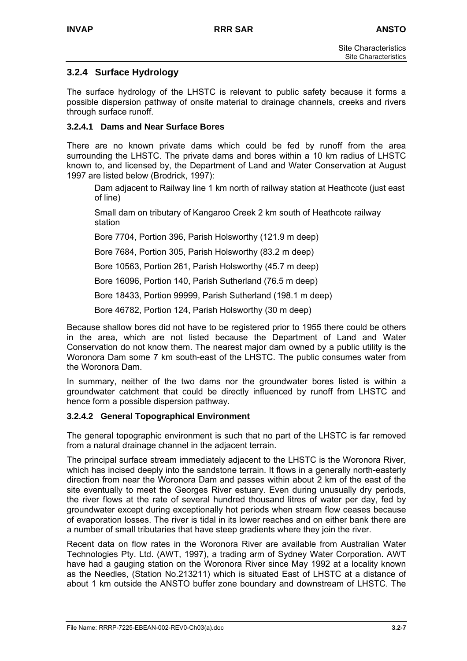## **3.2.4 Surface Hydrology**

The surface hydrology of the LHSTC is relevant to public safety because it forms a possible dispersion pathway of onsite material to drainage channels, creeks and rivers through surface runoff.

#### **3.2.4.1 Dams and Near Surface Bores**

There are no known private dams which could be fed by runoff from the area surrounding the LHSTC. The private dams and bores within a 10 km radius of LHSTC known to, and licensed by, the Department of Land and Water Conservation at August 1997 are listed below (Brodrick, 1997):

Dam adjacent to Railway line 1 km north of railway station at Heathcote (just east of line)

Small dam on tributary of Kangaroo Creek 2 km south of Heathcote railway station

Bore 7704, Portion 396, Parish Holsworthy (121.9 m deep)

Bore 7684, Portion 305, Parish Holsworthy (83.2 m deep)

Bore 10563, Portion 261, Parish Holsworthy (45.7 m deep)

Bore 16096, Portion 140, Parish Sutherland (76.5 m deep)

Bore 18433, Portion 99999, Parish Sutherland (198.1 m deep)

Bore 46782, Portion 124, Parish Holsworthy (30 m deep)

Because shallow bores did not have to be registered prior to 1955 there could be others in the area, which are not listed because the Department of Land and Water Conservation do not know them. The nearest major dam owned by a public utility is the Woronora Dam some 7 km south-east of the LHSTC. The public consumes water from the Woronora Dam.

In summary, neither of the two dams nor the groundwater bores listed is within a groundwater catchment that could be directly influenced by runoff from LHSTC and hence form a possible dispersion pathway.

## **3.2.4.2 General Topographical Environment**

The general topographic environment is such that no part of the LHSTC is far removed from a natural drainage channel in the adjacent terrain.

The principal surface stream immediately adjacent to the LHSTC is the Woronora River, which has incised deeply into the sandstone terrain. It flows in a generally north-easterly direction from near the Woronora Dam and passes within about 2 km of the east of the site eventually to meet the Georges River estuary. Even during unusually dry periods, the river flows at the rate of several hundred thousand litres of water per day, fed by groundwater except during exceptionally hot periods when stream flow ceases because of evaporation losses. The river is tidal in its lower reaches and on either bank there are a number of small tributaries that have steep gradients where they join the river.

Recent data on flow rates in the Woronora River are available from Australian Water Technologies Pty. Ltd. (AWT, 1997), a trading arm of Sydney Water Corporation. AWT have had a gauging station on the Woronora River since May 1992 at a locality known as the Needles, (Station No.213211) which is situated East of LHSTC at a distance of about 1 km outside the ANSTO buffer zone boundary and downstream of LHSTC. The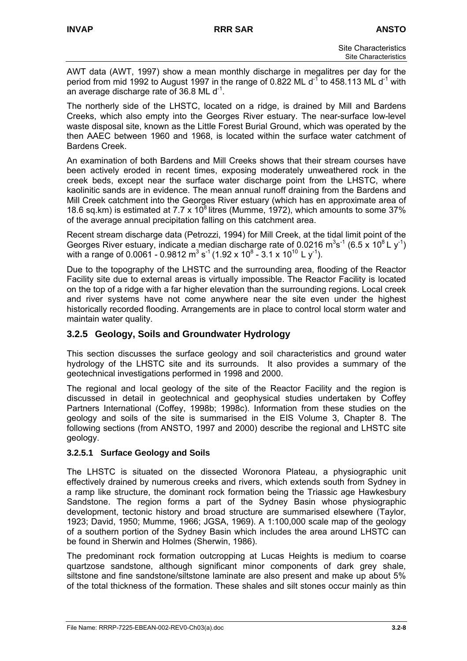AWT data (AWT, 1997) show a mean monthly discharge in megalitres per day for the period from mid 1992 to August 1997 in the range of 0.822 ML  $d<sup>-1</sup>$  to 458.113 ML  $d<sup>-1</sup>$  with an average discharge rate of 36.8 ML  $d^{-1}$ .

The northerly side of the LHSTC, located on a ridge, is drained by Mill and Bardens Creeks, which also empty into the Georges River estuary. The near-surface low-level waste disposal site, known as the Little Forest Burial Ground, which was operated by the then AAEC between 1960 and 1968, is located within the surface water catchment of Bardens Creek.

An examination of both Bardens and Mill Creeks shows that their stream courses have been actively eroded in recent times, exposing moderately unweathered rock in the creek beds, except near the surface water discharge point from the LHSTC, where kaolinitic sands are in evidence. The mean annual runoff draining from the Bardens and Mill Creek catchment into the Georges River estuary (which has en approximate area of 18.6 sq.km) is estimated at 7.7 x  $10^8$  litres (Mumme, 1972), which amounts to some 37% of the average annual precipitation falling on this catchment area.

Recent stream discharge data (Petrozzi, 1994) for Mill Creek, at the tidal limit point of the Georges River estuary, indicate a median discharge rate of 0.0216  $m^3s^{-1}$  (6.5 x 10<sup>8</sup> L y<sup>-1</sup>) with a range of 0.0061 - 0.9812 m<sup>3</sup> s<sup>-1</sup> (1.92 x 10<sup>8</sup> - 3.1 x 10<sup>10</sup> L y<sup>-1</sup>).

Due to the topography of the LHSTC and the surrounding area, flooding of the Reactor Facility site due to external areas is virtually impossible. The Reactor Facility is located on the top of a ridge with a far higher elevation than the surrounding regions. Local creek and river systems have not come anywhere near the site even under the highest historically recorded flooding. Arrangements are in place to control local storm water and maintain water quality.

## **3.2.5 Geology, Soils and Groundwater Hydrology**

This section discusses the surface geology and soil characteristics and ground water hydrology of the LHSTC site and its surrounds. It also provides a summary of the geotechnical investigations performed in 1998 and 2000.

The regional and local geology of the site of the Reactor Facility and the region is discussed in detail in geotechnical and geophysical studies undertaken by Coffey Partners International (Coffey, 1998b; 1998c). Information from these studies on the geology and soils of the site is summarised in the EIS Volume 3, Chapter 8. The following sections (from ANSTO, 1997 and 2000) describe the regional and LHSTC site geology.

## **3.2.5.1 Surface Geology and Soils**

The LHSTC is situated on the dissected Woronora Plateau, a physiographic unit effectively drained by numerous creeks and rivers, which extends south from Sydney in a ramp like structure, the dominant rock formation being the Triassic age Hawkesbury Sandstone. The region forms a part of the Sydney Basin whose physiographic development, tectonic history and broad structure are summarised elsewhere (Taylor, 1923; David, 1950; Mumme, 1966; JGSA, 1969). A 1:100,000 scale map of the geology of a southern portion of the Sydney Basin which includes the area around LHSTC can be found in Sherwin and Holmes (Sherwin, 1986).

The predominant rock formation outcropping at Lucas Heights is medium to coarse quartzose sandstone, although significant minor components of dark grey shale, siltstone and fine sandstone/siltstone laminate are also present and make up about 5% of the total thickness of the formation. These shales and silt stones occur mainly as thin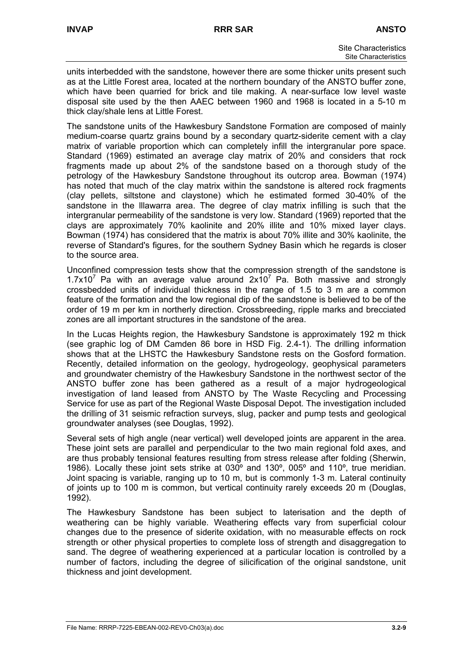units interbedded with the sandstone, however there are some thicker units present such as at the Little Forest area, located at the northern boundary of the ANSTO buffer zone, which have been quarried for brick and tile making. A near-surface low level waste disposal site used by the then AAEC between 1960 and 1968 is located in a 5-10 m thick clay/shale lens at Little Forest.

The sandstone units of the Hawkesbury Sandstone Formation are composed of mainly medium-coarse quartz grains bound by a secondary quartz-siderite cement with a clay matrix of variable proportion which can completely infill the intergranular pore space. Standard (1969) estimated an average clay matrix of 20% and considers that rock fragments made up about 2% of the sandstone based on a thorough study of the petrology of the Hawkesbury Sandstone throughout its outcrop area. Bowman (1974) has noted that much of the clay matrix within the sandstone is altered rock fragments (clay pellets, siltstone and claystone) which he estimated formed 30-40% of the sandstone in the lllawarra area. The degree of clay matrix infilling is such that the intergranular permeability of the sandstone is very low. Standard (1969) reported that the clays are approximately 70% kaolinite and 20% illite and 10% mixed layer clays. Bowman (1974) has considered that the matrix is about 70% illite and 30% kaolinite, the reverse of Standard's figures, for the southern Sydney Basin which he regards is closer to the source area.

Unconfined compression tests show that the compression strength of the sandstone is 1.7x10<sup>7</sup> Pa with an average value around  $2x10^7$  Pa. Both massive and strongly crossbedded units of individual thickness in the range of 1.5 to 3 m are a common feature of the formation and the low regional dip of the sandstone is believed to be of the order of 19 m per km in northerly direction. Crossbreeding, ripple marks and brecciated zones are all important structures in the sandstone of the area.

In the Lucas Heights region, the Hawkesbury Sandstone is approximately 192 m thick (see graphic log of DM Camden 86 bore in HSD Fig. 2.4-1). The drilling information shows that at the LHSTC the Hawkesbury Sandstone rests on the Gosford formation. Recently, detailed information on the geology, hydrogeology, geophysical parameters and groundwater chemistry of the Hawkesbury Sandstone in the northwest sector of the ANSTO buffer zone has been gathered as a result of a major hydrogeological investigation of land leased from ANSTO by The Waste Recycling and Processing Service for use as part of the Regional Waste Disposal Depot. The investigation included the drilling of 31 seismic refraction surveys, slug, packer and pump tests and geological groundwater analyses (see Douglas, 1992).

Several sets of high angle (near vertical) well developed joints are apparent in the area. These joint sets are parallel and perpendicular to the two main regional fold axes, and are thus probably tensional features resulting from stress release after folding (Sherwin, 1986). Locally these joint sets strike at 030º and 130º, 005º and 110º, true meridian. Joint spacing is variable, ranging up to 10 m, but is commonly 1-3 m. Lateral continuity of joints up to 100 m is common, but vertical continuity rarely exceeds 20 m (Douglas, 1992).

The Hawkesbury Sandstone has been subject to laterisation and the depth of weathering can be highly variable. Weathering effects vary from superficial colour changes due to the presence of siderite oxidation, with no measurable effects on rock strength or other physical properties to complete loss of strength and disaggregation to sand. The degree of weathering experienced at a particular location is controlled by a number of factors, including the degree of silicification of the original sandstone, unit thickness and joint development.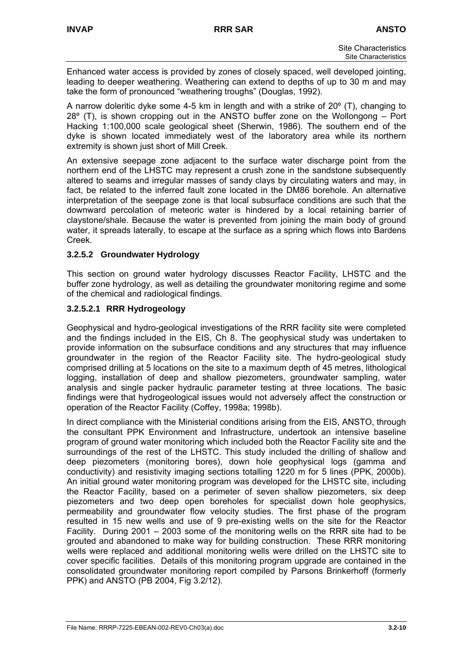Enhanced water access is provided by zones of closely spaced, well developed jointing, leading to deeper weathering. Weathering can extend to depths of up to 30 m and may take the form of pronounced "weathering troughs" (Douglas, 1992).

A narrow doleritic dyke some 4-5 km in length and with a strike of 20º (T), changing to 28º (T), is shown cropping out in the ANSTO buffer zone on the Wollongong – Port Hacking 1:100,000 scale geological sheet (Sherwin, 1986). The southern end of the dyke is shown located immediately west of the laboratory area while its northern extremity is shown just short of Mill Creek.

An extensive seepage zone adjacent to the surface water discharge point from the northern end of the LHSTC may represent a crush zone in the sandstone subsequently altered to seams and irregular masses of sandy clays by circulating waters and may, in fact, be related to the inferred fault zone located in the DM86 borehole. An alternative interpretation of the seepage zone is that local subsurface conditions are such that the downward percolation of meteoric water is hindered by a local retaining barrier of claystone/shale. Because the water is prevented from joining the main body of ground water, it spreads laterally, to escape at the surface as a spring which flows into Bardens Creek.

## **3.2.5.2 Groundwater Hydrology**

This section on ground water hydrology discusses Reactor Facility, LHSTC and the buffer zone hydrology, as well as detailing the groundwater monitoring regime and some of the chemical and radiological findings.

## **3.2.5.2.1 RRR Hydrogeology**

Geophysical and hydro-geological investigations of the RRR facility site were completed and the findings included in the EIS, Ch 8. The geophysical study was undertaken to provide information on the subsurface conditions and any structures that may influence groundwater in the region of the Reactor Facility site. The hydro-geological study comprised drilling at 5 locations on the site to a maximum depth of 45 metres, lithological logging, installation of deep and shallow piezometers, groundwater sampling, water analysis and single packer hydraulic parameter testing at three locations. The basic findings were that hydrogeological issues would not adversely affect the construction or operation of the Reactor Facility (Coffey, 1998a; 1998b).

In direct compliance with the Ministerial conditions arising from the EIS, ANSTO, through the consultant PPK Environment and Infrastructure, undertook an intensive baseline program of ground water monitoring which included both the Reactor Facility site and the surroundings of the rest of the LHSTC. This study included the drilling of shallow and deep piezometers (monitoring bores), down hole geophysical logs (gamma and conductivity) and resistivity imaging sections totalling 1220 m for 5 lines (PPK, 2000b). An initial ground water monitoring program was developed for the LHSTC site, including the Reactor Facility, based on a perimeter of seven shallow piezometers, six deep piezometers and two deep open boreholes for specialist down hole geophysics, permeability and groundwater flow velocity studies. The first phase of the program resulted in 15 new wells and use of 9 pre-existing wells on the site for the Reactor Facility. During 2001 – 2003 some of the monitoring wells on the RRR site had to be grouted and abandoned to make way for building construction. These RRR monitoring wells were replaced and additional monitoring wells were drilled on the LHSTC site to cover specific facilities. Details of this monitoring program upgrade are contained in the consolidated groundwater monitoring report compiled by Parsons Brinkerhoff (formerly PPK) and ANSTO (PB 2004, Fig 3.2/12).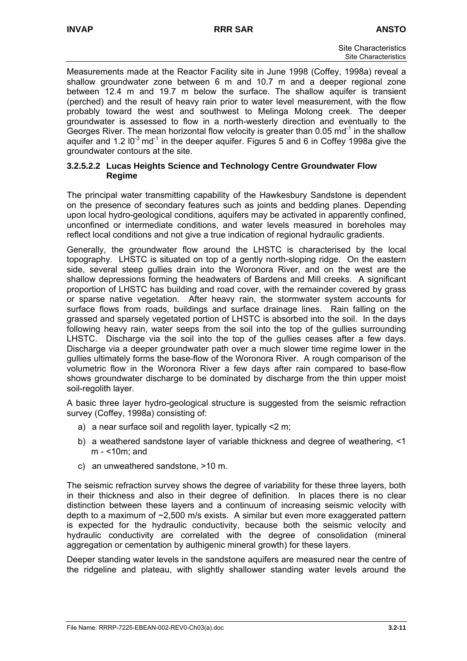Measurements made at the Reactor Facility site in June 1998 (Coffey, 1998a) reveal a shallow groundwater zone between 6 m and 10.7 m and a deeper regional zone between 12.4 m and 19.7 m below the surface. The shallow aquifer is transient (perched) and the result of heavy rain prior to water level measurement, with the flow probably toward the west and southwest to Melinga Molong creek. The deeper groundwater is assessed to flow in a north-westerly direction and eventually to the Georges River. The mean horizontal flow velocity is greater than 0.05 md<sup>-1</sup> in the shallow aquifer and 1.2  $10^{-3}$  md<sup>-1</sup> in the deeper aquifer. Figures 5 and 6 in Coffey 1998a give the groundwater contours at the site.

#### **3.2.5.2.2 Lucas Heights Science and Technology Centre Groundwater Flow Regime**

The principal water transmitting capability of the Hawkesbury Sandstone is dependent on the presence of secondary features such as joints and bedding planes. Depending upon local hydro-geological conditions, aquifers may be activated in apparently confined, unconfined or intermediate conditions, and water levels measured in boreholes may reflect local conditions and not give a true indication of regional hydraulic gradients.

Generally, the groundwater flow around the LHSTC is characterised by the local topography. LHSTC is situated on top of a gently north-sloping ridge. On the eastern side, several steep gullies drain into the Woronora River, and on the west are the shallow depressions forming the headwaters of Bardens and Mill creeks. A significant proportion of LHSTC has building and road cover, with the remainder covered by grass or sparse native vegetation. After heavy rain, the stormwater system accounts for surface flows from roads, buildings and surface drainage lines. Rain falling on the grassed and sparsely vegetated portion of LHSTC is absorbed into the soil. In the days following heavy rain, water seeps from the soil into the top of the gullies surrounding LHSTC. Discharge via the soil into the top of the gullies ceases after a few days. Discharge via a deeper groundwater path over a much slower time regime lower in the gullies ultimately forms the base-flow of the Woronora River. A rough comparison of the volumetric flow in the Woronora River a few days after rain compared to base-flow shows groundwater discharge to be dominated by discharge from the thin upper moist soil-regolith layer.

A basic three layer hydro-geological structure is suggested from the seismic refraction survey (Coffey, 1998a) consisting of:

- a) a near surface soil and regolith layer, typically <2 m;
- b) a weathered sandstone layer of variable thickness and degree of weathering, <1 m - <10m; and
- c) an unweathered sandstone, >10 m.

The seismic refraction survey shows the degree of variability for these three layers, both in their thickness and also in their degree of definition. In places there is no clear distinction between these layers and a continuum of increasing seismic velocity with depth to a maximum of ~2,500 m/s exists. A similar but even more exaggerated pattern is expected for the hydraulic conductivity, because both the seismic velocity and hydraulic conductivity are correlated with the degree of consolidation (mineral aggregation or cementation by authigenic mineral growth) for these layers.

Deeper standing water levels in the sandstone aquifers are measured near the centre of the ridgeline and plateau, with slightly shallower standing water levels around the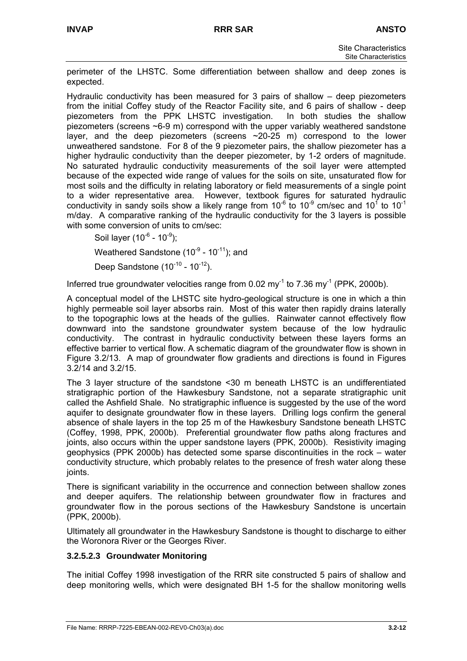perimeter of the LHSTC. Some differentiation between shallow and deep zones is expected.

Hydraulic conductivity has been measured for 3 pairs of shallow – deep piezometers from the initial Coffey study of the Reactor Facility site, and 6 pairs of shallow - deep piezometers from the PPK LHSTC investigation. In both studies the shallow piezometers (screens ~6-9 m) correspond with the upper variably weathered sandstone layer, and the deep piezometers (screens  $\sim$  20-25 m) correspond to the lower unweathered sandstone. For 8 of the 9 piezometer pairs, the shallow piezometer has a higher hydraulic conductivity than the deeper piezometer, by 1-2 orders of magnitude. No saturated hydraulic conductivity measurements of the soil layer were attempted because of the expected wide range of values for the soils on site, unsaturated flow for most soils and the difficulty in relating laboratory or field measurements of a single point to a wider representative area. However, textbook figures for saturated hydraulic conductivity in sandy soils show a likely range from 10<sup>-6</sup> to 10<sup>-9</sup> cm/sec and 10<sup>1</sup> to 10<sup>-1</sup> m/day. A comparative ranking of the hydraulic conductivity for the 3 layers is possible with some conversion of units to cm/sec:

Soil layer  $(10^{-6} - 10^{-9})$ ; Weathered Sandstone ( $10^{-9}$  -  $10^{-11}$ ); and

Deep Sandstone  $(10^{-10} - 10^{-12})$ .

Inferred true groundwater velocities range from 0.02 my<sup>-1</sup> to 7.36 my<sup>-1</sup> (PPK, 2000b).

A conceptual model of the LHSTC site hydro-geological structure is one in which a thin highly permeable soil layer absorbs rain. Most of this water then rapidly drains laterally to the topographic lows at the heads of the gullies. Rainwater cannot effectively flow downward into the sandstone groundwater system because of the low hydraulic conductivity. The contrast in hydraulic conductivity between these layers forms an effective barrier to vertical flow. A schematic diagram of the groundwater flow is shown in Figure 3.2/13. A map of groundwater flow gradients and directions is found in Figures 3.2/14 and 3.2/15.

The 3 layer structure of the sandstone <30 m beneath LHSTC is an undifferentiated stratigraphic portion of the Hawkesbury Sandstone, not a separate stratigraphic unit called the Ashfield Shale. No stratigraphic influence is suggested by the use of the word aquifer to designate groundwater flow in these layers. Drilling logs confirm the general absence of shale layers in the top 25 m of the Hawkesbury Sandstone beneath LHSTC (Coffey, 1998, PPK, 2000b). Preferential groundwater flow paths along fractures and joints, also occurs within the upper sandstone layers (PPK, 2000b). Resistivity imaging geophysics (PPK 2000b) has detected some sparse discontinuities in the rock – water conductivity structure, which probably relates to the presence of fresh water along these joints.

There is significant variability in the occurrence and connection between shallow zones and deeper aquifers. The relationship between groundwater flow in fractures and groundwater flow in the porous sections of the Hawkesbury Sandstone is uncertain (PPK, 2000b).

Ultimately all groundwater in the Hawkesbury Sandstone is thought to discharge to either the Woronora River or the Georges River.

## **3.2.5.2.3 Groundwater Monitoring**

The initial Coffey 1998 investigation of the RRR site constructed 5 pairs of shallow and deep monitoring wells, which were designated BH 1-5 for the shallow monitoring wells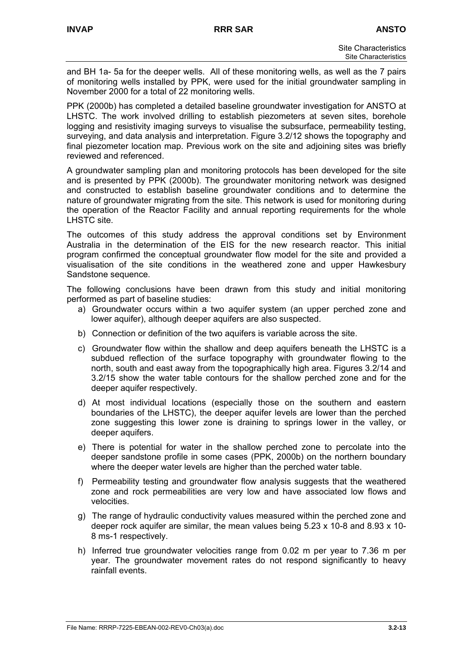and BH 1a- 5a for the deeper wells. All of these monitoring wells, as well as the 7 pairs of monitoring wells installed by PPK, were used for the initial groundwater sampling in November 2000 for a total of 22 monitoring wells.

PPK (2000b) has completed a detailed baseline groundwater investigation for ANSTO at LHSTC. The work involved drilling to establish piezometers at seven sites, borehole logging and resistivity imaging surveys to visualise the subsurface, permeability testing, surveying, and data analysis and interpretation. Figure 3.2/12 shows the topography and final piezometer location map. Previous work on the site and adjoining sites was briefly reviewed and referenced.

A groundwater sampling plan and monitoring protocols has been developed for the site and is presented by PPK (2000b). The groundwater monitoring network was designed and constructed to establish baseline groundwater conditions and to determine the nature of groundwater migrating from the site. This network is used for monitoring during the operation of the Reactor Facility and annual reporting requirements for the whole LHSTC site.

The outcomes of this study address the approval conditions set by Environment Australia in the determination of the EIS for the new research reactor. This initial program confirmed the conceptual groundwater flow model for the site and provided a visualisation of the site conditions in the weathered zone and upper Hawkesbury Sandstone sequence.

The following conclusions have been drawn from this study and initial monitoring performed as part of baseline studies:

- a) Groundwater occurs within a two aquifer system (an upper perched zone and lower aquifer), although deeper aquifers are also suspected.
- b) Connection or definition of the two aquifers is variable across the site.
- c) Groundwater flow within the shallow and deep aquifers beneath the LHSTC is a subdued reflection of the surface topography with groundwater flowing to the north, south and east away from the topographically high area. Figures 3.2/14 and 3.2/15 show the water table contours for the shallow perched zone and for the deeper aquifer respectively.
- d) At most individual locations (especially those on the southern and eastern boundaries of the LHSTC), the deeper aquifer levels are lower than the perched zone suggesting this lower zone is draining to springs lower in the valley, or deeper aquifers.
- e) There is potential for water in the shallow perched zone to percolate into the deeper sandstone profile in some cases (PPK, 2000b) on the northern boundary where the deeper water levels are higher than the perched water table.
- f) Permeability testing and groundwater flow analysis suggests that the weathered zone and rock permeabilities are very low and have associated low flows and velocities.
- g) The range of hydraulic conductivity values measured within the perched zone and deeper rock aquifer are similar, the mean values being 5.23 x 10-8 and 8.93 x 10- 8 ms-1 respectively.
- h) Inferred true groundwater velocities range from 0.02 m per year to 7.36 m per year. The groundwater movement rates do not respond significantly to heavy rainfall events.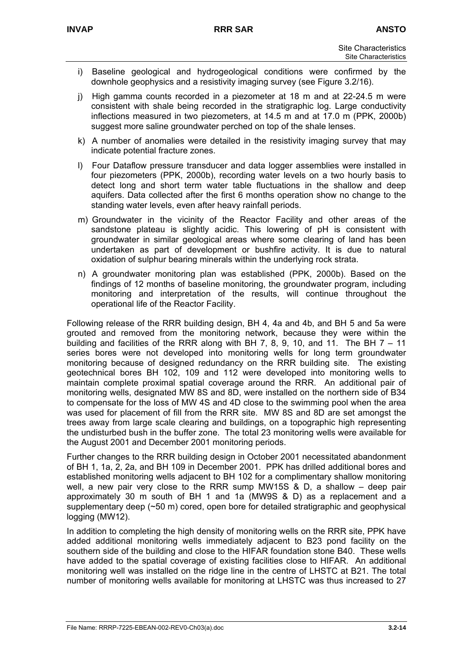- i) Baseline geological and hydrogeological conditions were confirmed by the downhole geophysics and a resistivity imaging survey (see Figure 3.2/16).
- j) High gamma counts recorded in a piezometer at 18 m and at 22-24.5 m were consistent with shale being recorded in the stratigraphic log. Large conductivity inflections measured in two piezometers, at 14.5 m and at 17.0 m (PPK, 2000b) suggest more saline groundwater perched on top of the shale lenses.
- k) A number of anomalies were detailed in the resistivity imaging survey that may indicate potential fracture zones.
- l) Four Dataflow pressure transducer and data logger assemblies were installed in four piezometers (PPK, 2000b), recording water levels on a two hourly basis to detect long and short term water table fluctuations in the shallow and deep aquifers. Data collected after the first 6 months operation show no change to the standing water levels, even after heavy rainfall periods.
- m) Groundwater in the vicinity of the Reactor Facility and other areas of the sandstone plateau is slightly acidic. This lowering of pH is consistent with groundwater in similar geological areas where some clearing of land has been undertaken as part of development or bushfire activity. It is due to natural oxidation of sulphur bearing minerals within the underlying rock strata.
- n) A groundwater monitoring plan was established (PPK, 2000b). Based on the findings of 12 months of baseline monitoring, the groundwater program, including monitoring and interpretation of the results, will continue throughout the operational life of the Reactor Facility.

Following release of the RRR building design, BH 4, 4a and 4b, and BH 5 and 5a were grouted and removed from the monitoring network, because they were within the building and facilities of the RRR along with BH 7, 8, 9, 10, and 11. The BH  $7 - 11$ series bores were not developed into monitoring wells for long term groundwater monitoring because of designed redundancy on the RRR building site. The existing geotechnical bores BH 102, 109 and 112 were developed into monitoring wells to maintain complete proximal spatial coverage around the RRR. An additional pair of monitoring wells, designated MW 8S and 8D, were installed on the northern side of B34 to compensate for the loss of MW 4S and 4D close to the swimming pool when the area was used for placement of fill from the RRR site. MW 8S and 8D are set amongst the trees away from large scale clearing and buildings, on a topographic high representing the undisturbed bush in the buffer zone. The total 23 monitoring wells were available for the August 2001 and December 2001 monitoring periods.

Further changes to the RRR building design in October 2001 necessitated abandonment of BH 1, 1a, 2, 2a, and BH 109 in December 2001. PPK has drilled additional bores and established monitoring wells adjacent to BH 102 for a complimentary shallow monitoring well, a new pair very close to the RRR sump MW15S & D, a shallow – deep pair approximately 30 m south of BH 1 and 1a (MW9S & D) as a replacement and a supplementary deep  $($   $\sim$  50 m) cored, open bore for detailed stratigraphic and geophysical logging (MW12).

In addition to completing the high density of monitoring wells on the RRR site, PPK have added additional monitoring wells immediately adjacent to B23 pond facility on the southern side of the building and close to the HIFAR foundation stone B40. These wells have added to the spatial coverage of existing facilities close to HIFAR. An additional monitoring well was installed on the ridge line in the centre of LHSTC at B21. The total number of monitoring wells available for monitoring at LHSTC was thus increased to 27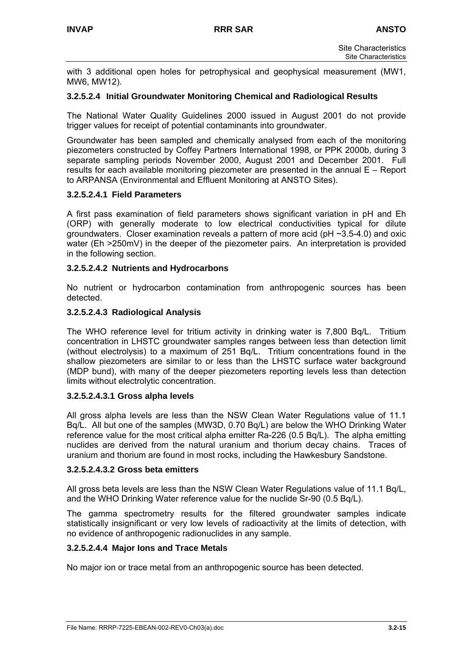with 3 additional open holes for petrophysical and geophysical measurement (MW1, MW6, MW12).

#### **3.2.5.2.4 Initial Groundwater Monitoring Chemical and Radiological Results**

The National Water Quality Guidelines 2000 issued in August 2001 do not provide trigger values for receipt of potential contaminants into groundwater.

Groundwater has been sampled and chemically analysed from each of the monitoring piezometers constructed by Coffey Partners International 1998, or PPK 2000b, during 3 separate sampling periods November 2000, August 2001 and December 2001. Full results for each available monitoring piezometer are presented in the annual E – Report to ARPANSA (Environmental and Effluent Monitoring at ANSTO Sites).

#### **3.2.5.2.4.1 Field Parameters**

A first pass examination of field parameters shows significant variation in pH and Eh (ORP) with generally moderate to low electrical conductivities typical for dilute groundwaters. Closer examination reveals a pattern of more acid ( $pH \sim 3.5-4.0$ ) and oxic water (Eh >250mV) in the deeper of the piezometer pairs. An interpretation is provided in the following section.

#### **3.2.5.2.4.2 Nutrients and Hydrocarbons**

No nutrient or hydrocarbon contamination from anthropogenic sources has been detected.

#### **3.2.5.2.4.3 Radiological Analysis**

The WHO reference level for tritium activity in drinking water is 7,800 Bq/L. Tritium concentration in LHSTC groundwater samples ranges between less than detection limit (without electrolysis) to a maximum of 251 Bq/L. Tritium concentrations found in the shallow piezometers are similar to or less than the LHSTC surface water background (MDP bund), with many of the deeper piezometers reporting levels less than detection limits without electrolytic concentration.

#### **3.2.5.2.4.3.1 Gross alpha levels**

All gross alpha levels are less than the NSW Clean Water Regulations value of 11.1 Bq/L. All but one of the samples (MW3D, 0.70 Bq/L) are below the WHO Drinking Water reference value for the most critical alpha emitter Ra-226 (0.5 Bq/L). The alpha emitting nuclides are derived from the natural uranium and thorium decay chains. Traces of uranium and thorium are found in most rocks, including the Hawkesbury Sandstone.

#### **3.2.5.2.4.3.2 Gross beta emitters**

All gross beta levels are less than the NSW Clean Water Regulations value of 11.1 Bq/L, and the WHO Drinking Water reference value for the nuclide Sr-90 (0.5 Bq/L).

The gamma spectrometry results for the filtered groundwater samples indicate statistically insignificant or very low levels of radioactivity at the limits of detection, with no evidence of anthropogenic radionuclides in any sample.

#### **3.2.5.2.4.4 Major Ions and Trace Metals**

No major ion or trace metal from an anthropogenic source has been detected.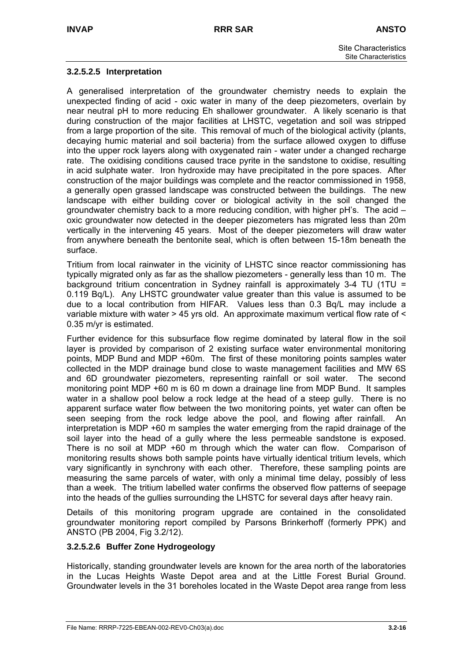#### **3.2.5.2.5 Interpretation**

A generalised interpretation of the groundwater chemistry needs to explain the unexpected finding of acid - oxic water in many of the deep piezometers, overlain by near neutral pH to more reducing Eh shallower groundwater. A likely scenario is that during construction of the major facilities at LHSTC, vegetation and soil was stripped from a large proportion of the site. This removal of much of the biological activity (plants, decaying humic material and soil bacteria) from the surface allowed oxygen to diffuse into the upper rock layers along with oxygenated rain - water under a changed recharge rate. The oxidising conditions caused trace pyrite in the sandstone to oxidise, resulting in acid sulphate water. Iron hydroxide may have precipitated in the pore spaces. After construction of the major buildings was complete and the reactor commissioned in 1958, a generally open grassed landscape was constructed between the buildings. The new landscape with either building cover or biological activity in the soil changed the groundwater chemistry back to a more reducing condition, with higher pH's. The acid – oxic groundwater now detected in the deeper piezometers has migrated less than 20m vertically in the intervening 45 years. Most of the deeper piezometers will draw water from anywhere beneath the bentonite seal, which is often between 15-18m beneath the surface.

Tritium from local rainwater in the vicinity of LHSTC since reactor commissioning has typically migrated only as far as the shallow piezometers - generally less than 10 m. The background tritium concentration in Sydney rainfall is approximately 3-4 TU (1TU = 0.119 Bq/L). Any LHSTC groundwater value greater than this value is assumed to be due to a local contribution from HIFAR. Values less than 0.3 Bq/L may include a variable mixture with water > 45 yrs old. An approximate maximum vertical flow rate of < 0.35 m/yr is estimated.

Further evidence for this subsurface flow regime dominated by lateral flow in the soil layer is provided by comparison of 2 existing surface water environmental monitoring points, MDP Bund and MDP +60m. The first of these monitoring points samples water collected in the MDP drainage bund close to waste management facilities and MW 6S and 6D groundwater piezometers, representing rainfall or soil water. The second monitoring point MDP +60 m is 60 m down a drainage line from MDP Bund. It samples water in a shallow pool below a rock ledge at the head of a steep gully. There is no apparent surface water flow between the two monitoring points, yet water can often be seen seeping from the rock ledge above the pool, and flowing after rainfall. An interpretation is MDP +60 m samples the water emerging from the rapid drainage of the soil layer into the head of a gully where the less permeable sandstone is exposed. There is no soil at MDP +60 m through which the water can flow. Comparison of monitoring results shows both sample points have virtually identical tritium levels, which vary significantly in synchrony with each other. Therefore, these sampling points are measuring the same parcels of water, with only a minimal time delay, possibly of less than a week. The tritium labelled water confirms the observed flow patterns of seepage into the heads of the gullies surrounding the LHSTC for several days after heavy rain.

Details of this monitoring program upgrade are contained in the consolidated groundwater monitoring report compiled by Parsons Brinkerhoff (formerly PPK) and ANSTO (PB 2004, Fig 3.2/12).

## **3.2.5.2.6 Buffer Zone Hydrogeology**

Historically, standing groundwater levels are known for the area north of the laboratories in the Lucas Heights Waste Depot area and at the Little Forest Burial Ground. Groundwater levels in the 31 boreholes located in the Waste Depot area range from less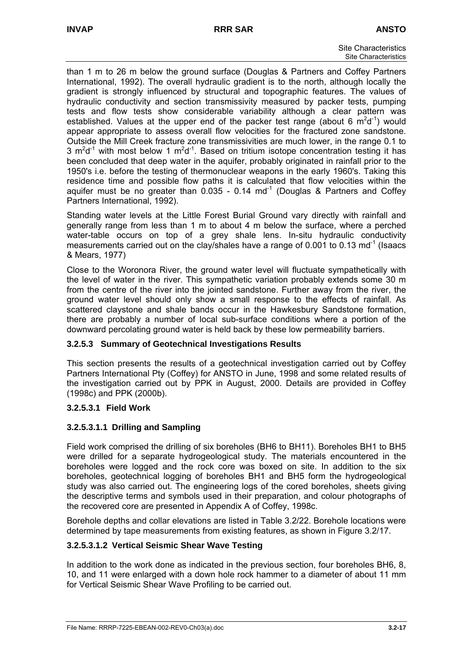than 1 m to 26 m below the ground surface (Douglas & Partners and Coffey Partners International, 1992). The overall hydraulic gradient is to the north, although locally the gradient is strongly influenced by structural and topographic features. The values of hydraulic conductivity and section transmissivity measured by packer tests, pumping tests and flow tests show considerable variability although a clear pattern was established. Values at the upper end of the packer test range (about 6  $m^2d^{-1}$ ) would appear appropriate to assess overall flow velocities for the fractured zone sandstone. Outside the Mill Creek fracture zone transmissivities are much lower, in the range 0.1 to 3  $m^2d^{-1}$  with most below 1  $m^2d^{-1}$ . Based on tritium isotope concentration testing it has been concluded that deep water in the aquifer, probably originated in rainfall prior to the 1950's i.e. before the testing of thermonuclear weapons in the early 1960's. Taking this residence time and possible flow paths it is calculated that flow velocities within the aquifer must be no greater than  $0.035 - 0.14$  md<sup>-1</sup> (Douglas & Partners and Coffey Partners International, 1992).

Standing water levels at the Little Forest Burial Ground vary directly with rainfall and generally range from less than 1 m to about 4 m below the surface, where a perched water-table occurs on top of a grey shale lens. In-situ hydraulic conductivity measurements carried out on the clay/shales have a range of 0.001 to 0.13 md<sup>-1</sup> (Isaacs & Mears, 1977)

Close to the Woronora River, the ground water level will fluctuate sympathetically with the level of water in the river. This sympathetic variation probably extends some 30 m from the centre of the river into the jointed sandstone. Further away from the river, the ground water level should only show a small response to the effects of rainfall. As scattered claystone and shale bands occur in the Hawkesbury Sandstone formation, there are probably a number of local sub-surface conditions where a portion of the downward percolating ground water is held back by these low permeability barriers.

## **3.2.5.3 Summary of Geotechnical Investigations Results**

This section presents the results of a geotechnical investigation carried out by Coffey Partners International Pty (Coffey) for ANSTO in June, 1998 and some related results of the investigation carried out by PPK in August, 2000. Details are provided in Coffey (1998c) and PPK (2000b).

## **3.2.5.3.1 Field Work**

## **3.2.5.3.1.1 Drilling and Sampling**

Field work comprised the drilling of six boreholes (BH6 to BH11). Boreholes BH1 to BH5 were drilled for a separate hydrogeological study. The materials encountered in the boreholes were logged and the rock core was boxed on site. In addition to the six boreholes, geotechnical logging of boreholes BH1 and BH5 form the hydrogeological study was also carried out. The engineering logs of the cored boreholes, sheets giving the descriptive terms and symbols used in their preparation, and colour photographs of the recovered core are presented in Appendix A of Coffey, 1998c.

Borehole depths and collar elevations are listed in Table 3.2/22. Borehole locations were determined by tape measurements from existing features, as shown in Figure 3.2/17.

## **3.2.5.3.1.2 Vertical Seismic Shear Wave Testing**

In addition to the work done as indicated in the previous section, four boreholes BH6, 8, 10, and 11 were enlarged with a down hole rock hammer to a diameter of about 11 mm for Vertical Seismic Shear Wave Profiling to be carried out.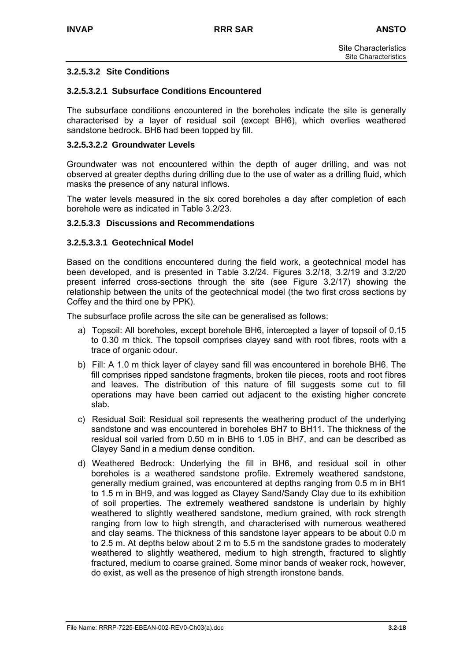#### **3.2.5.3.2 Site Conditions**

#### **3.2.5.3.2.1 Subsurface Conditions Encountered**

The subsurface conditions encountered in the boreholes indicate the site is generally characterised by a layer of residual soil (except BH6), which overlies weathered sandstone bedrock. BH6 had been topped by fill.

#### **3.2.5.3.2.2 Groundwater Levels**

Groundwater was not encountered within the depth of auger drilling, and was not observed at greater depths during drilling due to the use of water as a drilling fluid, which masks the presence of any natural inflows.

The water levels measured in the six cored boreholes a day after completion of each borehole were as indicated in Table 3.2/23.

#### **3.2.5.3.3 Discussions and Recommendations**

#### **3.2.5.3.3.1 Geotechnical Model**

Based on the conditions encountered during the field work, a geotechnical model has been developed, and is presented in Table 3.2/24. Figures 3.2/18, 3.2/19 and 3.2/20 present inferred cross-sections through the site (see Figure 3.2/17) showing the relationship between the units of the geotechnical model (the two first cross sections by Coffey and the third one by PPK).

The subsurface profile across the site can be generalised as follows:

- a) Topsoil: All boreholes, except borehole BH6, intercepted a layer of topsoil of 0.15 to 0.30 m thick. The topsoil comprises clayey sand with root fibres, roots with a trace of organic odour.
- b) Fill: A 1.0 m thick layer of clayey sand fill was encountered in borehole BH6. The fill comprises ripped sandstone fragments, broken tile pieces, roots and root fibres and leaves. The distribution of this nature of fill suggests some cut to fill operations may have been carried out adjacent to the existing higher concrete slab.
- c) Residual Soil: Residual soil represents the weathering product of the underlying sandstone and was encountered in boreholes BH7 to BH11. The thickness of the residual soil varied from 0.50 m in BH6 to 1.05 in BH7, and can be described as Clayey Sand in a medium dense condition.
- d) Weathered Bedrock: Underlying the fill in BH6, and residual soil in other boreholes is a weathered sandstone profile. Extremely weathered sandstone, generally medium grained, was encountered at depths ranging from 0.5 m in BH1 to 1.5 m in BH9, and was logged as Clayey Sand/Sandy Clay due to its exhibition of soil properties. The extremely weathered sandstone is underlain by highly weathered to slightly weathered sandstone, medium grained, with rock strength ranging from low to high strength, and characterised with numerous weathered and clay seams. The thickness of this sandstone layer appears to be about 0.0 m to 2.5 m. At depths below about 2 m to 5.5 m the sandstone grades to moderately weathered to slightly weathered, medium to high strength, fractured to slightly fractured, medium to coarse grained. Some minor bands of weaker rock, however, do exist, as well as the presence of high strength ironstone bands.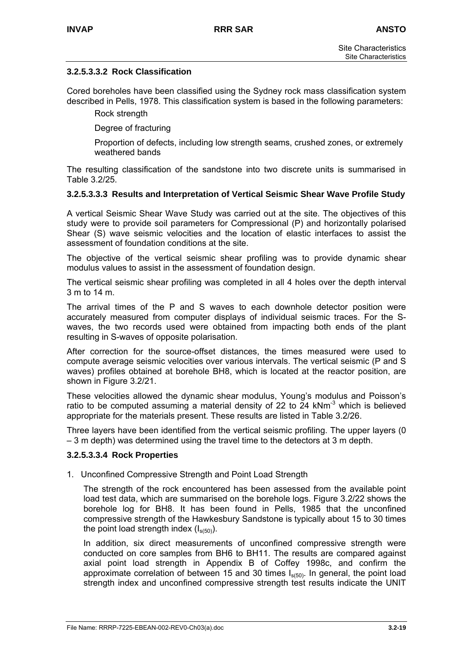#### **3.2.5.3.3.2 Rock Classification**

Cored boreholes have been classified using the Sydney rock mass classification system described in Pells, 1978. This classification system is based in the following parameters:

Rock strength

Degree of fracturing

Proportion of defects, including low strength seams, crushed zones, or extremely weathered bands

The resulting classification of the sandstone into two discrete units is summarised in Table 3.2/25.

#### **3.2.5.3.3.3 Results and Interpretation of Vertical Seismic Shear Wave Profile Study**

A vertical Seismic Shear Wave Study was carried out at the site. The objectives of this study were to provide soil parameters for Compressional (P) and horizontally polarised Shear (S) wave seismic velocities and the location of elastic interfaces to assist the assessment of foundation conditions at the site.

The objective of the vertical seismic shear profiling was to provide dynamic shear modulus values to assist in the assessment of foundation design.

The vertical seismic shear profiling was completed in all 4 holes over the depth interval 3 m to 14 m.

The arrival times of the P and S waves to each downhole detector position were accurately measured from computer displays of individual seismic traces. For the Swaves, the two records used were obtained from impacting both ends of the plant resulting in S-waves of opposite polarisation.

After correction for the source-offset distances, the times measured were used to compute average seismic velocities over various intervals. The vertical seismic (P and S waves) profiles obtained at borehole BH8, which is located at the reactor position, are shown in Figure 3.2/21.

These velocities allowed the dynamic shear modulus, Young's modulus and Poisson's ratio to be computed assuming a material density of 22 to 24 kNm<sup>-3</sup> which is believed appropriate for the materials present. These results are listed in Table 3.2/26.

Three layers have been identified from the vertical seismic profiling. The upper layers (0 – 3 m depth) was determined using the travel time to the detectors at 3 m depth.

#### **3.2.5.3.3.4 Rock Properties**

1. Unconfined Compressive Strength and Point Load Strength

The strength of the rock encountered has been assessed from the available point load test data, which are summarised on the borehole logs. Figure 3.2/22 shows the borehole log for BH8. It has been found in Pells, 1985 that the unconfined compressive strength of the Hawkesbury Sandstone is typically about 15 to 30 times the point load strength index  $(I_{s(50)}),$ 

In addition, six direct measurements of unconfined compressive strength were conducted on core samples from BH6 to BH11. The results are compared against axial point load strength in Appendix B of Coffey 1998c, and confirm the approximate correlation of between 15 and 30 times  $I<sub>s(50)</sub>$ . In general, the point load strength index and unconfined compressive strength test results indicate the UNIT

File Name: RRRP-7225-EBEAN-002-REV0-Ch03(a).doc **3.2-19**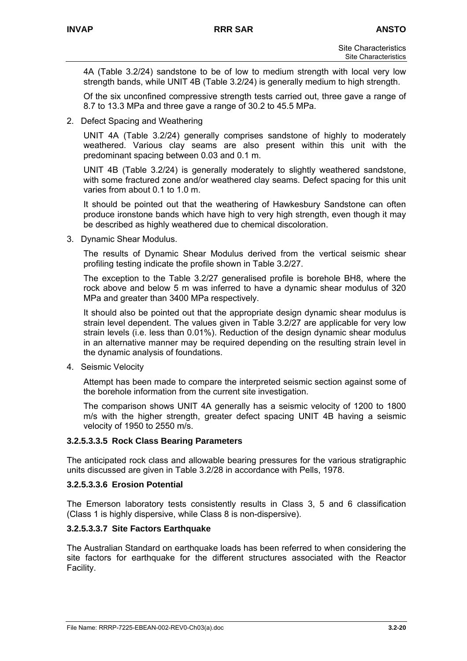4A (Table 3.2/24) sandstone to be of low to medium strength with local very low strength bands, while UNIT 4B (Table 3.2/24) is generally medium to high strength.

Of the six unconfined compressive strength tests carried out, three gave a range of 8.7 to 13.3 MPa and three gave a range of 30.2 to 45.5 MPa.

2. Defect Spacing and Weathering

UNIT 4A (Table 3.2/24) generally comprises sandstone of highly to moderately weathered. Various clay seams are also present within this unit with the predominant spacing between 0.03 and 0.1 m.

UNIT 4B (Table 3.2/24) is generally moderately to slightly weathered sandstone, with some fractured zone and/or weathered clay seams. Defect spacing for this unit varies from about 0.1 to 1.0 m.

It should be pointed out that the weathering of Hawkesbury Sandstone can often produce ironstone bands which have high to very high strength, even though it may be described as highly weathered due to chemical discoloration.

3. Dynamic Shear Modulus.

The results of Dynamic Shear Modulus derived from the vertical seismic shear profiling testing indicate the profile shown in Table 3.2/27.

The exception to the Table 3.2/27 generalised profile is borehole BH8, where the rock above and below 5 m was inferred to have a dynamic shear modulus of 320 MPa and greater than 3400 MPa respectively.

It should also be pointed out that the appropriate design dynamic shear modulus is strain level dependent. The values given in Table 3.2/27 are applicable for very low strain levels (i.e. less than 0.01%). Reduction of the design dynamic shear modulus in an alternative manner may be required depending on the resulting strain level in the dynamic analysis of foundations.

4. Seismic Velocity

Attempt has been made to compare the interpreted seismic section against some of the borehole information from the current site investigation.

The comparison shows UNIT 4A generally has a seismic velocity of 1200 to 1800 m/s with the higher strength, greater defect spacing UNIT 4B having a seismic velocity of 1950 to 2550 m/s.

#### **3.2.5.3.3.5 Rock Class Bearing Parameters**

The anticipated rock class and allowable bearing pressures for the various stratigraphic units discussed are given in Table 3.2/28 in accordance with Pells, 1978.

#### **3.2.5.3.3.6 Erosion Potential**

The Emerson laboratory tests consistently results in Class 3, 5 and 6 classification (Class 1 is highly dispersive, while Class 8 is non-dispersive).

#### **3.2.5.3.3.7 Site Factors Earthquake**

The Australian Standard on earthquake loads has been referred to when considering the site factors for earthquake for the different structures associated with the Reactor Facility.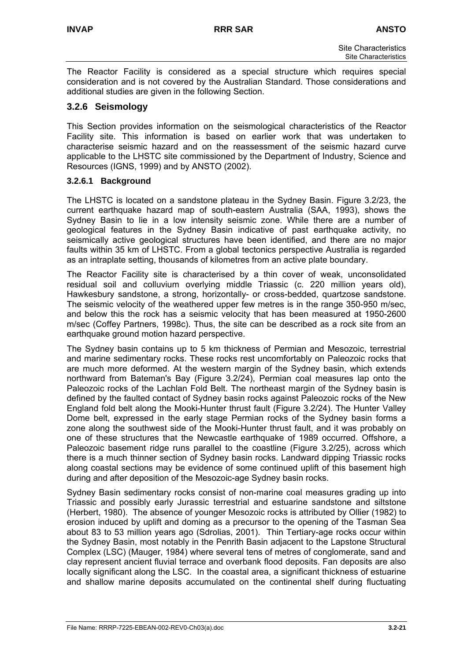The Reactor Facility is considered as a special structure which requires special consideration and is not covered by the Australian Standard. Those considerations and additional studies are given in the following Section.

## **3.2.6 Seismology**

This Section provides information on the seismological characteristics of the Reactor Facility site. This information is based on earlier work that was undertaken to characterise seismic hazard and on the reassessment of the seismic hazard curve applicable to the LHSTC site commissioned by the Department of Industry, Science and Resources (IGNS, 1999) and by ANSTO (2002).

#### **3.2.6.1 Background**

The LHSTC is located on a sandstone plateau in the Sydney Basin. Figure 3.2/23, the current earthquake hazard map of south-eastern Australia (SAA, 1993), shows the Sydney Basin to lie in a low intensity seismic zone. While there are a number of geological features in the Sydney Basin indicative of past earthquake activity, no seismically active geological structures have been identified, and there are no major faults within 35 km of LHSTC. From a global tectonics perspective Australia is regarded as an intraplate setting, thousands of kilometres from an active plate boundary.

The Reactor Facility site is characterised by a thin cover of weak, unconsolidated residual soil and colluvium overlying middle Triassic (c. 220 million years old), Hawkesbury sandstone, a strong, horizontally- or cross-bedded, quartzose sandstone. The seismic velocity of the weathered upper few metres is in the range 350-950 m/sec, and below this the rock has a seismic velocity that has been measured at 1950-2600 m/sec (Coffey Partners, 1998c). Thus, the site can be described as a rock site from an earthquake ground motion hazard perspective.

The Sydney basin contains up to 5 km thickness of Permian and Mesozoic, terrestrial and marine sedimentary rocks. These rocks rest uncomfortably on Paleozoic rocks that are much more deformed. At the western margin of the Sydney basin, which extends northward from Bateman's Bay (Figure 3.2/24), Permian coal measures lap onto the Paleozoic rocks of the Lachlan Fold Belt. The northeast margin of the Sydney basin is defined by the faulted contact of Sydney basin rocks against Paleozoic rocks of the New England fold belt along the Mooki-Hunter thrust fault (Figure 3.2/24). The Hunter Valley Dome belt, expressed in the early stage Permian rocks of the Sydney basin forms a zone along the southwest side of the Mooki-Hunter thrust fault, and it was probably on one of these structures that the Newcastle earthquake of 1989 occurred. Offshore, a Paleozoic basement ridge runs parallel to the coastline (Figure 3.2/25), across which there is a much thinner section of Sydney basin rocks. Landward dipping Triassic rocks along coastal sections may be evidence of some continued uplift of this basement high during and after deposition of the Mesozoic-age Sydney basin rocks.

Sydney Basin sedimentary rocks consist of non-marine coal measures grading up into Triassic and possibly early Jurassic terrestrial and estuarine sandstone and siltstone (Herbert, 1980). The absence of younger Mesozoic rocks is attributed by Ollier (1982) to erosion induced by uplift and doming as a precursor to the opening of the Tasman Sea about 83 to 53 million years ago (Sdrolias, 2001). Thin Tertiary-age rocks occur within the Sydney Basin, most notably in the Penrith Basin adjacent to the Lapstone Structural Complex (LSC) (Mauger, 1984) where several tens of metres of conglomerate, sand and clay represent ancient fluvial terrace and overbank flood deposits. Fan deposits are also locally significant along the LSC. In the coastal area, a significant thickness of estuarine and shallow marine deposits accumulated on the continental shelf during fluctuating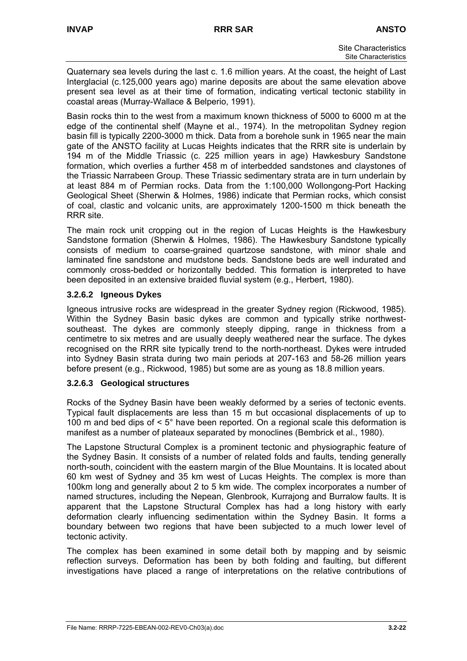Quaternary sea levels during the last c. 1.6 million years. At the coast, the height of Last Interglacial (c.125,000 years ago) marine deposits are about the same elevation above present sea level as at their time of formation, indicating vertical tectonic stability in coastal areas (Murray-Wallace & Belperio, 1991).

Basin rocks thin to the west from a maximum known thickness of 5000 to 6000 m at the edge of the continental shelf (Mayne et al., 1974). In the metropolitan Sydney region basin fill is typically 2200-3000 m thick. Data from a borehole sunk in 1965 near the main gate of the ANSTO facility at Lucas Heights indicates that the RRR site is underlain by 194 m of the Middle Triassic (c. 225 million years in age) Hawkesbury Sandstone formation, which overlies a further 458 m of interbedded sandstones and claystones of the Triassic Narrabeen Group. These Triassic sedimentary strata are in turn underlain by at least 884 m of Permian rocks. Data from the 1:100,000 Wollongong-Port Hacking Geological Sheet (Sherwin & Holmes, 1986) indicate that Permian rocks, which consist of coal, clastic and volcanic units, are approximately 1200-1500 m thick beneath the RRR site.

The main rock unit cropping out in the region of Lucas Heights is the Hawkesbury Sandstone formation (Sherwin & Holmes, 1986). The Hawkesbury Sandstone typically consists of medium to coarse-grained quartzose sandstone, with minor shale and laminated fine sandstone and mudstone beds. Sandstone beds are well indurated and commonly cross-bedded or horizontally bedded. This formation is interpreted to have been deposited in an extensive braided fluvial system (e.g., Herbert, 1980).

## **3.2.6.2 Igneous Dykes**

Igneous intrusive rocks are widespread in the greater Sydney region (Rickwood, 1985). Within the Sydney Basin basic dykes are common and typically strike northwestsoutheast. The dykes are commonly steeply dipping, range in thickness from a centimetre to six metres and are usually deeply weathered near the surface. The dykes recognised on the RRR site typically trend to the north-northeast. Dykes were intruded into Sydney Basin strata during two main periods at 207-163 and 58-26 million years before present (e.g., Rickwood, 1985) but some are as young as 18.8 million years.

## **3.2.6.3 Geological structures**

Rocks of the Sydney Basin have been weakly deformed by a series of tectonic events. Typical fault displacements are less than 15 m but occasional displacements of up to 100 m and bed dips of < 5° have been reported. On a regional scale this deformation is manifest as a number of plateaux separated by monoclines (Bembrick et al., 1980).

The Lapstone Structural Complex is a prominent tectonic and physiographic feature of the Sydney Basin. It consists of a number of related folds and faults, tending generally north-south, coincident with the eastern margin of the Blue Mountains. It is located about 60 km west of Sydney and 35 km west of Lucas Heights. The complex is more than 100km long and generally about 2 to 5 km wide. The complex incorporates a number of named structures, including the Nepean, Glenbrook, Kurrajong and Burralow faults. It is apparent that the Lapstone Structural Complex has had a long history with early deformation clearly influencing sedimentation within the Sydney Basin. It forms a boundary between two regions that have been subjected to a much lower level of tectonic activity.

The complex has been examined in some detail both by mapping and by seismic reflection surveys. Deformation has been by both folding and faulting, but different investigations have placed a range of interpretations on the relative contributions of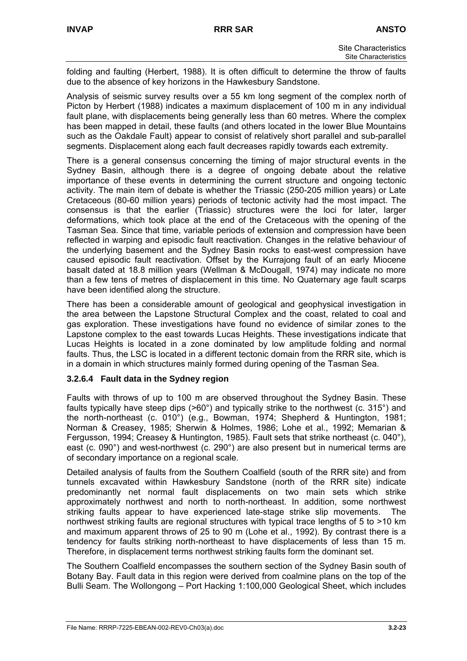folding and faulting (Herbert, 1988). It is often difficult to determine the throw of faults due to the absence of key horizons in the Hawkesbury Sandstone.

Analysis of seismic survey results over a 55 km long segment of the complex north of Picton by Herbert (1988) indicates a maximum displacement of 100 m in any individual fault plane, with displacements being generally less than 60 metres. Where the complex has been mapped in detail, these faults (and others located in the lower Blue Mountains such as the Oakdale Fault) appear to consist of relatively short parallel and sub-parallel segments. Displacement along each fault decreases rapidly towards each extremity.

There is a general consensus concerning the timing of major structural events in the Sydney Basin, although there is a degree of ongoing debate about the relative importance of these events in determining the current structure and ongoing tectonic activity. The main item of debate is whether the Triassic (250-205 million years) or Late Cretaceous (80-60 million years) periods of tectonic activity had the most impact. The consensus is that the earlier (Triassic) structures were the loci for later, larger deformations, which took place at the end of the Cretaceous with the opening of the Tasman Sea. Since that time, variable periods of extension and compression have been reflected in warping and episodic fault reactivation. Changes in the relative behaviour of the underlying basement and the Sydney Basin rocks to east-west compression have caused episodic fault reactivation. Offset by the Kurrajong fault of an early Miocene basalt dated at 18.8 million years (Wellman & McDougall, 1974) may indicate no more than a few tens of metres of displacement in this time. No Quaternary age fault scarps have been identified along the structure.

There has been a considerable amount of geological and geophysical investigation in the area between the Lapstone Structural Complex and the coast, related to coal and gas exploration. These investigations have found no evidence of similar zones to the Lapstone complex to the east towards Lucas Heights. These investigations indicate that Lucas Heights is located in a zone dominated by low amplitude folding and normal faults. Thus, the LSC is located in a different tectonic domain from the RRR site, which is in a domain in which structures mainly formed during opening of the Tasman Sea.

## **3.2.6.4 Fault data in the Sydney region**

Faults with throws of up to 100 m are observed throughout the Sydney Basin. These faults typically have steep dips (>60°) and typically strike to the northwest (c. 315°) and the north-northeast (c. 010°) (e.g., Bowman, 1974; Shepherd & Huntington, 1981; Norman & Creasey, 1985; Sherwin & Holmes, 1986; Lohe et al., 1992; Memarian & Fergusson, 1994; Creasey & Huntington, 1985). Fault sets that strike northeast (c. 040°), east (c. 090°) and west-northwest (c. 290°) are also present but in numerical terms are of secondary importance on a regional scale.

Detailed analysis of faults from the Southern Coalfield (south of the RRR site) and from tunnels excavated within Hawkesbury Sandstone (north of the RRR site) indicate predominantly net normal fault displacements on two main sets which strike approximately northwest and north to north-northeast. In addition, some northwest striking faults appear to have experienced late-stage strike slip movements. The northwest striking faults are regional structures with typical trace lengths of 5 to >10 km and maximum apparent throws of 25 to 90 m (Lohe et al., 1992). By contrast there is a tendency for faults striking north-northeast to have displacements of less than 15 m. Therefore, in displacement terms northwest striking faults form the dominant set.

The Southern Coalfield encompasses the southern section of the Sydney Basin south of Botany Bay. Fault data in this region were derived from coalmine plans on the top of the Bulli Seam. The Wollongong – Port Hacking 1:100,000 Geological Sheet, which includes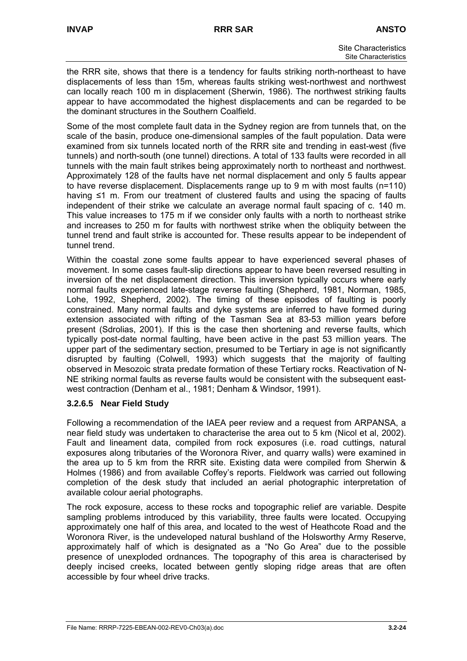the RRR site, shows that there is a tendency for faults striking north-northeast to have displacements of less than 15m, whereas faults striking west-northwest and northwest can locally reach 100 m in displacement (Sherwin, 1986). The northwest striking faults appear to have accommodated the highest displacements and can be regarded to be the dominant structures in the Southern Coalfield.

Some of the most complete fault data in the Sydney region are from tunnels that, on the scale of the basin, produce one-dimensional samples of the fault population. Data were examined from six tunnels located north of the RRR site and trending in east-west (five tunnels) and north-south (one tunnel) directions. A total of 133 faults were recorded in all tunnels with the main fault strikes being approximately north to northeast and northwest. Approximately 128 of the faults have net normal displacement and only 5 faults appear to have reverse displacement. Displacements range up to 9 m with most faults (n=110) having ≤1 m. From our treatment of clustered faults and using the spacing of faults independent of their strike we calculate an average normal fault spacing of c. 140 m. This value increases to 175 m if we consider only faults with a north to northeast strike and increases to 250 m for faults with northwest strike when the obliquity between the tunnel trend and fault strike is accounted for. These results appear to be independent of tunnel trend.

Within the coastal zone some faults appear to have experienced several phases of movement. In some cases fault-slip directions appear to have been reversed resulting in inversion of the net displacement direction. This inversion typically occurs where early normal faults experienced late-stage reverse faulting (Shepherd, 1981, Norman, 1985, Lohe, 1992, Shepherd, 2002). The timing of these episodes of faulting is poorly constrained. Many normal faults and dyke systems are inferred to have formed during extension associated with rifting of the Tasman Sea at 83-53 million years before present (Sdrolias, 2001). If this is the case then shortening and reverse faults, which typically post-date normal faulting, have been active in the past 53 million years. The upper part of the sedimentary section, presumed to be Tertiary in age is not significantly disrupted by faulting (Colwell, 1993) which suggests that the majority of faulting observed in Mesozoic strata predate formation of these Tertiary rocks. Reactivation of N-NE striking normal faults as reverse faults would be consistent with the subsequent eastwest contraction (Denham et al., 1981; Denham & Windsor, 1991).

## **3.2.6.5 Near Field Study**

Following a recommendation of the IAEA peer review and a request from ARPANSA, a near field study was undertaken to characterise the area out to 5 km (Nicol et al, 2002). Fault and lineament data, compiled from rock exposures (i.e. road cuttings, natural exposures along tributaries of the Woronora River, and quarry walls) were examined in the area up to 5 km from the RRR site. Existing data were compiled from Sherwin & Holmes (1986) and from available Coffey's reports. Fieldwork was carried out following completion of the desk study that included an aerial photographic interpretation of available colour aerial photographs.

The rock exposure, access to these rocks and topographic relief are variable. Despite sampling problems introduced by this variability, three faults were located. Occupying approximately one half of this area, and located to the west of Heathcote Road and the Woronora River, is the undeveloped natural bushland of the Holsworthy Army Reserve, approximately half of which is designated as a "No Go Area" due to the possible presence of unexploded ordnances. The topography of this area is characterised by deeply incised creeks, located between gently sloping ridge areas that are often accessible by four wheel drive tracks.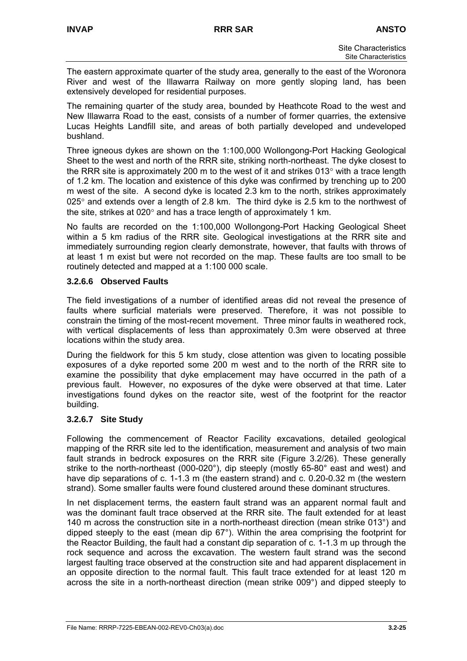The eastern approximate quarter of the study area, generally to the east of the Woronora River and west of the Illawarra Railway on more gently sloping land, has been extensively developed for residential purposes.

The remaining quarter of the study area, bounded by Heathcote Road to the west and New Illawarra Road to the east, consists of a number of former quarries, the extensive Lucas Heights Landfill site, and areas of both partially developed and undeveloped bushland.

Three igneous dykes are shown on the 1:100,000 Wollongong-Port Hacking Geological Sheet to the west and north of the RRR site, striking north-northeast. The dyke closest to the RRR site is approximately 200 m to the west of it and strikes 013 $^{\circ}$  with a trace length of 1.2 km. The location and existence of this dyke was confirmed by trenching up to 200 m west of the site. A second dyke is located 2.3 km to the north, strikes approximately  $025^\circ$  and extends over a length of 2.8 km. The third dyke is 2.5 km to the northwest of the site, strikes at 020° and has a trace length of approximately 1 km.

No faults are recorded on the 1:100,000 Wollongong-Port Hacking Geological Sheet within a 5 km radius of the RRR site. Geological investigations at the RRR site and immediately surrounding region clearly demonstrate, however, that faults with throws of at least 1 m exist but were not recorded on the map. These faults are too small to be routinely detected and mapped at a 1:100 000 scale.

#### **3.2.6.6 Observed Faults**

The field investigations of a number of identified areas did not reveal the presence of faults where surficial materials were preserved. Therefore, it was not possible to constrain the timing of the most-recent movement. Three minor faults in weathered rock, with vertical displacements of less than approximately 0.3m were observed at three locations within the study area.

During the fieldwork for this 5 km study, close attention was given to locating possible exposures of a dyke reported some 200 m west and to the north of the RRR site to examine the possibility that dyke emplacement may have occurred in the path of a previous fault. However, no exposures of the dyke were observed at that time. Later investigations found dykes on the reactor site, west of the footprint for the reactor building.

## **3.2.6.7 Site Study**

Following the commencement of Reactor Facility excavations, detailed geological mapping of the RRR site led to the identification, measurement and analysis of two main fault strands in bedrock exposures on the RRR site (Figure 3.2/26). These generally strike to the north-northeast (000-020°), dip steeply (mostly 65-80° east and west) and have dip separations of c. 1-1.3 m (the eastern strand) and c. 0.20-0.32 m (the western strand). Some smaller faults were found clustered around these dominant structures.

In net displacement terms, the eastern fault strand was an apparent normal fault and was the dominant fault trace observed at the RRR site. The fault extended for at least 140 m across the construction site in a north-northeast direction (mean strike 013°) and dipped steeply to the east (mean dip 67°). Within the area comprising the footprint for the Reactor Building, the fault had a constant dip separation of c. 1-1.3 m up through the rock sequence and across the excavation. The western fault strand was the second largest faulting trace observed at the construction site and had apparent displacement in an opposite direction to the normal fault. This fault trace extended for at least 120 m across the site in a north-northeast direction (mean strike 009°) and dipped steeply to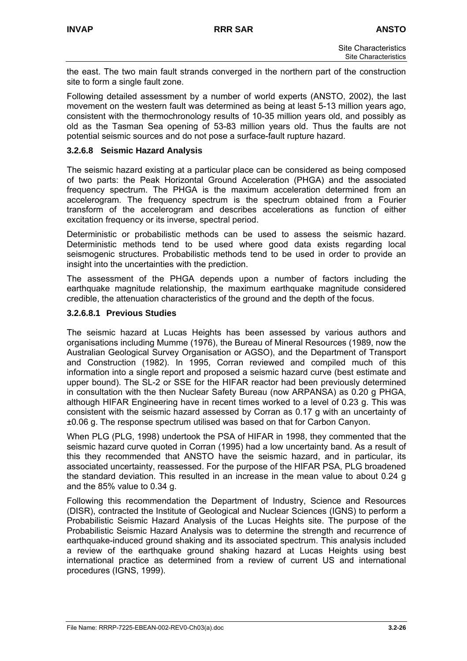the east. The two main fault strands converged in the northern part of the construction site to form a single fault zone.

Following detailed assessment by a number of world experts (ANSTO, 2002), the last movement on the western fault was determined as being at least 5-13 million years ago, consistent with the thermochronology results of 10-35 million years old, and possibly as old as the Tasman Sea opening of 53-83 million years old. Thus the faults are not potential seismic sources and do not pose a surface-fault rupture hazard.

#### **3.2.6.8 Seismic Hazard Analysis**

The seismic hazard existing at a particular place can be considered as being composed of two parts: the Peak Horizontal Ground Acceleration (PHGA) and the associated frequency spectrum. The PHGA is the maximum acceleration determined from an accelerogram. The frequency spectrum is the spectrum obtained from a Fourier transform of the accelerogram and describes accelerations as function of either excitation frequency or its inverse, spectral period.

Deterministic or probabilistic methods can be used to assess the seismic hazard. Deterministic methods tend to be used where good data exists regarding local seismogenic structures. Probabilistic methods tend to be used in order to provide an insight into the uncertainties with the prediction.

The assessment of the PHGA depends upon a number of factors including the earthquake magnitude relationship, the maximum earthquake magnitude considered credible, the attenuation characteristics of the ground and the depth of the focus.

#### **3.2.6.8.1 Previous Studies**

The seismic hazard at Lucas Heights has been assessed by various authors and organisations including Mumme (1976), the Bureau of Mineral Resources (1989, now the Australian Geological Survey Organisation or AGSO), and the Department of Transport and Construction (1982). In 1995, Corran reviewed and compiled much of this information into a single report and proposed a seismic hazard curve (best estimate and upper bound). The SL-2 or SSE for the HIFAR reactor had been previously determined in consultation with the then Nuclear Safety Bureau (now ARPANSA) as 0.20 g PHGA, although HIFAR Engineering have in recent times worked to a level of 0.23 g. This was consistent with the seismic hazard assessed by Corran as 0.17 g with an uncertainty of ±0.06 g. The response spectrum utilised was based on that for Carbon Canyon.

When PLG (PLG, 1998) undertook the PSA of HIFAR in 1998, they commented that the seismic hazard curve quoted in Corran (1995) had a low uncertainty band. As a result of this they recommended that ANSTO have the seismic hazard, and in particular, its associated uncertainty, reassessed. For the purpose of the HIFAR PSA, PLG broadened the standard deviation. This resulted in an increase in the mean value to about 0.24 g and the 85% value to 0.34 g.

Following this recommendation the Department of Industry, Science and Resources (DISR), contracted the Institute of Geological and Nuclear Sciences (IGNS) to perform a Probabilistic Seismic Hazard Analysis of the Lucas Heights site. The purpose of the Probabilistic Seismic Hazard Analysis was to determine the strength and recurrence of earthquake-induced ground shaking and its associated spectrum. This analysis included a review of the earthquake ground shaking hazard at Lucas Heights using best international practice as determined from a review of current US and international procedures (IGNS, 1999).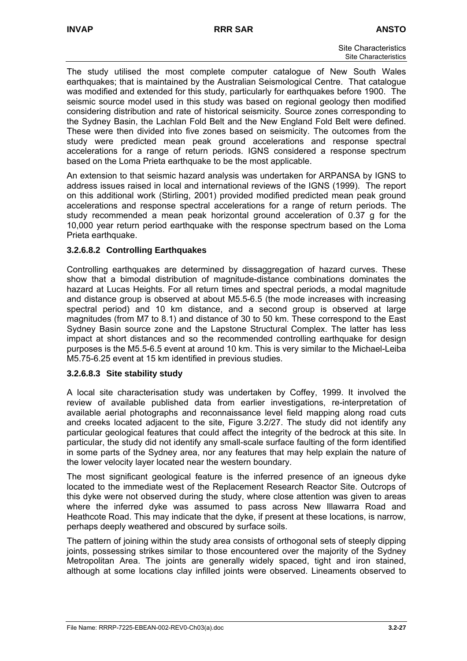The study utilised the most complete computer catalogue of New South Wales earthquakes; that is maintained by the Australian Seismological Centre. That catalogue was modified and extended for this study, particularly for earthquakes before 1900. The seismic source model used in this study was based on regional geology then modified considering distribution and rate of historical seismicity. Source zones corresponding to the Sydney Basin, the Lachlan Fold Belt and the New England Fold Belt were defined. These were then divided into five zones based on seismicity. The outcomes from the study were predicted mean peak ground accelerations and response spectral accelerations for a range of return periods. IGNS considered a response spectrum based on the Loma Prieta earthquake to be the most applicable.

An extension to that seismic hazard analysis was undertaken for ARPANSA by IGNS to address issues raised in local and international reviews of the IGNS (1999). The report on this additional work (Stirling, 2001) provided modified predicted mean peak ground accelerations and response spectral accelerations for a range of return periods. The study recommended a mean peak horizontal ground acceleration of 0.37 g for the 10,000 year return period earthquake with the response spectrum based on the Loma Prieta earthquake.

## **3.2.6.8.2 Controlling Earthquakes**

Controlling earthquakes are determined by dissaggregation of hazard curves. These show that a bimodal distribution of magnitude-distance combinations dominates the hazard at Lucas Heights. For all return times and spectral periods, a modal magnitude and distance group is observed at about M5.5-6.5 (the mode increases with increasing spectral period) and 10 km distance, and a second group is observed at large magnitudes (from M7 to 8.1) and distance of 30 to 50 km. These correspond to the East Sydney Basin source zone and the Lapstone Structural Complex. The latter has less impact at short distances and so the recommended controlling earthquake for design purposes is the M5.5-6.5 event at around 10 km. This is very similar to the Michael-Leiba M5.75-6.25 event at 15 km identified in previous studies.

#### **3.2.6.8.3 Site stability study**

A local site characterisation study was undertaken by Coffey, 1999. It involved the review of available published data from earlier investigations, re-interpretation of available aerial photographs and reconnaissance level field mapping along road cuts and creeks located adjacent to the site, Figure 3.2/27. The study did not identify any particular geological features that could affect the integrity of the bedrock at this site. In particular, the study did not identify any small-scale surface faulting of the form identified in some parts of the Sydney area, nor any features that may help explain the nature of the lower velocity layer located near the western boundary.

The most significant geological feature is the inferred presence of an igneous dyke located to the immediate west of the Replacement Research Reactor Site. Outcrops of this dyke were not observed during the study, where close attention was given to areas where the inferred dyke was assumed to pass across New Illawarra Road and Heathcote Road. This may indicate that the dyke, if present at these locations, is narrow, perhaps deeply weathered and obscured by surface soils.

The pattern of joining within the study area consists of orthogonal sets of steeply dipping joints, possessing strikes similar to those encountered over the majority of the Sydney Metropolitan Area. The joints are generally widely spaced, tight and iron stained, although at some locations clay infilled joints were observed. Lineaments observed to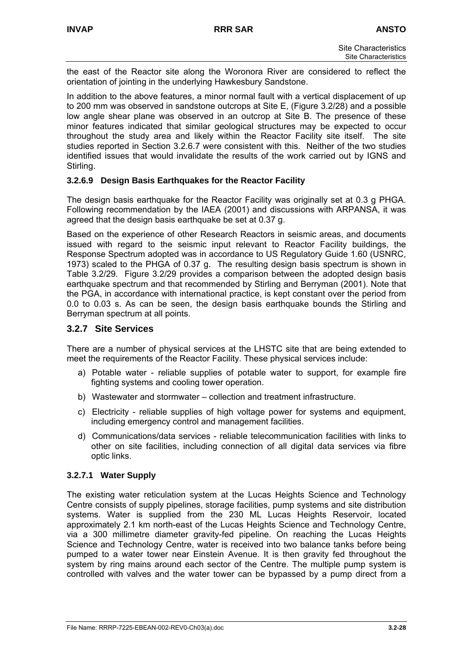the east of the Reactor site along the Woronora River are considered to reflect the orientation of jointing in the underlying Hawkesbury Sandstone.

In addition to the above features, a minor normal fault with a vertical displacement of up to 200 mm was observed in sandstone outcrops at Site E, (Figure 3.2/28) and a possible low angle shear plane was observed in an outcrop at Site B. The presence of these minor features indicated that similar geological structures may be expected to occur throughout the study area and likely within the Reactor Facility site itself. The site studies reported in Section 3.2.6.7 were consistent with this. Neither of the two studies identified issues that would invalidate the results of the work carried out by IGNS and Stirling.

## **3.2.6.9 Design Basis Earthquakes for the Reactor Facility**

The design basis earthquake for the Reactor Facility was originally set at 0.3 g PHGA. Following recommendation by the IAEA (2001) and discussions with ARPANSA, it was agreed that the design basis earthquake be set at 0.37 g.

Based on the experience of other Research Reactors in seismic areas, and documents issued with regard to the seismic input relevant to Reactor Facility buildings, the Response Spectrum adopted was in accordance to US Regulatory Guide 1.60 (USNRC, 1973) scaled to the PHGA of 0.37 g. The resulting design basis spectrum is shown in Table 3.2/29. Figure 3.2/29 provides a comparison between the adopted design basis earthquake spectrum and that recommended by Stirling and Berryman (2001). Note that the PGA, in accordance with international practice, is kept constant over the period from 0.0 to 0.03 s. As can be seen, the design basis earthquake bounds the Stirling and Berryman spectrum at all points.

#### **3.2.7 Site Services**

There are a number of physical services at the LHSTC site that are being extended to meet the requirements of the Reactor Facility. These physical services include:

- a) Potable water reliable supplies of potable water to support, for example fire fighting systems and cooling tower operation.
- b) Wastewater and stormwater collection and treatment infrastructure.
- c) Electricity reliable supplies of high voltage power for systems and equipment, including emergency control and management facilities.
- d) Communications/data services reliable telecommunication facilities with links to other on site facilities, including connection of all digital data services via fibre optic links.

#### **3.2.7.1 Water Supply**

The existing water reticulation system at the Lucas Heights Science and Technology Centre consists of supply pipelines, storage facilities, pump systems and site distribution systems. Water is supplied from the 230 ML Lucas Heights Reservoir, located approximately 2.1 km north-east of the Lucas Heights Science and Technology Centre, via a 300 millimetre diameter gravity-fed pipeline. On reaching the Lucas Heights Science and Technology Centre, water is received into two balance tanks before being pumped to a water tower near Einstein Avenue. It is then gravity fed throughout the system by ring mains around each sector of the Centre. The multiple pump system is controlled with valves and the water tower can be bypassed by a pump direct from a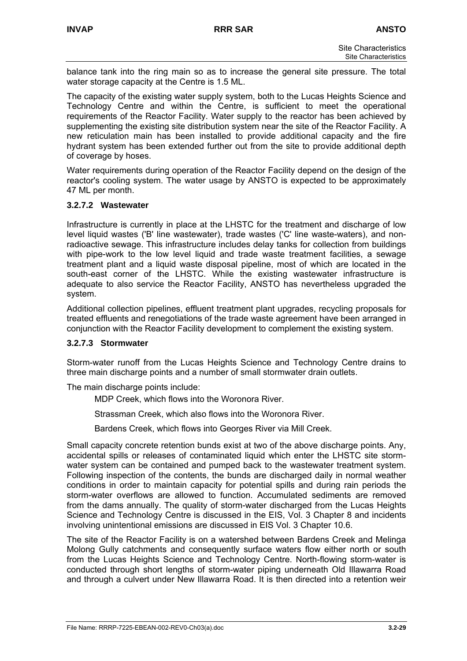balance tank into the ring main so as to increase the general site pressure. The total water storage capacity at the Centre is 1.5 ML.

The capacity of the existing water supply system, both to the Lucas Heights Science and Technology Centre and within the Centre, is sufficient to meet the operational requirements of the Reactor Facility. Water supply to the reactor has been achieved by supplementing the existing site distribution system near the site of the Reactor Facility. A new reticulation main has been installed to provide additional capacity and the fire hydrant system has been extended further out from the site to provide additional depth of coverage by hoses.

Water requirements during operation of the Reactor Facility depend on the design of the reactor's cooling system. The water usage by ANSTO is expected to be approximately 47 ML per month.

#### **3.2.7.2 Wastewater**

Infrastructure is currently in place at the LHSTC for the treatment and discharge of low level liquid wastes ('B' line wastewater), trade wastes ('C' line waste-waters), and nonradioactive sewage. This infrastructure includes delay tanks for collection from buildings with pipe-work to the low level liquid and trade waste treatment facilities, a sewage treatment plant and a liquid waste disposal pipeline, most of which are located in the south-east corner of the LHSTC. While the existing wastewater infrastructure is adequate to also service the Reactor Facility, ANSTO has nevertheless upgraded the system.

Additional collection pipelines, effluent treatment plant upgrades, recycling proposals for treated effluents and renegotiations of the trade waste agreement have been arranged in conjunction with the Reactor Facility development to complement the existing system.

#### **3.2.7.3 Stormwater**

Storm-water runoff from the Lucas Heights Science and Technology Centre drains to three main discharge points and a number of small stormwater drain outlets.

The main discharge points include:

MDP Creek, which flows into the Woronora River.

Strassman Creek, which also flows into the Woronora River.

Bardens Creek, which flows into Georges River via Mill Creek.

Small capacity concrete retention bunds exist at two of the above discharge points. Any, accidental spills or releases of contaminated liquid which enter the LHSTC site stormwater system can be contained and pumped back to the wastewater treatment system. Following inspection of the contents, the bunds are discharged daily in normal weather conditions in order to maintain capacity for potential spills and during rain periods the storm-water overflows are allowed to function. Accumulated sediments are removed from the dams annually. The quality of storm-water discharged from the Lucas Heights Science and Technology Centre is discussed in the EIS, Vol. 3 Chapter 8 and incidents involving unintentional emissions are discussed in EIS Vol. 3 Chapter 10.6.

The site of the Reactor Facility is on a watershed between Bardens Creek and Melinga Molong Gully catchments and consequently surface waters flow either north or south from the Lucas Heights Science and Technology Centre. North-flowing storm-water is conducted through short lengths of storm-water piping underneath Old Illawarra Road and through a culvert under New Illawarra Road. It is then directed into a retention weir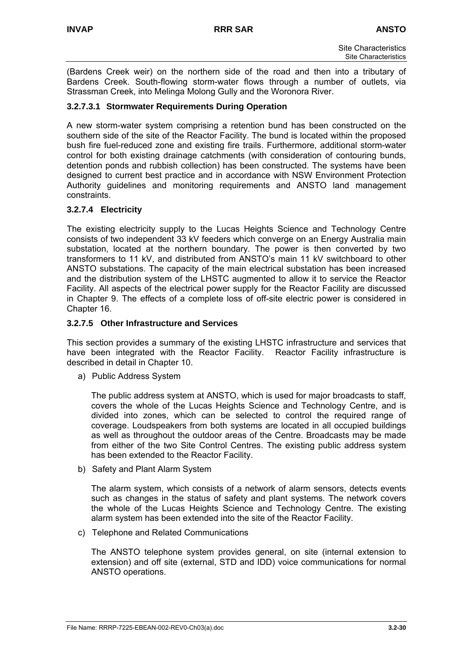(Bardens Creek weir) on the northern side of the road and then into a tributary of Bardens Creek. South-flowing storm-water flows through a number of outlets, via Strassman Creek, into Melinga Molong Gully and the Woronora River.

#### **3.2.7.3.1 Stormwater Requirements During Operation**

A new storm-water system comprising a retention bund has been constructed on the southern side of the site of the Reactor Facility. The bund is located within the proposed bush fire fuel-reduced zone and existing fire trails. Furthermore, additional storm-water control for both existing drainage catchments (with consideration of contouring bunds, detention ponds and rubbish collection) has been constructed. The systems have been designed to current best practice and in accordance with NSW Environment Protection Authority guidelines and monitoring requirements and ANSTO land management constraints.

#### **3.2.7.4 Electricity**

The existing electricity supply to the Lucas Heights Science and Technology Centre consists of two independent 33 kV feeders which converge on an Energy Australia main substation, located at the northern boundary. The power is then converted by two transformers to 11 kV, and distributed from ANSTO's main 11 kV switchboard to other ANSTO substations. The capacity of the main electrical substation has been increased and the distribution system of the LHSTC augmented to allow it to service the Reactor Facility. All aspects of the electrical power supply for the Reactor Facility are discussed in Chapter 9. The effects of a complete loss of off-site electric power is considered in Chapter 16.

#### **3.2.7.5 Other Infrastructure and Services**

This section provides a summary of the existing LHSTC infrastructure and services that have been integrated with the Reactor Facility. Reactor Facility infrastructure is described in detail in Chapter 10.

a) Public Address System

The public address system at ANSTO, which is used for major broadcasts to staff, covers the whole of the Lucas Heights Science and Technology Centre, and is divided into zones, which can be selected to control the required range of coverage. Loudspeakers from both systems are located in all occupied buildings as well as throughout the outdoor areas of the Centre. Broadcasts may be made from either of the two Site Control Centres. The existing public address system has been extended to the Reactor Facility.

b) Safety and Plant Alarm System

The alarm system, which consists of a network of alarm sensors, detects events such as changes in the status of safety and plant systems. The network covers the whole of the Lucas Heights Science and Technology Centre. The existing alarm system has been extended into the site of the Reactor Facility.

c) Telephone and Related Communications

The ANSTO telephone system provides general, on site (internal extension to extension) and off site (external, STD and IDD) voice communications for normal ANSTO operations.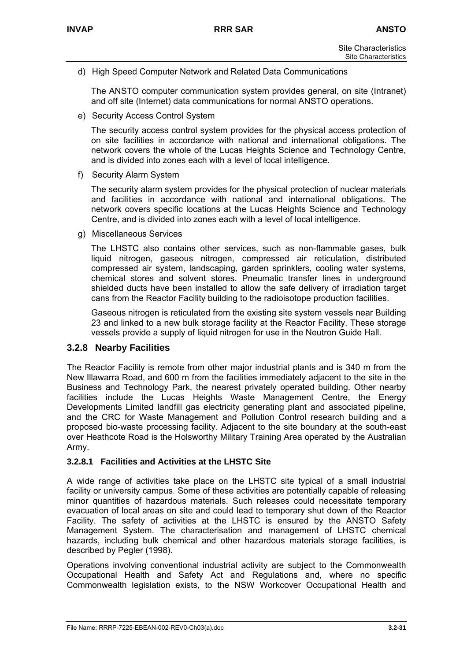d) High Speed Computer Network and Related Data Communications

The ANSTO computer communication system provides general, on site (Intranet) and off site (Internet) data communications for normal ANSTO operations.

e) Security Access Control System

The security access control system provides for the physical access protection of on site facilities in accordance with national and international obligations. The network covers the whole of the Lucas Heights Science and Technology Centre, and is divided into zones each with a level of local intelligence.

f) Security Alarm System

The security alarm system provides for the physical protection of nuclear materials and facilities in accordance with national and international obligations. The network covers specific locations at the Lucas Heights Science and Technology Centre, and is divided into zones each with a level of local intelligence.

g) Miscellaneous Services

The LHSTC also contains other services, such as non-flammable gases, bulk liquid nitrogen, gaseous nitrogen, compressed air reticulation, distributed compressed air system, landscaping, garden sprinklers, cooling water systems, chemical stores and solvent stores. Pneumatic transfer lines in underground shielded ducts have been installed to allow the safe delivery of irradiation target cans from the Reactor Facility building to the radioisotope production facilities.

Gaseous nitrogen is reticulated from the existing site system vessels near Building 23 and linked to a new bulk storage facility at the Reactor Facility. These storage vessels provide a supply of liquid nitrogen for use in the Neutron Guide Hall.

## **3.2.8 Nearby Facilities**

The Reactor Facility is remote from other major industrial plants and is 340 m from the New Illawarra Road, and 600 m from the facilities immediately adjacent to the site in the Business and Technology Park, the nearest privately operated building. Other nearby facilities include the Lucas Heights Waste Management Centre, the Energy Developments Limited landfill gas electricity generating plant and associated pipeline, and the CRC for Waste Management and Pollution Control research building and a proposed bio-waste processing facility. Adjacent to the site boundary at the south-east over Heathcote Road is the Holsworthy Military Training Area operated by the Australian Army.

## **3.2.8.1 Facilities and Activities at the LHSTC Site**

A wide range of activities take place on the LHSTC site typical of a small industrial facility or university campus. Some of these activities are potentially capable of releasing minor quantities of hazardous materials. Such releases could necessitate temporary evacuation of local areas on site and could lead to temporary shut down of the Reactor Facility. The safety of activities at the LHSTC is ensured by the ANSTO Safety Management System. The characterisation and management of LHSTC chemical hazards, including bulk chemical and other hazardous materials storage facilities, is described by Pegler (1998).

Operations involving conventional industrial activity are subject to the Commonwealth Occupational Health and Safety Act and Regulations and, where no specific Commonwealth legislation exists, to the NSW Workcover Occupational Health and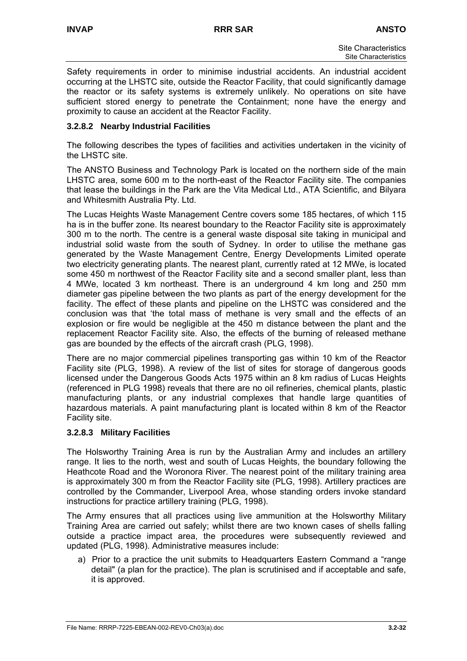Safety requirements in order to minimise industrial accidents. An industrial accident occurring at the LHSTC site, outside the Reactor Facility, that could significantly damage the reactor or its safety systems is extremely unlikely. No operations on site have sufficient stored energy to penetrate the Containment; none have the energy and proximity to cause an accident at the Reactor Facility.

## **3.2.8.2 Nearby Industrial Facilities**

The following describes the types of facilities and activities undertaken in the vicinity of the LHSTC site.

The ANSTO Business and Technology Park is located on the northern side of the main LHSTC area, some 600 m to the north-east of the Reactor Facility site. The companies that lease the buildings in the Park are the Vita Medical Ltd., ATA Scientific, and Bilyara and Whitesmith Australia Pty. Ltd.

The Lucas Heights Waste Management Centre covers some 185 hectares, of which 115 ha is in the buffer zone. Its nearest boundary to the Reactor Facility site is approximately 300 m to the north. The centre is a general waste disposal site taking in municipal and industrial solid waste from the south of Sydney. In order to utilise the methane gas generated by the Waste Management Centre, Energy Developments Limited operate two electricity generating plants. The nearest plant, currently rated at 12 MWe, is located some 450 m northwest of the Reactor Facility site and a second smaller plant, less than 4 MWe, located 3 km northeast. There is an underground 4 km long and 250 mm diameter gas pipeline between the two plants as part of the energy development for the facility. The effect of these plants and pipeline on the LHSTC was considered and the conclusion was that 'the total mass of methane is very small and the effects of an explosion or fire would be negligible at the 450 m distance between the plant and the replacement Reactor Facility site. Also, the effects of the burning of released methane gas are bounded by the effects of the aircraft crash (PLG, 1998).

There are no major commercial pipelines transporting gas within 10 km of the Reactor Facility site (PLG, 1998). A review of the list of sites for storage of dangerous goods licensed under the Dangerous Goods Acts 1975 within an 8 km radius of Lucas Heights (referenced in PLG 1998) reveals that there are no oil refineries, chemical plants, plastic manufacturing plants, or any industrial complexes that handle large quantities of hazardous materials. A paint manufacturing plant is located within 8 km of the Reactor Facility site.

## **3.2.8.3 Military Facilities**

The Holsworthy Training Area is run by the Australian Army and includes an artillery range. It lies to the north, west and south of Lucas Heights, the boundary following the Heathcote Road and the Woronora River. The nearest point of the military training area is approximately 300 m from the Reactor Facility site (PLG, 1998). Artillery practices are controlled by the Commander, Liverpool Area, whose standing orders invoke standard instructions for practice artillery training (PLG, 1998).

The Army ensures that all practices using live ammunition at the Holsworthy Military Training Area are carried out safely; whilst there are two known cases of shells falling outside a practice impact area, the procedures were subsequently reviewed and updated (PLG, 1998). Administrative measures include:

a) Prior to a practice the unit submits to Headquarters Eastern Command a "range detail" (a plan for the practice). The plan is scrutinised and if acceptable and safe, it is approved.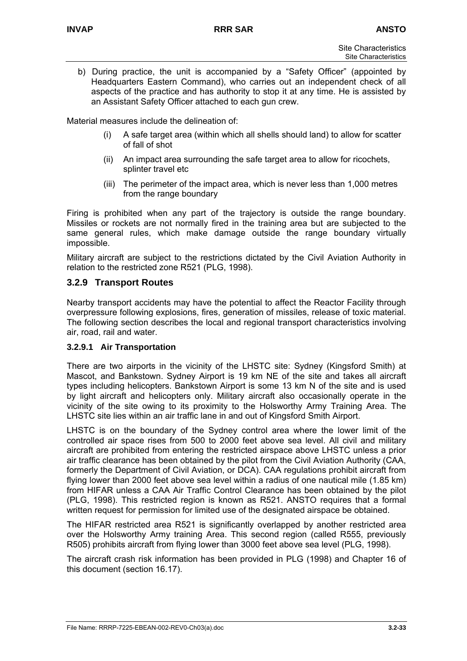b) During practice, the unit is accompanied by a "Safety Officer" (appointed by Headquarters Eastern Command), who carries out an independent check of all aspects of the practice and has authority to stop it at any time. He is assisted by an Assistant Safety Officer attached to each gun crew.

Material measures include the delineation of:

- (i) A safe target area (within which all shells should land) to allow for scatter of fall of shot
- (ii) An impact area surrounding the safe target area to allow for ricochets, splinter travel etc
- (iii) The perimeter of the impact area, which is never less than 1,000 metres from the range boundary

Firing is prohibited when any part of the trajectory is outside the range boundary. Missiles or rockets are not normally fired in the training area but are subjected to the same general rules, which make damage outside the range boundary virtually impossible.

Military aircraft are subject to the restrictions dictated by the Civil Aviation Authority in relation to the restricted zone R521 (PLG, 1998).

## **3.2.9 Transport Routes**

Nearby transport accidents may have the potential to affect the Reactor Facility through overpressure following explosions, fires, generation of missiles, release of toxic material. The following section describes the local and regional transport characteristics involving air, road, rail and water.

## **3.2.9.1 Air Transportation**

There are two airports in the vicinity of the LHSTC site: Sydney (Kingsford Smith) at Mascot, and Bankstown. Sydney Airport is 19 km NE of the site and takes all aircraft types including helicopters. Bankstown Airport is some 13 km N of the site and is used by light aircraft and helicopters only. Military aircraft also occasionally operate in the vicinity of the site owing to its proximity to the Holsworthy Army Training Area. The LHSTC site lies within an air traffic lane in and out of Kingsford Smith Airport.

LHSTC is on the boundary of the Sydney control area where the lower limit of the controlled air space rises from 500 to 2000 feet above sea level. All civil and military aircraft are prohibited from entering the restricted airspace above LHSTC unless a prior air traffic clearance has been obtained by the pilot from the Civil Aviation Authority (CAA, formerly the Department of Civil Aviation, or DCA). CAA regulations prohibit aircraft from flying lower than 2000 feet above sea level within a radius of one nautical mile (1.85 km) from HIFAR unless a CAA Air Traffic Control Clearance has been obtained by the pilot (PLG, 1998). This restricted region is known as R521. ANSTO requires that a formal written request for permission for limited use of the designated airspace be obtained.

The HIFAR restricted area R521 is significantly overlapped by another restricted area over the Holsworthy Army training Area. This second region (called R555, previously R505) prohibits aircraft from flying lower than 3000 feet above sea level (PLG, 1998).

The aircraft crash risk information has been provided in PLG (1998) and Chapter 16 of this document (section 16.17).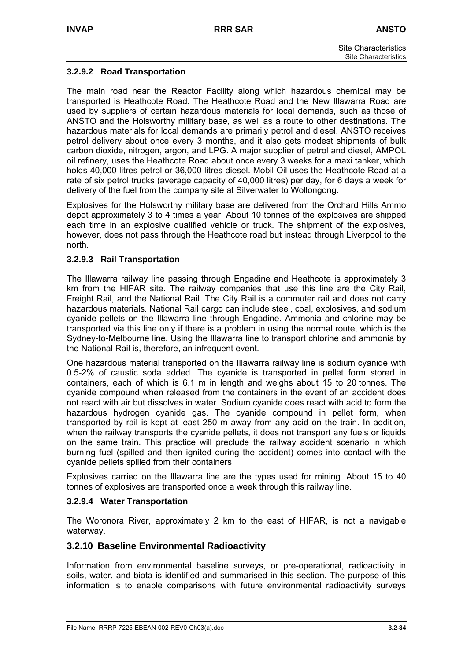#### **3.2.9.2 Road Transportation**

The main road near the Reactor Facility along which hazardous chemical may be transported is Heathcote Road. The Heathcote Road and the New Illawarra Road are used by suppliers of certain hazardous materials for local demands, such as those of ANSTO and the Holsworthy military base, as well as a route to other destinations. The hazardous materials for local demands are primarily petrol and diesel. ANSTO receives petrol delivery about once every 3 months, and it also gets modest shipments of bulk carbon dioxide, nitrogen, argon, and LPG. A major supplier of petrol and diesel, AMPOL oil refinery, uses the Heathcote Road about once every 3 weeks for a maxi tanker, which holds 40,000 litres petrol or 36,000 litres diesel. Mobil Oil uses the Heathcote Road at a rate of six petrol trucks (average capacity of 40,000 litres) per day, for 6 days a week for delivery of the fuel from the company site at Silverwater to Wollongong.

Explosives for the Holsworthy military base are delivered from the Orchard Hills Ammo depot approximately 3 to 4 times a year. About 10 tonnes of the explosives are shipped each time in an explosive qualified vehicle or truck. The shipment of the explosives, however, does not pass through the Heathcote road but instead through Liverpool to the north.

#### **3.2.9.3 Rail Transportation**

The Illawarra railway line passing through Engadine and Heathcote is approximately 3 km from the HIFAR site. The railway companies that use this line are the City Rail, Freight Rail, and the National Rail. The City Rail is a commuter rail and does not carry hazardous materials. National Rail cargo can include steel, coal, explosives, and sodium cyanide pellets on the Illawarra line through Engadine. Ammonia and chlorine may be transported via this line only if there is a problem in using the normal route, which is the Sydney-to-Melbourne line. Using the Illawarra line to transport chlorine and ammonia by the National Rail is, therefore, an infrequent event.

One hazardous material transported on the Illawarra railway line is sodium cyanide with 0.5-2% of caustic soda added. The cyanide is transported in pellet form stored in containers, each of which is 6.1 m in length and weighs about 15 to 20 tonnes. The cyanide compound when released from the containers in the event of an accident does not react with air but dissolves in water. Sodium cyanide does react with acid to form the hazardous hydrogen cyanide gas. The cyanide compound in pellet form, when transported by rail is kept at least 250 m away from any acid on the train. In addition, when the railway transports the cyanide pellets, it does not transport any fuels or liquids on the same train. This practice will preclude the railway accident scenario in which burning fuel (spilled and then ignited during the accident) comes into contact with the cyanide pellets spilled from their containers.

Explosives carried on the Illawarra line are the types used for mining. About 15 to 40 tonnes of explosives are transported once a week through this railway line.

#### **3.2.9.4 Water Transportation**

The Woronora River, approximately 2 km to the east of HIFAR, is not a navigable waterway.

## **3.2.10 Baseline Environmental Radioactivity**

Information from environmental baseline surveys, or pre-operational, radioactivity in soils, water, and biota is identified and summarised in this section. The purpose of this information is to enable comparisons with future environmental radioactivity surveys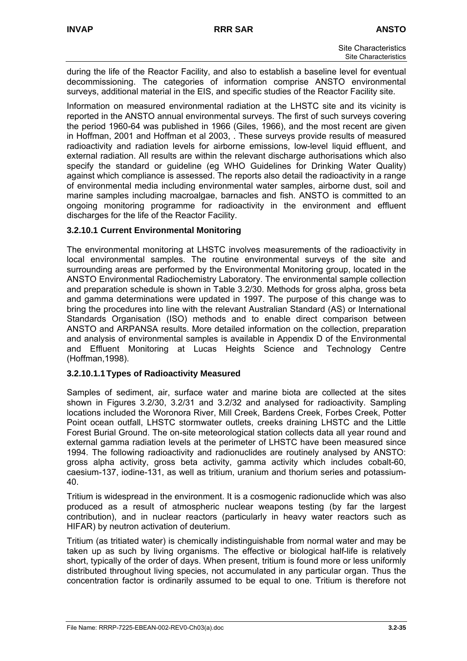during the life of the Reactor Facility, and also to establish a baseline level for eventual decommissioning. The categories of information comprise ANSTO environmental surveys, additional material in the EIS, and specific studies of the Reactor Facility site.

Information on measured environmental radiation at the LHSTC site and its vicinity is reported in the ANSTO annual environmental surveys. The first of such surveys covering the period 1960-64 was published in 1966 (Giles, 1966), and the most recent are given in Hoffman, 2001 and Hoffman et al 2003, . These surveys provide results of measured radioactivity and radiation levels for airborne emissions, low-level liquid effluent, and external radiation. All results are within the relevant discharge authorisations which also specify the standard or guideline (eg WHO Guidelines for Drinking Water Quality) against which compliance is assessed. The reports also detail the radioactivity in a range of environmental media including environmental water samples, airborne dust, soil and marine samples including macroalgae, barnacles and fish. ANSTO is committed to an ongoing monitoring programme for radioactivity in the environment and effluent discharges for the life of the Reactor Facility.

## **3.2.10.1 Current Environmental Monitoring**

The environmental monitoring at LHSTC involves measurements of the radioactivity in local environmental samples. The routine environmental surveys of the site and surrounding areas are performed by the Environmental Monitoring group, located in the ANSTO Environmental Radiochemistry Laboratory. The environmental sample collection and preparation schedule is shown in Table 3.2/30. Methods for gross alpha, gross beta and gamma determinations were updated in 1997. The purpose of this change was to bring the procedures into line with the relevant Australian Standard (AS) or International Standards Organisation (ISO) methods and to enable direct comparison between ANSTO and ARPANSA results. More detailed information on the collection, preparation and analysis of environmental samples is available in Appendix D of the Environmental and Effluent Monitoring at Lucas Heights Science and Technology Centre (Hoffman,1998).

#### **3.2.10.1.1 Types of Radioactivity Measured**

Samples of sediment, air, surface water and marine biota are collected at the sites shown in Figures 3.2/30, 3.2/31 and 3.2/32 and analysed for radioactivity. Sampling locations included the Woronora River, Mill Creek, Bardens Creek, Forbes Creek, Potter Point ocean outfall, LHSTC stormwater outlets, creeks draining LHSTC and the Little Forest Burial Ground. The on-site meteorological station collects data all year round and external gamma radiation levels at the perimeter of LHSTC have been measured since 1994. The following radioactivity and radionuclides are routinely analysed by ANSTO: gross alpha activity, gross beta activity, gamma activity which includes cobalt-60, caesium-137, iodine-131, as well as tritium, uranium and thorium series and potassium-40.

Tritium is widespread in the environment. It is a cosmogenic radionuclide which was also produced as a result of atmospheric nuclear weapons testing (by far the largest contribution), and in nuclear reactors (particularly in heavy water reactors such as HIFAR) by neutron activation of deuterium.

Tritium (as tritiated water) is chemically indistinguishable from normal water and may be taken up as such by living organisms. The effective or biological half-life is relatively short, typically of the order of days. When present, tritium is found more or less uniformly distributed throughout living species, not accumulated in any particular organ. Thus the concentration factor is ordinarily assumed to be equal to one. Tritium is therefore not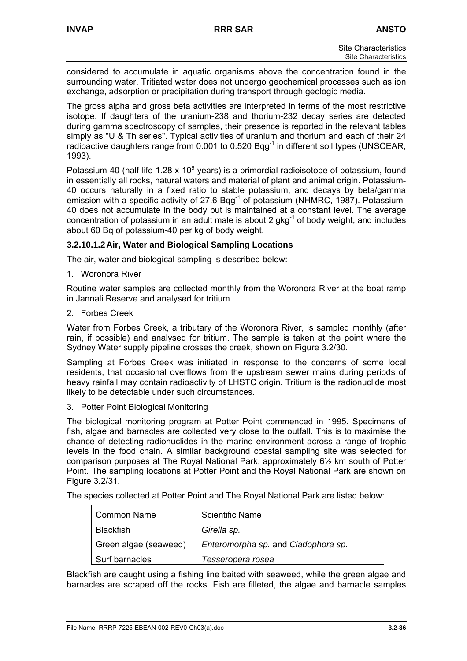considered to accumulate in aquatic organisms above the concentration found in the surrounding water. Tritiated water does not undergo geochemical processes such as ion exchange, adsorption or precipitation during transport through geologic media.

The gross alpha and gross beta activities are interpreted in terms of the most restrictive isotope. If daughters of the uranium-238 and thorium-232 decay series are detected during gamma spectroscopy of samples, their presence is reported in the relevant tables simply as "U & Th series". Typical activities of uranium and thorium and each of their 24 radioactive daughters range from 0.001 to 0.520  $Bqq^{-1}$  in different soil types (UNSCEAR, 1993).

Potassium-40 (half-life 1.28 x 10 $^9$  years) is a primordial radioisotope of potassium, found in essentially all rocks, natural waters and material of plant and animal origin. Potassium-40 occurs naturally in a fixed ratio to stable potassium, and decays by beta/gamma emission with a specific activity of 27.6  $Bqq^{-1}$  of potassium (NHMRC, 1987). Potassium-40 does not accumulate in the body but is maintained at a constant level. The average concentration of potassium in an adult male is about 2  $qkq^{-1}$  of body weight, and includes about 60 Bq of potassium-40 per kg of body weight.

## **3.2.10.1.2 Air, Water and Biological Sampling Locations**

The air, water and biological sampling is described below:

1. Woronora River

Routine water samples are collected monthly from the Woronora River at the boat ramp in Jannali Reserve and analysed for tritium.

2. Forbes Creek

Water from Forbes Creek, a tributary of the Woronora River, is sampled monthly (after rain, if possible) and analysed for tritium. The sample is taken at the point where the Sydney Water supply pipeline crosses the creek, shown on Figure 3.2/30.

Sampling at Forbes Creek was initiated in response to the concerns of some local residents, that occasional overflows from the upstream sewer mains during periods of heavy rainfall may contain radioactivity of LHSTC origin. Tritium is the radionuclide most likely to be detectable under such circumstances.

3. Potter Point Biological Monitoring

The biological monitoring program at Potter Point commenced in 1995. Specimens of fish, algae and barnacles are collected very close to the outfall. This is to maximise the chance of detecting radionuclides in the marine environment across a range of trophic levels in the food chain. A similar background coastal sampling site was selected for comparison purposes at The Royal National Park, approximately 6½ km south of Potter Point. The sampling locations at Potter Point and the Royal National Park are shown on Figure 3.2/31.

The species collected at Potter Point and The Royal National Park are listed below:

| <b>Common Name</b>    | <b>Scientific Name</b>              |
|-----------------------|-------------------------------------|
| <b>Blackfish</b>      | Girella sp.                         |
| Green algae (seaweed) | Enteromorpha sp. and Cladophora sp. |
| Surf barnacles        | Tesseropera rosea                   |

Blackfish are caught using a fishing line baited with seaweed, while the green algae and barnacles are scraped off the rocks. Fish are filleted, the algae and barnacle samples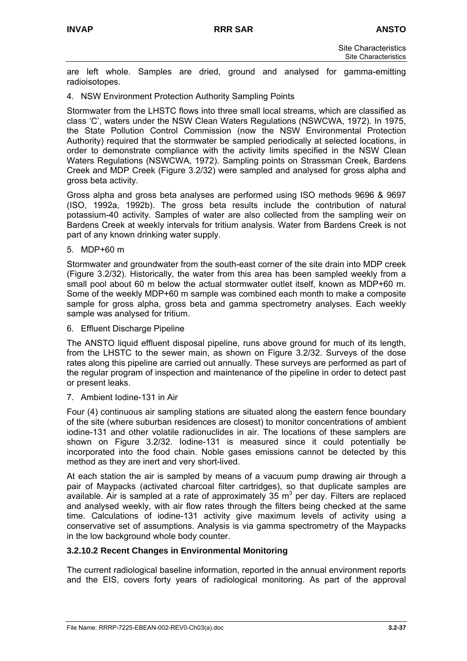are left whole. Samples are dried, ground and analysed for gamma-emitting radioisotopes.

4. NSW Environment Protection Authority Sampling Points

Stormwater from the LHSTC flows into three small local streams, which are classified as class 'C', waters under the NSW Clean Waters Regulations (NSWCWA, 1972). In 1975, the State Pollution Control Commission (now the NSW Environmental Protection Authority) required that the stormwater be sampled periodically at selected locations, in order to demonstrate compliance with the activity limits specified in the NSW Clean Waters Regulations (NSWCWA, 1972). Sampling points on Strassman Creek, Bardens Creek and MDP Creek (Figure 3.2/32) were sampled and analysed for gross alpha and gross beta activity.

Gross alpha and gross beta analyses are performed using ISO methods 9696 & 9697 (ISO, 1992a, 1992b). The gross beta results include the contribution of natural potassium-40 activity. Samples of water are also collected from the sampling weir on Bardens Creek at weekly intervals for tritium analysis. Water from Bardens Creek is not part of any known drinking water supply.

5. MDP+60 m

Stormwater and groundwater from the south-east corner of the site drain into MDP creek (Figure 3.2/32). Historically, the water from this area has been sampled weekly from a small pool about 60 m below the actual stormwater outlet itself, known as MDP+60 m. Some of the weekly MDP+60 m sample was combined each month to make a composite sample for gross alpha, gross beta and gamma spectrometry analyses. Each weekly sample was analysed for tritium.

6. Effluent Discharge Pipeline

The ANSTO liquid effluent disposal pipeline, runs above ground for much of its length, from the LHSTC to the sewer main, as shown on Figure 3.2/32. Surveys of the dose rates along this pipeline are carried out annually. These surveys are performed as part of the regular program of inspection and maintenance of the pipeline in order to detect past or present leaks.

7. Ambient Iodine-131 in Air

Four (4) continuous air sampling stations are situated along the eastern fence boundary of the site (where suburban residences are closest) to monitor concentrations of ambient iodine-131 and other volatile radionuclides in air. The locations of these samplers are shown on Figure 3.2/32. Iodine-131 is measured since it could potentially be incorporated into the food chain. Noble gases emissions cannot be detected by this method as they are inert and very short-lived.

At each station the air is sampled by means of a vacuum pump drawing air through a pair of Maypacks (activated charcoal filter cartridges), so that duplicate samples are available. Air is sampled at a rate of approximately 35  $m<sup>3</sup>$  per day. Filters are replaced and analysed weekly, with air flow rates through the filters being checked at the same time. Calculations of iodine-131 activity give maximum levels of activity using a conservative set of assumptions. Analysis is via gamma spectrometry of the Maypacks in the low background whole body counter.

## **3.2.10.2 Recent Changes in Environmental Monitoring**

The current radiological baseline information, reported in the annual environment reports and the EIS, covers forty years of radiological monitoring. As part of the approval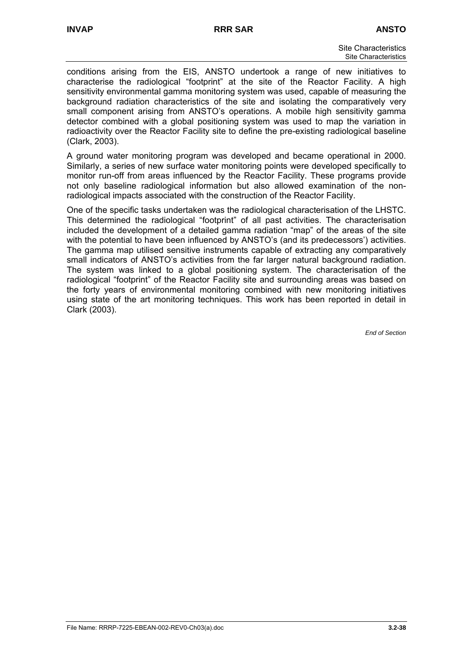conditions arising from the EIS, ANSTO undertook a range of new initiatives to characterise the radiological "footprint" at the site of the Reactor Facility. A high sensitivity environmental gamma monitoring system was used, capable of measuring the background radiation characteristics of the site and isolating the comparatively very small component arising from ANSTO's operations. A mobile high sensitivity gamma detector combined with a global positioning system was used to map the variation in radioactivity over the Reactor Facility site to define the pre-existing radiological baseline (Clark, 2003).

A ground water monitoring program was developed and became operational in 2000. Similarly, a series of new surface water monitoring points were developed specifically to monitor run-off from areas influenced by the Reactor Facility. These programs provide not only baseline radiological information but also allowed examination of the nonradiological impacts associated with the construction of the Reactor Facility.

One of the specific tasks undertaken was the radiological characterisation of the LHSTC. This determined the radiological "footprint" of all past activities. The characterisation included the development of a detailed gamma radiation "map" of the areas of the site with the potential to have been influenced by ANSTO's (and its predecessors') activities. The gamma map utilised sensitive instruments capable of extracting any comparatively small indicators of ANSTO's activities from the far larger natural background radiation. The system was linked to a global positioning system. The characterisation of the radiological "footprint" of the Reactor Facility site and surrounding areas was based on the forty years of environmental monitoring combined with new monitoring initiatives using state of the art monitoring techniques. This work has been reported in detail in Clark (2003).

*End of Section*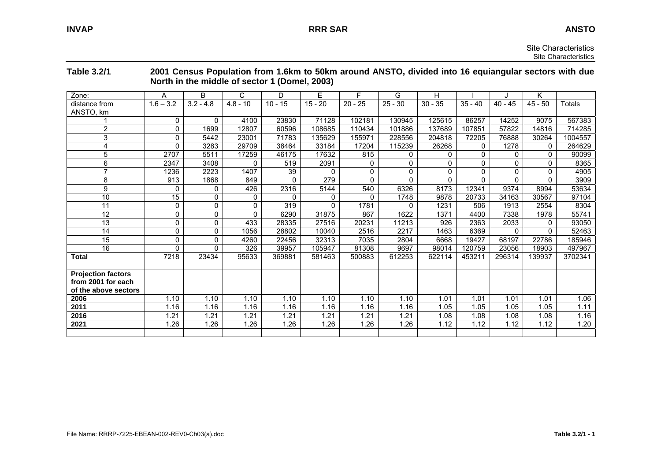|                                                                         |                 |              |              | North in the middle of sector 1 (Domel, 2003) |           |           |           |              |           |           |              |         |
|-------------------------------------------------------------------------|-----------------|--------------|--------------|-----------------------------------------------|-----------|-----------|-----------|--------------|-----------|-----------|--------------|---------|
| Zone:                                                                   | A               | B            | C            | D                                             | E         | F         | G         | H            |           |           | Κ            |         |
| distance from<br>ANSTO, km                                              | $1.6 - 3.2$     | $3.2 - 4.8$  | $4.8 - 10$   | $10 - 15$                                     | $15 - 20$ | $20 - 25$ | $25 - 30$ | $30 - 35$    | $35 - 40$ | $40 - 45$ | $45 - 50$    | Totals  |
|                                                                         | 0               | $\mathbf{0}$ | 4100         | 23830                                         | 71128     | 102181    | 130945    | 125615       | 86257     | 14252     | 9075         | 567383  |
| 2                                                                       | 0               | 1699         | 12807        | 60596                                         | 108685    | 110434    | 101886    | 137689       | 107851    | 57822     | 14816        | 714285  |
| 3                                                                       | 0               | 5442         | 23001        | 71783                                         | 135629    | 155971    | 228556    | 204818       | 72205     | 76888     | 30264        | 1004557 |
| 4                                                                       | $\Omega$        | 3283         | 29709        | 38464                                         | 33184     | 17204     | 115239    | 26268        | 0         | 1278      | 0            | 264629  |
| 5                                                                       | 2707            | 5511         | 17259        | 46175                                         | 17632     | 815       | 0         | 0            | 0         | 0         | $\mathbf{0}$ | 90099   |
| 6                                                                       | 2347            | 3408         | $\Omega$     | 519                                           | 2091      | 0         | 0         | $\Omega$     | 0         | $\Omega$  | $\mathbf{0}$ | 8365    |
| 7                                                                       | 1236            | 2223         | 1407         | 39                                            | $\Omega$  | 0         | 0         | 0            | 0         | $\Omega$  | $\mathbf{0}$ | 4905    |
| 8                                                                       | 913             | 1868         | 849          | $\Omega$                                      | 279       | $\Omega$  | $\Omega$  | $\mathbf{0}$ | 0         | $\Omega$  | $\Omega$     | 3909    |
| 9                                                                       | $\mathbf{0}$    | 0            | 426          | 2316                                          | 5144      | 540       | 6326      | 8173         | 12341     | 9374      | 8994         | 53634   |
| 10                                                                      | $\overline{15}$ | $\mathbf{0}$ | $\mathbf{0}$ | $\Omega$                                      | $\Omega$  | $\Omega$  | 1748      | 9878         | 20733     | 34163     | 30567        | 97104   |
| 11                                                                      | 0               | 0            | 0            | 319                                           | $\Omega$  | 1781      | 0         | 1231         | 506       | 1913      | 2554         | 8304    |
| 12                                                                      | 0               | 0            | $\Omega$     | 6290                                          | 31875     | 867       | 1622      | 1371         | 4400      | 7338      | 1978         | 55741   |
| 13                                                                      | 0               | 0            | 433          | 28335                                         | 27516     | 20231     | 11213     | 926          | 2363      | 2033      | 0            | 93050   |
| 14                                                                      | $\mathbf 0$     | 0            | 1056         | 28802                                         | 10040     | 2516      | 2217      | 1463         | 6369      | $\Omega$  | $\Omega$     | 52463   |
| 15                                                                      | $\mathbf 0$     | $\mathbf{0}$ | 4260         | 22456                                         | 32313     | 7035      | 2804      | 6668         | 19427     | 68197     | 22786        | 185946  |
| 16                                                                      | $\Omega$        | 0            | 326          | 39957                                         | 105947    | 81308     | 9697      | 98014        | 120759    | 23056     | 18903        | 497967  |
| <b>Total</b>                                                            | 7218            | 23434        | 95633        | 369881                                        | 581463    | 500883    | 612253    | 622114       | 453211    | 296314    | 139937       | 3702341 |
|                                                                         |                 |              |              |                                               |           |           |           |              |           |           |              |         |
| <b>Projection factors</b><br>from 2001 for each<br>of the above sectors |                 |              |              |                                               |           |           |           |              |           |           |              |         |
| 2006                                                                    | 1.10            | 1.10         | 1.10         | 1.10                                          | 1.10      | 1.10      | 1.10      | 1.01         | 1.01      | 1.01      | 1.01         | 1.06    |
| 2011                                                                    | 1.16            | 1.16         | 1.16         | 1.16                                          | 1.16      | 1.16      | 1.16      | 1.05         | 1.05      | 1.05      | 1.05         | 1.11    |
| 2016                                                                    | 1.21            | 1.21         | 1.21         | 1.21                                          | 1.21      | 1.21      | 1.21      | 1.08         | 1.08      | 1.08      | 1.08         | 1.16    |
| 2021                                                                    | 1.26            | 1.26         | 1.26         | 1.26                                          | 1.26      | 1.26      | 1.26      | 1.12         | 1.12      | 1.12      | 1.12         | 1.20    |
|                                                                         |                 |              |              |                                               |           |           |           |              |           |           |              |         |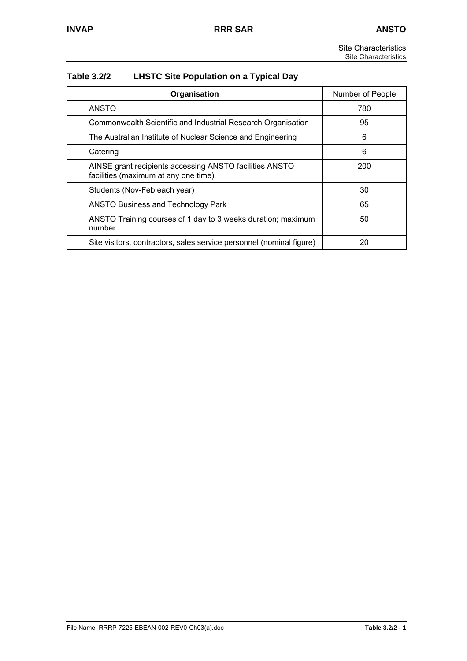| Table 3.2/2 | <b>LHSTC Site Population on a Typical Day</b> |  |  |
|-------------|-----------------------------------------------|--|--|
|             |                                               |  |  |

| Organisation                                                                                    | Number of People |
|-------------------------------------------------------------------------------------------------|------------------|
| <b>ANSTO</b>                                                                                    | 780              |
| Commonwealth Scientific and Industrial Research Organisation                                    | 95               |
| The Australian Institute of Nuclear Science and Engineering                                     | 6                |
| Catering                                                                                        | 6                |
| AINSE grant recipients accessing ANSTO facilities ANSTO<br>facilities (maximum at any one time) | 200              |
| Students (Nov-Feb each year)                                                                    | 30               |
| <b>ANSTO Business and Technology Park</b>                                                       | 65               |
| ANSTO Training courses of 1 day to 3 weeks duration; maximum<br>number                          | 50               |
| Site visitors, contractors, sales service personnel (nominal figure)                            | 20               |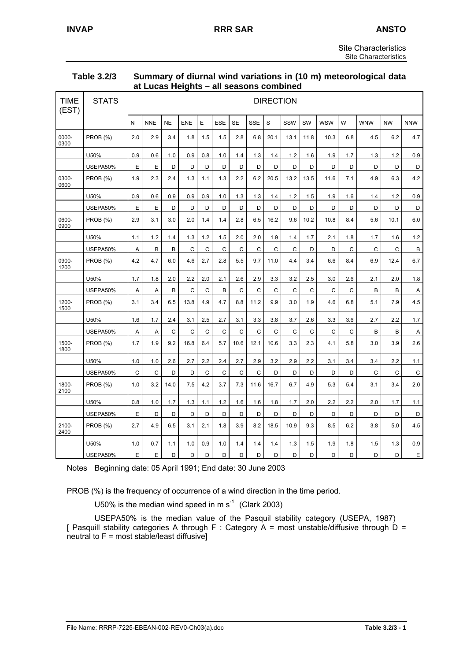| Table 3.2/3 | Summary of diurnal wind variations in (10 m) meteorological data |
|-------------|------------------------------------------------------------------|
|             | at Lucas Heights - all seasons combined                          |

| <b>TIME</b><br>(EST) | <b>STATS</b>    |     |            |              |              |              |              |              |              | <b>DIRECTION</b> |              |             |              |     |            |             |                |
|----------------------|-----------------|-----|------------|--------------|--------------|--------------|--------------|--------------|--------------|------------------|--------------|-------------|--------------|-----|------------|-------------|----------------|
|                      |                 | N   | <b>NNE</b> | <b>NE</b>    | <b>ENE</b>   | E            | <b>ESE</b>   | <b>SE</b>    | <b>SSE</b>   | S                | SSW          | SW          | <b>WSW</b>   | W   | <b>WNW</b> | <b>NW</b>   | <b>NNW</b>     |
| 0000-<br>0300        | <b>PROB (%)</b> | 2.0 | 2.9        | 3.4          | 1.8          | 1.5          | 1.5          | 2.8          | 6.8          | 20.1             | 13.1         | 11.8        | 10.3         | 6.8 | 4.5        | 6.2         | 4.7            |
|                      | U50%            | 0.9 | 0.6        | 1.0          | 0.9          | 0.8          | 1.0          | 1.4          | 1.3          | 1.4              | 1.2          | 1.6         | 1.9          | 1.7 | 1.3        | 1.2         | 0.9            |
|                      | USEPA50%        | Е   | E          | D            | D            | D            | D            | D            | D            | D                | D            | D           | D            | D   | D          | D           | D              |
| 0300-<br>0600        | PROB (%)        | 1.9 | 2.3        | 2.4          | 1.3          | 1.1          | 1.3          | 2.2          | 6.2          | 20.5             | 13.2         | 13.5        | 11.6         | 7.1 | 4.9        | 6.3         | 4.2            |
|                      | U50%            | 0.9 | 0.6        | 0.9          | 0.9          | 0.9          | 1.0          | 1.3          | $1.3$        | $1.4$            | 1.2          | 1.5         | 1.9          | 1.6 | 1.4        | 1.2         | 0.9            |
|                      | USEPA50%        | E   | E          | D            | D            | D            | D            | D            | D            | D                | D            | D           | D            | D   | D          | D           | D              |
| 0600-<br>0900        | PROB (%)        | 2.9 | 3.1        | 3.0          | 2.0          | 1.4          | 1.4          | 2.8          | 6.5          | 16.2             | 9.6          | 10.2        | 10.8         | 8.4 | 5.6        | 10.1        | 6.0            |
|                      | U50%            | 1.1 | 1.2        | 1.4          | 1.3          | 1.2          | 1.5          | 2.0          | 2.0          | 1.9              | 1.4          | 1.7         | 2.1          | 1.8 | 1.7        | 1.6         | 1.2            |
|                      | USEPA50%        | Α   | B          | B            | C            | C            | C            | C            | C            | C                | $\mathsf{C}$ | D           | D            | C   | C          | C           | B              |
| 0900-<br>1200        | PROB (%)        | 4.2 | 4.7        | 6.0          | 4.6          | 2.7          | 2.8          | 5.5          | 9.7          | 11.0             | 4.4          | 3.4         | 6.6          | 8.4 | 6.9        | 12.4        | 6.7            |
|                      | U50%            | 1.7 | 1.8        | 2.0          | 2.2          | 2.0          | 2.1          | 2.6          | 2.9          | 3.3              | 3.2          | 2.5         | 3.0          | 2.6 | 2.1        | $2.0\,$     | 1.8            |
|                      | USEPA50%        | Α   | A          | B            | $\mathsf{C}$ | $\mathsf C$  | B            | $\mathsf{C}$ | C            | $\mathbf C$      | $\mathbf C$  | $\mathbf C$ | $\mathsf{C}$ | C   | B          | B           | $\overline{A}$ |
| 1200-<br>1500        | <b>PROB (%)</b> | 3.1 | 3.4        | 6.5          | 13.8         | 4.9          | 4.7          | 8.8          | 11.2         | 9.9              | 3.0          | 1.9         | 4.6          | 6.8 | 5.1        | 7.9         | 4.5            |
|                      | U50%            | 1.6 | 1.7        | 2.4          | 3.1          | 2.5          | 2.7          | 3.1          | 3.3          | 3.8              | 3.7          | 2.6         | 3.3          | 3.6 | 2.7        | 2.2         | 1.7            |
|                      | USEPA50%        | A   | A          | $\mathsf{C}$ | $\mathsf{C}$ | $\mathsf{C}$ | $\mathsf{C}$ | $\mathsf{C}$ | $\mathbf C$  | C                | $\mathsf{C}$ | C           | C            | C   | B          | B           | Α              |
| 1500-<br>1800        | PROB (%)        | 1.7 | 1.9        | 9.2          | 16.8         | 6.4          | 5.7          | 10.6         | 12.1         | 10.6             | 3.3          | 2.3         | 4.1          | 5.8 | 3.0        | 3.9         | 2.6            |
|                      | U50%            | 1.0 | 1.0        | 2.6          | 2.7          | 2.2          | 2.4          | 2.7          | 2.9          | 3.2              | 2.9          | 2.2         | 3.1          | 3.4 | 3.4        | 2.2         | 1.1            |
|                      | USEPA50%        | C   | C          | D            | D            | C            | C            | $\mathsf{C}$ | $\mathsf{C}$ | D                | D            | D           | D            | D   | C          | $\mathsf C$ | $\mathsf C$    |
| 1800-<br>2100        | PROB (%)        | 1.0 | 3.2        | 14.0         | 7.5          | 4.2          | 3.7          | 7.3          | 11.6         | 16.7             | 6.7          | 4.9         | 5.3          | 5.4 | 3.1        | 3.4         | 2.0            |
|                      | U50%            | 0.8 | 1.0        | 1.7          | 1.3          | 1.1          | 1.2          | 1.6          | 1.6          | 1.8              | 1.7          | 2.0         | 2.2          | 2.2 | 2.0        | 1.7         | 1.1            |
|                      | USEPA50%        | E   | D          | D            | D            | D            | D            | D            | D            | D                | D            | D           | D            | D   | D          | D           | D              |
| 2100-<br>2400        | PROB (%)        | 2.7 | 4.9        | 6.5          | 3.1          | 2.1          | 1.8          | 3.9          | 8.2          | 18.5             | 10.9         | 9.3         | 8.5          | 6.2 | 3.8        | 5.0         | 4.5            |
|                      | U50%            | 1.0 | 0.7        | 1.1          | 1.0          | 0.9          | 1.0          | 1.4          | 1.4          | 1.4              | 1.3          | 1.5         | 1.9          | 1.8 | 1.5        | 1.3         | 0.9            |
|                      | USEPA50%        | E   | E          | D            | D            | D            | D            | D            | D            | D                | D            | D           | D            | D   | D          | D           | $\mathsf E$    |

Notes Beginning date: 05 April 1991; End date: 30 June 2003

PROB (%) is the frequency of occurrence of a wind direction in the time period.

U50% is the median wind speed in m  $s^{-1}$  (Clark 2003)

USEPA50% is the median value of the Pasquil stability category (USEPA, 1987) [ Pasquill stability categories A through F : Category A = most unstable/diffusive through  $D =$  $neutrial$  to  $F = most stable/least diffusive$ ]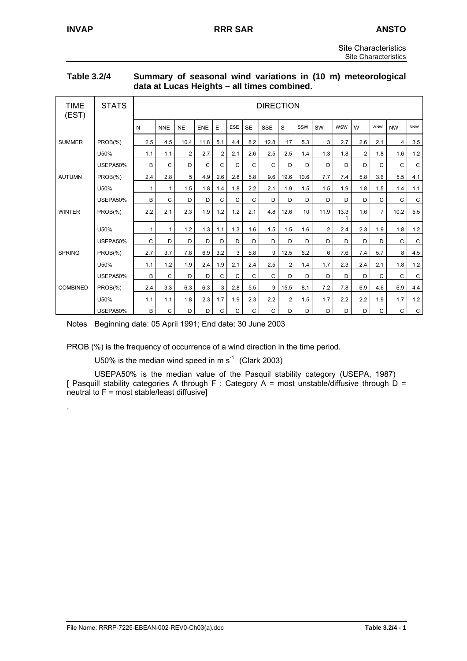.

#### **Table 3.2/4 Summary of seasonal wind variations in (10 m) meteorological data at Lucas Heights – all times combined.**

| <b>TIME</b><br>(EST) | <b>STATS</b>         |              |              |                |            |                |            |              | <b>DIRECTION</b> |                |      |                |            |                |                |              |             |
|----------------------|----------------------|--------------|--------------|----------------|------------|----------------|------------|--------------|------------------|----------------|------|----------------|------------|----------------|----------------|--------------|-------------|
|                      |                      | N            | <b>NNE</b>   | <b>NE</b>      | <b>ENE</b> | E              | <b>ESE</b> | <b>SE</b>    | <b>SSE</b>       | S              | SSW  | SW             | <b>WSW</b> | W              | <b>WNW</b>     | <b>NW</b>    | <b>NNW</b>  |
| <b>SUMMER</b>        | PROB(%)              | 2.5          | 4.5          | 10.4           | 11.8       | 5.1            | 4.4        | 8.2          | 12.8             | 17             | 5.3  | 3              | 2.7        | 2.6            | 2.1            | 4            | 3.5         |
|                      | U50%                 | 1.1          | 1.1          | $\overline{2}$ | 2.7        | $\overline{2}$ | 2.1        | 2.6          | 2.5              | 2.5            | 1.4  | 1.3            | 1.8        | $\overline{2}$ | 1.8            | 1.6          | $1.2$       |
|                      | USEPA50%             | B            | $\mathsf{C}$ | D              | C          | C              | C          | $\mathsf{C}$ | C                | D              | D    | D              | D          | D              | $\mathsf{C}$   | C            | C           |
| <b>AUTUMN</b>        | $PROB(\% )$          | 2.4          | 2.8          | 5              | 4.9        | 2.6            | 2.8        | 5.8          | 9.6              | 19.6           | 10.6 | 7.7            | 7.4        | 5.8            | 3.6            | 5.5          | 4.1         |
|                      | U50%                 | 1            | $\mathbf{1}$ | 1.5            | 1.8        | 1.4            | 1.8        | 2.2          | 2.1              | 1.9            | 1.5  | 1.5            | 1.9        | 1.8            | 1.5            | 1.4          | 1.1         |
|                      | USEPA50%             | B            | C            | D              | D          | C              | C          | $\mathsf{C}$ | D                | D              | D    | D              | D          | D              | $\mathsf{C}$   | C            | C           |
| <b>WINTER</b>        | PROB( <sub>%</sub> ) | 2.2          | 2.1          | 2.3            | 1.9        | 1.2            | 1.2        | 2.1          | 4.8              | 12.6           | 10   | 11.9           | 13.3<br>1  | 1.6            | $\overline{7}$ | 10.2         | 5.5         |
|                      | U50%                 | 1            | 1            | 1.2            | 1.3        | 1.1            | 1.3        | 1.6          | 1.5              | 1.5            | 1.6  | $\overline{2}$ | 2.4        | 2.3            | 1.9            | 1.8          | $1.2\,$     |
|                      | USEPA50%             | $\mathsf{C}$ | D            | D              | D          | D              | D          | D            | D                | D              | D    | D              | D          | D              | D              | $\mathsf{C}$ | $\mathsf C$ |
| <b>SPRING</b>        | PROB( <sub>%</sub> ) | 2.7          | 3.7          | 7.8            | 6.9        | 3.2            | 3          | 5.8          | 9                | 12.5           | 6.2  | 6              | 7.6        | 7.4            | 5.7            | 8            | 4.5         |
|                      | U50%                 | 1.1          | 1.2          | 1.9            | 2.4        | 1.9            | 2.1        | 2.4          | 2.5              | $\overline{2}$ | 1.4  | 1.7            | 2.3        | 2.4            | 2.1            | 1.8          | 1.2         |
|                      | USEPA50%             | B            | $\mathsf{C}$ | D              | D          | C              | C          | $\mathsf{C}$ | C                | D              | D    | D              | D          | D              | $\mathsf{C}$   | $\mathsf{C}$ | $\mathsf C$ |
| <b>COMBINED</b>      | PROB( <sub>%</sub> ) | 2.4          | 3.3          | 6.3            | 6.3        | 3              | 2.8        | 5.5          | 9                | 15.5           | 8.1  | 7.2            | 7.8        | 6.9            | 4.6            | 6.9          | 4.4         |
|                      | U50%                 | 1.1          | 1.1          | 1.8            | 2.3        | 1.7            | 1.9        | 2.3          | 2.2              | $\overline{2}$ | 1.5  | 1.7            | 2.2        | 2.2            | 1.9            | 1.7          | $1.2$       |
|                      | USEPA50%             | B            | C            | D              | D          | C              | C          | $\mathsf C$  | C                | D              | D    | D              | D          | D              | $\mathsf{C}$   | C            | $\mathbf C$ |

Notes Beginning date: 05 April 1991; End date: 30 June 2003

PROB (%) is the frequency of occurrence of a wind direction in the time period.

U50% is the median wind speed in m  $s^{-1}$  (Clark 2003)

USEPA50% is the median value of the Pasquil stability category (USEPA, 1987) [ Pasquill stability categories A through F : Category A = most unstable/diffusive through D = neutral to  $F =$  most stable/least diffusive]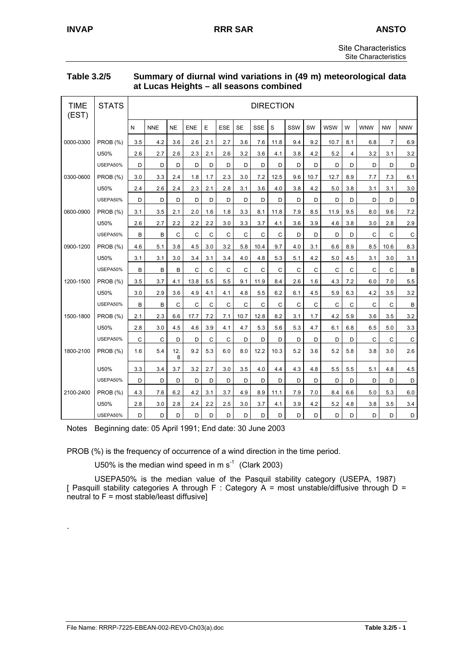| <b>Table 3.2/5</b> | Summary of diurnal wind variations in (49 m) meteorological data |
|--------------------|------------------------------------------------------------------|
|                    | at Lucas Heights – all seasons combined                          |

| <b>TIME</b><br>(EST) | <b>STATS</b>    |              | <b>DIRECTION</b> |           |      |     |            |              |              |      |     |      |            |                |              |                |              |
|----------------------|-----------------|--------------|------------------|-----------|------|-----|------------|--------------|--------------|------|-----|------|------------|----------------|--------------|----------------|--------------|
|                      |                 | N            | <b>NNE</b>       | <b>NE</b> | ENE  | E   | <b>ESE</b> | <b>SE</b>    | <b>SSE</b>   | S    | SSW | SW   | <b>WSW</b> | W              | <b>WNW</b>   | <b>NW</b>      | <b>NNW</b>   |
| 0000-0300            | <b>PROB (%)</b> | 3.5          | 4.2              | 3.6       | 2.6  | 2.1 | 2.7        | 3.6          | 7.6          | 11.8 | 9.4 | 9.2  | 10.7       | 8.1            | 6.8          | $\overline{7}$ | 6.9          |
|                      | U50%            | 2.6          | 2.7              | 2.6       | 2.3  | 2.1 | 2.6        | 3.2          | 3.6          | 4.1  | 3.8 | 4.2  | 5.2        | $\overline{4}$ | 3.2          | 3.1            | 3.2          |
|                      | USEPA50%        | D            | D                | D         | D    | D   | D          | D            | D            | D    | D   | D    | D          | D              | D            | D              | D            |
| 0300-0600            | <b>PROB</b> (%) | 3.0          | 3.3              | 2.4       | 1.8  | 1.7 | 2.3        | 3.0          | 7.2          | 12.5 | 9.6 | 10.7 | 12.7       | 8.9            | 7.7          | 7.3            | 6.1          |
|                      | U50%            | 2.4          | 2.6              | 2.4       | 2.3  | 2.1 | 2.8        | 3.1          | 3.6          | 4.0  | 3.8 | 4.2  | 5.0        | 3.8            | 3.1          | 3.1            | 3.0          |
|                      | USEPA50%        | D            | D                | D         | D    | D   | D          | D            | D            | D    | D   | D    | D          | D              | D            | D              | D            |
| 0600-0900            | <b>PROB</b> (%) | 3.1          | 3.5              | 2.1       | 2.0  | 1.6 | 1.8        | 3.3          | 8.1          | 11.8 | 7.9 | 8.5  | 11.9       | 9.5            | 8.0          | 9.6            | 7.2          |
|                      | U50%            | 2.6          | 2.7              | 2.2       | 2.2  | 2.2 | 3.0        | 3.3          | 3.7          | 4.1  | 3.6 | 3.9  | 4.6        | 3.8            | 3.0          | 2.8            | 2.9          |
|                      | USEPA50%        | B            | B                | C         | C    | C   | C          | $\mathsf{C}$ | C            | C    | D   | D    | D          | D              | C            | $\mathsf{C}$   | $\mathsf C$  |
| 0900-1200            | <b>PROB</b> (%) | 4.6          | 5.1              | 3.8       | 4.5  | 3.0 | 3.2        | 5.8          | 10.4         | 9.7  | 4.0 | 3.1  | 6.6        | 8.9            | 8.5          | 10.6           | 8.3          |
|                      | U50%            | 3.1          | 3.1              | 3.0       | 3.4  | 3.1 | 3.4        | 4.0          | 4.8          | 5.3  | 5.1 | 4.2  | 5.0        | 4.5            | 3.1          | 3.0            | 3.1          |
|                      | USEPA50%        | B            | B                | B         | C    | C   | C          | $\mathsf{C}$ | $\mathsf{C}$ | C    | C   | C    | C          | C              | $\mathsf{C}$ | $\mathsf{C}$   | B            |
| 1200-1500            | PROB (%)        | 3.5          | 3.7              | 4.1       | 13.8 | 5.5 | 5.5        | 9.1          | 11.9         | 8.4  | 2.6 | 1.6  | 4.3        | 7.2            | 6.0          | 7.0            | 5.5          |
|                      | U50%            | 3.0          | 2.9              | 3.6       | 4.9  | 4.1 | 4.1        | 4.8          | 5.5          | 6.2  | 6.1 | 4.5  | 5.9        | 6.3            | 4.2          | 3.5            | 3.2          |
|                      | USEPA50%        | B            | B                | C         | C    | C   | C          | C            | $\mathsf{C}$ | C    | C   | C    | C          | C              | C            | $\mathsf{C}$   | $\, {\sf B}$ |
| 1500-1800            | PROB (%)        | 2.1          | 2.3              | 6.6       | 17.7 | 7.2 | 7.1        | 10.7         | 12.8         | 8.2  | 3.1 | 1.7  | 4.2        | 5.9            | 3.6          | 3.5            | 3.2          |
|                      | U50%            | 2.8          | 3.0              | 4.5       | 4.6  | 3.9 | 4.1        | 4.7          | 5.3          | 5.6  | 5.3 | 4.7  | 6.1        | 6.8            | 6.5          | 5.0            | 3.3          |
|                      | USEPA50%        | $\mathsf{C}$ | C                | D         | D    | C   | C          | D            | D            | D    | D   | D    | D          | D              | C            | $\mathsf{C}$   | $\mathsf C$  |
| 1800-2100            | PROB (%)        | 1.6          | 5.4              | 12.<br>8  | 9.2  | 5.3 | 6.0        | 8.0          | 12.2         | 10.3 | 5.2 | 3.6  | 5.2        | 5.8            | 3.8          | 3.0            | 2.6          |
|                      | U50%            | 3.3          | 3.4              | 3.7       | 3.2  | 2.7 | 3.0        | 3.5          | 4.0          | 4.4  | 4.3 | 4.8  | 5.5        | 5.5            | 5.1          | 4.8            | 4.5          |
|                      | USEPA50%        | D            | D                | D         | D    | D   | D          | D            | D            | D    | D   | D    | D          | D              | D            | D              | D            |
| 2100-2400            | PROB (%)        | 4.3          | 7.6              | 6.2       | 4.2  | 3.1 | 3.7        | 4.9          | 8.9          | 11.1 | 7.9 | 7.0  | 8.4        | 6.6            | 5.0          | 5.3            | 6.0          |
|                      | U50%            | 2.8          | 3.0              | 2.8       | 2.4  | 2.2 | 2.5        | 3.0          | 3.7          | 4.1  | 3.9 | 4.2  | 5.2        | 4.8            | 3.8          | 3.5            | 3.4          |
|                      | USEPA50%        | D            | D                | D         | D    | D   | D          | D            | D            | D    | D   | D    | D          | D              | D            | D              | D            |

Notes Beginning date: 05 April 1991; End date: 30 June 2003

PROB (%) is the frequency of occurrence of a wind direction in the time period.

U50% is the median wind speed in m  $s^{-1}$  (Clark 2003)

USEPA50% is the median value of the Pasquil stability category (USEPA, 1987) [ Pasquill stability categories A through F : Category  $A = \text{most unstable/diff}$  is through  $D =$  $neutrial$  to  $F = most stable/least diffusive$ ]

.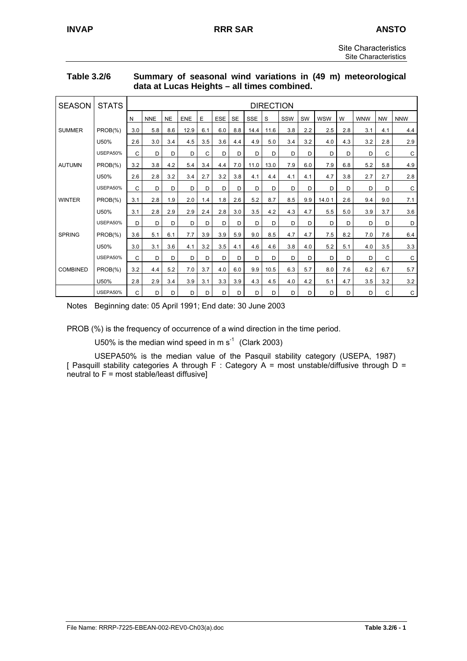| Table 3.2/6 | Summary of seasonal wind variations in (49 m) meteorological |
|-------------|--------------------------------------------------------------|
|             | data at Lucas Heights - all times combined.                  |

| <b>SEASON</b>   | <b>STATS</b> |              |            |           |            |     |            |           |            | <b>DIRECTION</b> |     |     |            |     |            |           |             |
|-----------------|--------------|--------------|------------|-----------|------------|-----|------------|-----------|------------|------------------|-----|-----|------------|-----|------------|-----------|-------------|
|                 |              | N            | <b>NNE</b> | <b>NE</b> | <b>ENE</b> | E   | <b>ESE</b> | <b>SE</b> | <b>SSE</b> | S                | SSW | SW  | <b>WSW</b> | W   | <b>WNW</b> | <b>NW</b> | <b>NNW</b>  |
| <b>SUMMER</b>   | $PROB(\% )$  | 3.0          | 5.8        | 8.6       | 12.9       | 6.1 | 6.0        | 8.8       | 14.4       | 11.6             | 3.8 | 2.2 | 2.5        | 2.8 | 3.1        | 4.1       | 4.4         |
|                 | U50%         | 2.6          | 3.0        | 3.4       | 4.5        | 3.5 | 3.6        | 4.4       | 4.9        | 5.0              | 3.4 | 3.2 | 4.0        | 4.3 | 3.2        | 2.8       | 2.9         |
|                 | USEPA50%     | C            | D          | D         | D          | C   | D          | D         | D          | D                | D   | D   | D          | D   | D          | C         | C           |
| <b>AUTUMN</b>   | PROB(%)      | 3.2          | 3.8        | 4.2       | 5.4        | 3.4 | 4.4        | 7.0       | 11.0       | 13.0             | 7.9 | 6.0 | 7.9        | 6.8 | 5.2        | 5.8       | 4.9         |
|                 | U50%         | 2.6          | 2.8        | 3.2       | 3.4        | 2.7 | 3.2        | 3.8       | 4.1        | 4.4              | 4.1 | 4.1 | 4.7        | 3.8 | 2.7        | 2.7       | 2.8         |
|                 | USEPA50%     | C            | D          | D         | D          | D   | D          | D         | D          | D                | D   | D   | D          | D   | D          | D         | C           |
| <b>WINTER</b>   | $PROB(\% )$  | 3.1          | 2.8        | 1.9       | 2.0        | 1.4 | 1.8        | 2.6       | 5.2        | 8.7              | 8.5 | 9.9 | 14.01      | 2.6 | 9.4        | 9.0       | 7.1         |
|                 | U50%         | 3.1          | 2.8        | 2.9       | 2.9        | 2.4 | 2.8        | 3.0       | 3.5        | 4.2              | 4.3 | 4.7 | 5.5        | 5.0 | 3.9        | 3.7       | 3.6         |
|                 | USEPA50%     | D            | D          | D         | D          | D   | D          | D         | D          | D                | D   | D   | D          | D   | D          | D         | D           |
| <b>SPRING</b>   | $PROB(\% )$  | 3.6          | 5.1        | 6.1       | 7.7        | 3.9 | 3.9        | 5.9       | 9.0        | 8.5              | 4.7 | 4.7 | 7.5        | 8.2 | 7.0        | 7.6       | 6.4         |
|                 | U50%         | 3.0          | 3.1        | 3.6       | 4.1        | 3.2 | 3.5        | 4.1       | 4.6        | 4.6              | 3.8 | 4.0 | 5.2        | 5.1 | 4.0        | 3.5       | 3.3         |
|                 | USEPA50%     | $\mathsf{C}$ | D          | D         | D          | D   | D          | D         | D          | D                | D   | D   | D          | D   | D          | C         | C           |
| <b>COMBINED</b> | $PROB(\% )$  | 3.2          | 4.4        | 5.2       | 7.0        | 3.7 | 4.0        | 6.0       | 9.9        | 10.5             | 6.3 | 5.7 | 8.0        | 7.6 | 6.2        | 6.7       | 5.7         |
|                 | U50%         | 2.8          | 2.9        | 3.4       | 3.9        | 3.1 | 3.3        | 3.9       | 4.3        | 4.5              | 4.0 | 4.2 | 5.1        | 4.7 | 3.5        | 3.2       | 3.2         |
|                 | USEPA50%     | $\mathsf{C}$ | D          | D         | D          | D   | D          | D         | D          | D                | D   | D   | D          | D   | D          | C         | $\mathsf C$ |

Notes Beginning date: 05 April 1991; End date: 30 June 2003

PROB (%) is the frequency of occurrence of a wind direction in the time period.

U50% is the median wind speed in m  $s^{-1}$  (Clark 2003)

USEPA50% is the median value of the Pasquil stability category (USEPA, 1987) [ Pasquill stability categories A through F : Category A = most unstable/diffusive through D =  $neutrial$  to  $F = most stable/least diffusive$ ]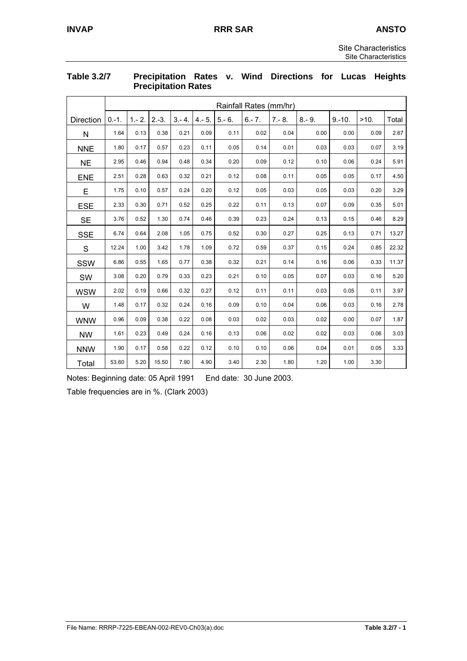|            |         | Rainfall Rates (mm/hr) |         |           |           |          |           |          |          |          |      |       |  |
|------------|---------|------------------------|---------|-----------|-----------|----------|-----------|----------|----------|----------|------|-------|--|
|            |         |                        |         |           |           |          |           |          |          |          |      |       |  |
| Direction  | $0.-1.$ | $1 - 2$ .              | $2.-3.$ | $3 - 4$ . | $4 - 5$ . | $5 - 6.$ | $6 - 7$ . | $7 - 8.$ | $8 - 9.$ | $9.-10.$ | >10. | Total |  |
| N          | 1.64    | 0.13                   | 0.38    | 0.21      | 0.09      | 0.11     | 0.02      | 0.04     | 0.00     | 0.00     | 0.09 | 2.67  |  |
| <b>NNE</b> | 1.80    | 0.17                   | 0.57    | 0.23      | 0.11      | 0.05     | 0.14      | 0.01     | 0.03     | 0.03     | 0.07 | 3.19  |  |
| <b>NE</b>  | 2.95    | 0.46                   | 0.94    | 0.48      | 0.34      | 0.20     | 0.09      | 0.12     | 0.10     | 0.06     | 0.24 | 5.91  |  |
| <b>ENE</b> | 2.51    | 0.28                   | 0.63    | 0.32      | 0.21      | 0.12     | 0.08      | 0.11     | 0.05     | 0.05     | 0.17 | 4.50  |  |
| E          | 1.75    | 0.10                   | 0.57    | 0.24      | 0.20      | 0.12     | 0.05      | 0.03     | 0.05     | 0.03     | 0.20 | 3.29  |  |
| <b>ESE</b> | 2.33    | 0.30                   | 0.71    | 0.52      | 0.25      | 0.22     | 0.11      | 0.13     | 0.07     | 0.09     | 0.35 | 5.01  |  |
| <b>SE</b>  | 3.76    | 0.52                   | 1.30    | 0.74      | 0.46      | 0.39     | 0.23      | 0.24     | 0.13     | 0.15     | 0.46 | 8.29  |  |
| <b>SSE</b> | 6.74    | 0.64                   | 2.08    | 1.05      | 0.75      | 0.52     | 0.30      | 0.27     | 0.25     | 0.13     | 0.71 | 13.27 |  |
| S          | 12.24   | 1.00                   | 3.42    | 1.78      | 1.09      | 0.72     | 0.59      | 0.37     | 0.15     | 0.24     | 0.85 | 22.32 |  |
| SSW        | 6.86    | 0.55                   | 1.65    | 0.77      | 0.38      | 0.32     | 0.21      | 0.14     | 0.16     | 0.06     | 0.33 | 11.37 |  |
| SW         | 3.08    | 0.20                   | 0.79    | 0.33      | 0.23      | 0.21     | 0.10      | 0.05     | 0.07     | 0.03     | 0.16 | 5.20  |  |
| <b>WSW</b> | 2.02    | 0.19                   | 0.66    | 0.32      | 0.27      | 0.12     | 0.11      | 0.11     | 0.03     | 0.05     | 0.11 | 3.97  |  |
| W          | 1.48    | 0.17                   | 0.32    | 0.24      | 0.16      | 0.09     | 0.10      | 0.04     | 0.06     | 0.03     | 0.16 | 2.78  |  |
| <b>WNW</b> | 0.96    | 0.09                   | 0.38    | 0.22      | 0.08      | 0.03     | 0.02      | 0.03     | 0.02     | 0.00     | 0.07 | 1.87  |  |
| <b>NW</b>  | 1.61    | 0.23                   | 0.49    | 0.24      | 0.16      | 0.13     | 0.06      | 0.02     | 0.02     | 0.03     | 0.06 | 3.03  |  |
| <b>NNW</b> | 1.90    | 0.17                   | 0.58    | 0.22      | 0.12      | 0.10     | 0.10      | 0.06     | 0.04     | 0.01     | 0.05 | 3.33  |  |
| Total      | 53.60   | 5.20                   | 15.50   | 7.90      | 4.90      | 3.40     | 2.30      | 1.80     | 1.20     | 1.00     | 3.30 |       |  |

#### **Table 3.2/7 Precipitation Rates v. Wind Directions for Lucas Heights Precipitation Rates**

Notes: Beginning date: 05 April 1991 End date: 30 June 2003.

Table frequencies are in %. (Clark 2003)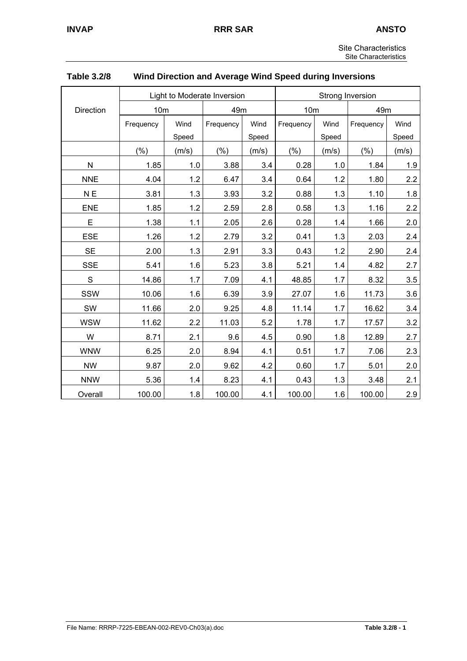| <b>Site Characteristics</b> |
|-----------------------------|
| Site Characteristics        |

|                |                 |       | Light to Moderate Inversion | Strong Inversion |                 |       |           |       |  |
|----------------|-----------------|-------|-----------------------------|------------------|-----------------|-------|-----------|-------|--|
| Direction      | 10 <sub>m</sub> | 49m   |                             |                  | 10 <sub>m</sub> |       | 49m       |       |  |
|                | Frequency       | Wind  | Frequency                   |                  | Frequency       | Wind  | Frequency | Wind  |  |
|                |                 | Speed |                             | Speed            |                 | Speed |           | Speed |  |
|                | (%)             | (m/s) | (%)                         | (m/s)            | (%)             | (m/s) | (%)       | (m/s) |  |
| N              | 1.85            | 1.0   | 3.88                        | 3.4              | 0.28            | 1.0   | 1.84      | 1.9   |  |
| <b>NNE</b>     | 4.04            | 1.2   | 6.47                        | 3.4              | 0.64            | 1.2   | 1.80      | 2.2   |  |
| N <sub>E</sub> | 3.81            | 1.3   | 3.93                        | 3.2              | 0.88            | 1.3   | 1.10      | 1.8   |  |
| <b>ENE</b>     | 1.85            | 1.2   | 2.59                        | 2.8              | 0.58            | 1.3   | 1.16      | 2.2   |  |
| E              | 1.38            | 1.1   | 2.05                        | 2.6              | 0.28            | 1.4   | 1.66      | 2.0   |  |
| <b>ESE</b>     | 1.26            | 1.2   | 2.79                        | 3.2              | 0.41            | 1.3   | 2.03      | 2.4   |  |
| <b>SE</b>      | 2.00            | 1.3   | 2.91                        | 3.3              | 0.43            | 1.2   | 2.90      | 2.4   |  |
| <b>SSE</b>     | 5.41            | 1.6   | 5.23                        | 3.8              | 5.21            | 1.4   | 4.82      | 2.7   |  |
| ${\mathsf S}$  | 14.86           | 1.7   | 7.09                        | 4.1              | 48.85           | 1.7   | 8.32      | 3.5   |  |
| SSW            | 10.06           | 1.6   | 6.39                        | 3.9              | 27.07           | 1.6   | 11.73     | 3.6   |  |
| SW             | 11.66           | 2.0   | 9.25                        | 4.8              | 11.14           | 1.7   | 16.62     | 3.4   |  |
| <b>WSW</b>     | 11.62           | 2.2   | 11.03                       | 5.2              | 1.78            | 1.7   | 17.57     | 3.2   |  |
| W              | 8.71            | 2.1   | 9.6                         | 4.5              | 0.90            | 1.8   | 12.89     | 2.7   |  |
| <b>WNW</b>     | 6.25            | 2.0   | 8.94                        | 4.1              | 0.51            | 1.7   | 7.06      | 2.3   |  |
| <b>NW</b>      | 9.87            | 2.0   | 9.62                        | 4.2              | 0.60            | 1.7   | 5.01      | 2.0   |  |
| <b>NNW</b>     | 5.36            | 1.4   | 8.23                        | 4.1              | 0.43            | 1.3   | 3.48      | 2.1   |  |
| Overall        | 100.00          | 1.8   | 100.00                      | 4.1              | 100.00          | 1.6   | 100.00    | 2.9   |  |

## **Table 3.2/8 Wind Direction and Average Wind Speed during Inversions**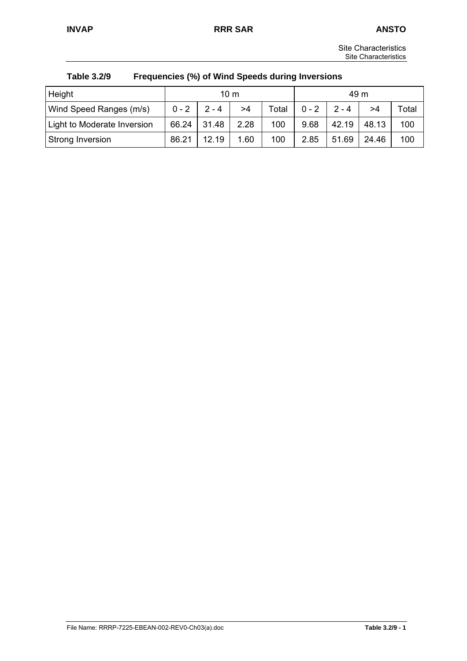| <b>Site Characteristics</b> |
|-----------------------------|
| Site Characteristics        |

| Table 3.2/9 | Frequencies (%) of Wind Speeds during Inversions |
|-------------|--------------------------------------------------|
|-------------|--------------------------------------------------|

| Height                      |         |         | $10 \text{ m}$ |       | 49 m    |         |       |       |
|-----------------------------|---------|---------|----------------|-------|---------|---------|-------|-------|
| Wind Speed Ranges (m/s)     | $0 - 2$ | $2 - 4$ | >4             | Total | $0 - 2$ | $2 - 4$ | >4    | Total |
| Light to Moderate Inversion | 66.24   | 31.48   | 2.28           | 100   | 9.68    | 42.19   | 48.13 | 100   |
| Strong Inversion            | 86.21   | 1219    | 1.60           | 100   | 2.85    | 51.69   | 24.46 | 100   |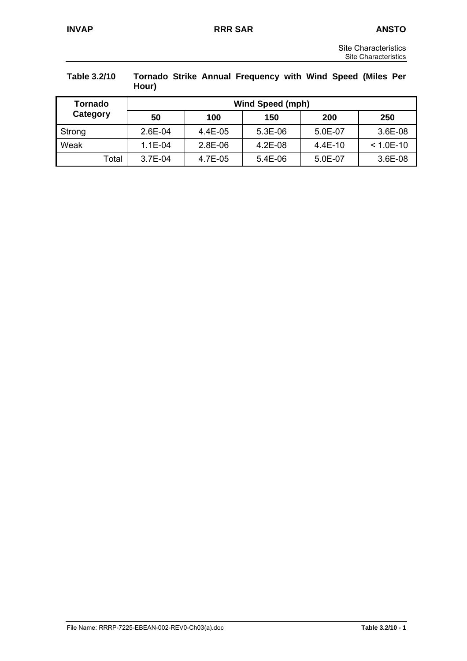| <b>Site Characteristics</b> |
|-----------------------------|
| Site Characteristics        |

| Table 3.2/10 | Hour)     |         | Tornado Strike Annual Frequency with Wind Speed (Miles Per |           |               |  |
|--------------|-----------|---------|------------------------------------------------------------|-----------|---------------|--|
| Tornado      |           |         | <b>Wind Speed (mph)</b>                                    |           |               |  |
| Category     | 50        | 100     | 150                                                        | 200       | 250           |  |
| Strong       | $2.6E-04$ | 4.4E-05 | $5.3E-06$                                                  | 5.0E-07   | 3.6E-08       |  |
| Weak         | $1.1E-04$ | 2.8E-06 | $4.2E-08$                                                  | $4.4E-10$ | $< 1.0E - 10$ |  |
| Total        | 3.7E-04   | 4.7E-05 | 5.4E-06                                                    | 5.0E-07   | 3.6E-08       |  |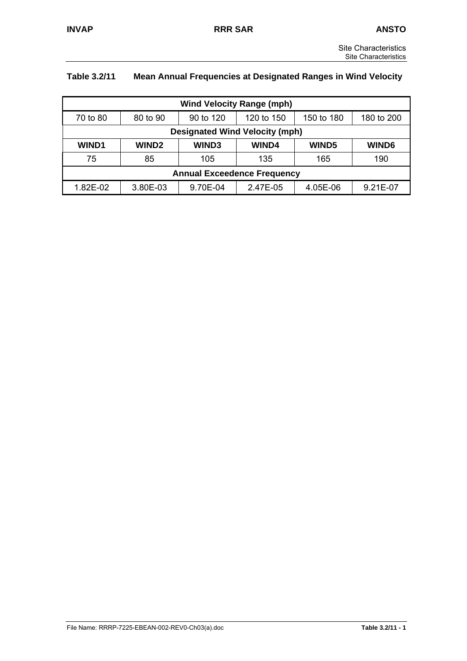# **Table 3.2/11 Mean Annual Frequencies at Designated Ranges in Wind Velocity**

| <b>Wind Velocity Range (mph)</b>   |                                                                 |          |              |          |              |  |  |
|------------------------------------|-----------------------------------------------------------------|----------|--------------|----------|--------------|--|--|
| 70 to 80                           | 80 to 90<br>90 to 120<br>120 to 150<br>150 to 180<br>180 to 200 |          |              |          |              |  |  |
|                                    | <b>Designated Wind Velocity (mph)</b>                           |          |              |          |              |  |  |
| <b>WIND1</b>                       | <b>WIND2</b>                                                    | WIND3    | <b>WIND4</b> | WIND5    | <b>WIND6</b> |  |  |
| 75                                 | 85                                                              | 105      | 135          | 165      | 190          |  |  |
| <b>Annual Exceedence Frequency</b> |                                                                 |          |              |          |              |  |  |
| 1.82E-02                           | 3.80E-03                                                        | 9.70E-04 | 2.47E-05     | 4.05E-06 | 9.21E-07     |  |  |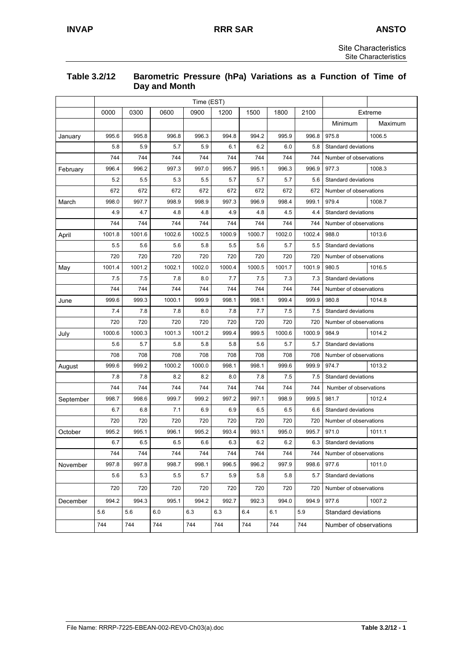#### **Table 3.2/12 Barometric Pressure (hPa) Variations as a Function of Time of Day and Month**

|           | Time (EST) |        |        |        |        |        |        |        |                        |                        |  |
|-----------|------------|--------|--------|--------|--------|--------|--------|--------|------------------------|------------------------|--|
|           | 0000       | 0300   | 0600   | 0900   | 1200   | 1500   | 1800   | 2100   |                        | Extreme                |  |
|           |            |        |        |        |        |        |        |        | Minimum                | Maximum                |  |
| January   | 995.6      | 995.8  | 996.8  | 996.3  | 994.8  | 994.2  | 995.9  | 996.8  | 975.8                  | 1006.5                 |  |
|           | 5.8        | 5.9    | 5.7    | 5.9    | 6.1    | 6.2    | 6.0    | 5.8    | Standard deviations    |                        |  |
|           | 744        | 744    | 744    | 744    | 744    | 744    | 744    | 744    | Number of observations |                        |  |
| February  | 996.4      | 996.2  | 997.3  | 997.0  | 995.7  | 995.1  | 996.3  | 996.9  | 977.3                  | 1008.3                 |  |
|           | 5.2        | 5.5    | 5.3    | 5.5    | 5.7    | 5.7    | 5.7    | 5.6    | Standard deviations    |                        |  |
|           | 672        | 672    | 672    | 672    | 672    | 672    | 672    | 672    | Number of observations |                        |  |
| March     | 998.0      | 997.7  | 998.9  | 998.9  | 997.3  | 996.9  | 998.4  | 999.1  | 979.4                  | 1008.7                 |  |
|           | 4.9        | 4.7    | 4.8    | 4.8    | 4.9    | 4.8    | 4.5    | 4.4    | Standard deviations    |                        |  |
|           | 744        | 744    | 744    | 744    | 744    | 744    | 744    | 744    | Number of observations |                        |  |
| April     | 1001.8     | 1001.6 | 1002.6 | 1002.5 | 1000.9 | 1000.7 | 1002.0 | 1002.4 | 988.0                  | 1013.6                 |  |
|           | 5.5        | 5.6    | 5.6    | 5.8    | 5.5    | 5.6    | 5.7    | 5.5    | Standard deviations    |                        |  |
|           | 720        | 720    | 720    | 720    | 720    | 720    | 720    | 720    | Number of observations |                        |  |
| May       | 1001.4     | 1001.2 | 1002.1 | 1002.0 | 1000.4 | 1000.5 | 1001.7 | 1001.9 | 980.5                  | 1016.5                 |  |
|           | 7.5        | 7.5    | 7.8    | 8.0    | 7.7    | 7.5    | 7.3    | 7.3    | Standard deviations    |                        |  |
|           | 744        | 744    | 744    | 744    | 744    | 744    | 744    | 744    | Number of observations |                        |  |
| June      | 999.6      | 999.3  | 1000.1 | 999.9  | 998.1  | 998.1  | 999.4  | 999.9  | 980.8                  | 1014.8                 |  |
|           | 7.4        | 7.8    | 7.8    | 8.0    | 7.8    | 7.7    | 7.5    | 7.5    | Standard deviations    |                        |  |
|           | 720        | 720    | 720    | 720    | 720    | 720    | 720    | 720    |                        | Number of observations |  |
| July      | 1000.6     | 1000.3 | 1001.3 | 1001.2 | 999.4  | 999.5  | 1000.6 | 1000.9 | 984.9                  | 1014.2                 |  |
|           | 5.6        | 5.7    | 5.8    | 5.8    | 5.8    | 5.6    | 5.7    | 5.7    | Standard deviations    |                        |  |
|           | 708        | 708    | 708    | 708    | 708    | 708    | 708    | 708    | Number of observations |                        |  |
| August    | 999.6      | 999.2  | 1000.2 | 1000.0 | 998.1  | 998.1  | 999.6  | 999.9  | 974.7                  | 1013.2                 |  |
|           | 7.8        | 7.8    | 8.2    | 8.2    | 8.0    | 7.8    | 7.5    | 7.5    | Standard deviations    |                        |  |
|           | 744        | 744    | 744    | 744    | 744    | 744    | 744    | 744    | Number of observations |                        |  |
| September | 998.7      | 998.6  | 999.7  | 999.2  | 997.2  | 997.1  | 998.9  | 999.5  | 981.7                  | 1012.4                 |  |
|           | 6.7        | 6.8    | 7.1    | 6.9    | 6.9    | 6.5    | 6.5    | 6.6    | Standard deviations    |                        |  |
|           | 720        | 720    | 720    | 720    | 720    | 720    | 720    | 720    | Number of observations |                        |  |
| October   | 995.2      | 995.1  | 996.1  | 995.2  | 993.4  | 993.1  | 995.0  | 995.7  | 971.0                  | 1011.1                 |  |
|           | 6.7        | 6.5    | 6.5    | 6.6    | 6.3    | 6.2    | 6.2    | 6.3    | Standard deviations    |                        |  |
|           | 744        | 744    | 744    | 744    | 744    | 744    | 744    | 744    |                        | Number of observations |  |
| November  | 997.8      | 997.8  | 998.7  | 998.1  | 996.5  | 996.2  | 997.9  | 998.6  | 977.6                  | 1011.0                 |  |
|           | 5.6        | 5.3    | 5.5    | 5.7    | 5.9    | 5.8    | 5.8    | 5.7    | Standard deviations    |                        |  |
|           | 720        | 720    | 720    | 720    | 720    | 720    | 720    | 720    |                        | Number of observations |  |
| December  | 994.2      | 994.3  | 995.1  | 994.2  | 992.7  | 992.3  | 994.0  | 994.9  | 977.6                  | 1007.2                 |  |
|           | 5.6        | 5.6    | 6.0    | 6.3    | 6.3    | 6.4    | 6.1    | 5.9    | Standard deviations    |                        |  |
|           | 744        | 744    | 744    | 744    | 744    | 744    | 744    | 744    |                        | Number of observations |  |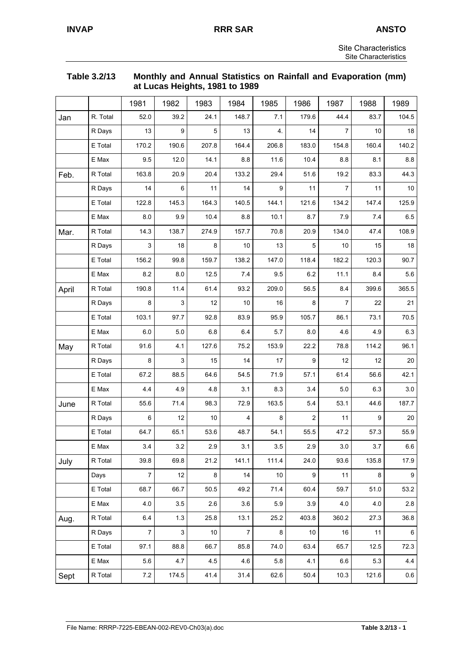| Table 3.2/13 | Monthly and Annual Statistics on Rainfall and Evaporation (mm) |
|--------------|----------------------------------------------------------------|
|              | at Lucas Heights, 1981 to 1989                                 |

|       |          | 1981  | 1982  | 1983  | 1984             | 1985  | 1986           | 1987           | 1988  | 1989             |
|-------|----------|-------|-------|-------|------------------|-------|----------------|----------------|-------|------------------|
| Jan   | R. Total | 52.0  | 39.2  | 24.1  | 148.7            | 7.1   | 179.6          | 44.4           | 83.7  | 104.5            |
|       | R Days   | 13    | 9     | 5     | 13               | 4.    | 14             | 7              | 10    | 18               |
|       | E Total  | 170.2 | 190.6 | 207.8 | 164.4            | 206.8 | 183.0          | 154.8          | 160.4 | 140.2            |
|       | E Max    | 9.5   | 12.0  | 14.1  | 8.8              | 11.6  | 10.4           | 8.8            | 8.1   | 8.8              |
| Feb.  | R Total  | 163.8 | 20.9  | 20.4  | 133.2            | 29.4  | 51.6           | 19.2           | 83.3  | 44.3             |
|       | R Days   | 14    | 6     | 11    | 14               | 9     | 11             | $\overline{7}$ | 11    | 10               |
|       | E Total  | 122.8 | 145.3 | 164.3 | 140.5            | 144.1 | 121.6          | 134.2          | 147.4 | 125.9            |
|       | E Max    | 8.0   | 9.9   | 10.4  | 8.8              | 10.1  | 8.7            | 7.9            | 7.4   | 6.5              |
| Mar.  | R Total  | 14.3  | 138.7 | 274.9 | 157.7            | 70.8  | 20.9           | 134.0          | 47.4  | 108.9            |
|       | R Days   | 3     | 18    | 8     | 10               | 13    | 5              | 10             | 15    | 18               |
|       | E Total  | 156.2 | 99.8  | 159.7 | 138.2            | 147.0 | 118.4          | 182.2          | 120.3 | 90.7             |
|       | E Max    | 8.2   | 8.0   | 12.5  | 7.4              | 9.5   | 6.2            | 11.1           | 8.4   | 5.6              |
| April | R Total  | 190.8 | 11.4  | 61.4  | 93.2             | 209.0 | 56.5           | 8.4            | 399.6 | 365.5            |
|       | R Days   | 8     | 3     | 12    | 10               | 16    | 8              | 7              | 22    | 21               |
|       | E Total  | 103.1 | 97.7  | 92.8  | 83.9             | 95.9  | 105.7          | 86.1           | 73.1  | 70.5             |
|       | E Max    | 6.0   | 5.0   | 6.8   | 6.4              | 5.7   | 8.0            | 4.6            | 4.9   | 6.3              |
| May   | R Total  | 91.6  | 4.1   | 127.6 | 75.2             | 153.9 | 22.2           | 78.8           | 114.2 | 96.1             |
|       | R Days   | 8     | 3     | 15    | 14               | 17    | 9              | 12             | 12    | 20               |
|       | E Total  | 67.2  | 88.5  | 64.6  | 54.5             | 71.9  | 57.1           | 61.4           | 56.6  | 42.1             |
|       | E Max    | 4.4   | 4.9   | 4.8   | 3.1              | 8.3   | 3.4            | 5.0            | 6.3   | 3.0              |
| June  | R Total  | 55.6  | 71.4  | 98.3  | 72.9             | 163.5 | 5.4            | 53.1           | 44.6  | 187.7            |
|       | R Days   | 6     | 12    | 10    | 4                | 8     | $\overline{c}$ | 11             | 9     | 20               |
|       | E Total  | 64.7  | 65.1  | 53.6  | 48.7             | 54.1  | 55.5           | 47.2           | 57.3  | 55.9             |
|       | E Max    | 3.4   | 3.2   | 2.9   | 3.1              | 3.5   | 2.9            | $3.0\,$        | 3.7   | $6.6\,$          |
| July  | R Total  | 39.8  | 69.8  | 21.2  | 141.1            | 111.4 | 24.0           | 93.6           | 135.8 | 17.9             |
|       | Days     | 7     | 12    | 8     | 14               | 10    | 9              | 11             | 8     | $\boldsymbol{9}$ |
|       | E Total  | 68.7  | 66.7  | 50.5  | 49.2             | 71.4  | 60.4           | 59.7           | 51.0  | 53.2             |
|       | E Max    | 4.0   | 3.5   | 2.6   | 3.6              | 5.9   | 3.9            | 4.0            | 4.0   | 2.8              |
| Aug.  | R Total  | 6.4   | $1.3$ | 25.8  | 13.1             | 25.2  | 403.8          | 360.2          | 27.3  | 36.8             |
|       | R Days   | 7     | 3     | 10    | $\boldsymbol{7}$ | 8     | $10$           | 16             | 11    | $\,6\,$          |
|       | E Total  | 97.1  | 88.8  | 66.7  | 85.8             | 74.0  | 63.4           | 65.7           | 12.5  | 72.3             |
|       | E Max    | 5.6   | 4.7   | 4.5   | 4.6              | 5.8   | 4.1            | 6.6            | 5.3   | 4.4              |
| Sept  | R Total  | 7.2   | 174.5 | 41.4  | 31.4             | 62.6  | 50.4           | 10.3           | 121.6 | 0.6              |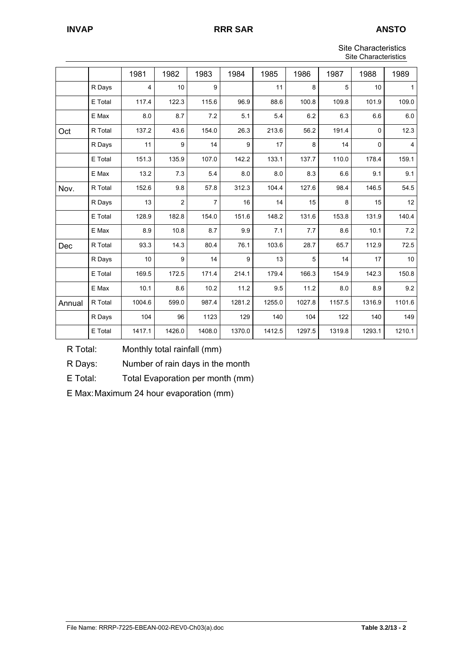| Site Characteristics |
|----------------------|
| Site Characteristics |

|        |         |        |                |                |        |        |        | טיוס טוומומטנטווטנוטט |        |                |  |
|--------|---------|--------|----------------|----------------|--------|--------|--------|-----------------------|--------|----------------|--|
|        |         | 1981   | 1982           | 1983           | 1984   | 1985   | 1986   | 1987                  | 1988   | 1989           |  |
|        | R Days  | 4      | 10             | 9              |        | 11     | 8      | 5                     | 10     | 1              |  |
|        | E Total | 117.4  | 122.3          | 115.6          | 96.9   | 88.6   | 100.8  | 109.8                 | 101.9  | 109.0          |  |
|        | E Max   | 8.0    | 8.7            | 7.2            | 5.1    | 5.4    | 6.2    | 6.3                   | 6.6    | 6.0            |  |
| Oct    | R Total | 137.2  | 43.6           | 154.0          | 26.3   | 213.6  | 56.2   | 191.4                 | 0      | 12.3           |  |
|        | R Days  | 11     | 9              | 14             | 9      | 17     | 8      | 14                    | 0      | $\overline{4}$ |  |
|        | E Total | 151.3  | 135.9          | 107.0          | 142.2  | 133.1  | 137.7  | 110.0                 | 178.4  | 159.1          |  |
|        | E Max   | 13.2   | 7.3            | 5.4            | 8.0    | 8.0    | 8.3    | 6.6                   | 9.1    | 9.1            |  |
| Nov.   | R Total | 152.6  | 9.8            | 57.8           | 312.3  | 104.4  | 127.6  | 98.4                  | 146.5  | 54.5           |  |
|        | R Days  | 13     | $\overline{c}$ | $\overline{7}$ | 16     | 14     | 15     | 8                     | 15     | 12             |  |
|        | E Total | 128.9  | 182.8          | 154.0          | 151.6  | 148.2  | 131.6  | 153.8                 | 131.9  | 140.4          |  |
|        | E Max   | 8.9    | 10.8           | 8.7            | 9.9    | 7.1    | 7.7    | 8.6                   | 10.1   | 7.2            |  |
| Dec    | R Total | 93.3   | 14.3           | 80.4           | 76.1   | 103.6  | 28.7   | 65.7                  | 112.9  | 72.5           |  |
|        | R Days  | 10     | 9              | 14             | 9      | 13     | 5      | 14                    | 17     | 10             |  |
|        | E Total | 169.5  | 172.5          | 171.4          | 214.1  | 179.4  | 166.3  | 154.9                 | 142.3  | 150.8          |  |
|        | E Max   | 10.1   | 8.6            | 10.2           | 11.2   | 9.5    | 11.2   | 8.0                   | 8.9    | 9.2            |  |
| Annual | R Total | 1004.6 | 599.0          | 987.4          | 1281.2 | 1255.0 | 1027.8 | 1157.5                | 1316.9 | 1101.6         |  |
|        | R Days  | 104    | 96             | 1123           | 129    | 140    | 104    | 122                   | 140    | 149            |  |
|        | E Total | 1417.1 | 1426.0         | 1408.0         | 1370.0 | 1412.5 | 1297.5 | 1319.8                | 1293.1 | 1210.1         |  |

R Total: Monthly total rainfall (mm)

R Days: Number of rain days in the month

E Total: Total Evaporation per month (mm)

E Max: Maximum 24 hour evaporation (mm)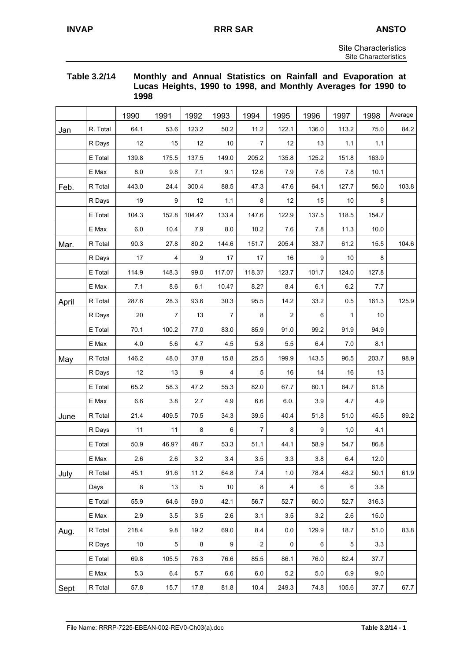#### **Table 3.2/14 Monthly and Annual Statistics on Rainfall and Evaporation at Lucas Heights, 1990 to 1998, and Monthly Averages for 1990 to 1998**

|       |          | 1990  | 1991  | 1992            | 1993   | 1994           | 1995           | 1996  | 1997    | 1998  | Average |
|-------|----------|-------|-------|-----------------|--------|----------------|----------------|-------|---------|-------|---------|
| Jan   | R. Total | 64.1  | 53.6  | 123.2           | 50.2   | 11.2           | 122.1          | 136.0 | 113.2   | 75.0  | 84.2    |
|       | R Days   | 12    | 15    | 12              | 10     | $\overline{7}$ | 12             | 13    | 1.1     | 1.1   |         |
|       | E Total  | 139.8 | 175.5 | 137.5           | 149.0  | 205.2          | 135.8          | 125.2 | 151.8   | 163.9 |         |
|       | E Max    | 8.0   | 9.8   | 7.1             | 9.1    | 12.6           | 7.9            | 7.6   | 78      | 10.1  |         |
| Feb.  | R Total  | 443.0 | 24.4  | 300.4           | 88.5   | 47.3           | 47.6           | 64.1  | 127.7   | 56.0  | 103.8   |
|       | R Days   | 19    | 9     | 12              | 1.1    | 8              | 12             | 15    | 10      | 8     |         |
|       | E Total  | 104.3 | 152.8 | 104.4?          | 133.4  | 147.6          | 122.9          | 137.5 | 118.5   | 154.7 |         |
|       | E Max    | 6.0   | 10.4  | 7.9             | 8.0    | 10.2           | 7.6            | 7.8   | 11.3    | 10.0  |         |
| Mar.  | R Total  | 90.3  | 27.8  | 80.2            | 144.6  | 151.7          | 205.4          | 33.7  | 61.2    | 15.5  | 104.6   |
|       | R Days   | 17    | 4     | 9               | 17     | 17             | 16             | 9     | 10      | 8     |         |
|       | E Total  | 114.9 | 148.3 | 99.0            | 117.0? | 118.3?         | 123.7          | 101.7 | 124.0   | 127.8 |         |
|       | E Max    | 7.1   | 8.6   | 6.1             | 10.4?  | 8.2?           | 8.4            | 6.1   | 6.2     | 7.7   |         |
| April | R Total  | 287.6 | 28.3  | 93.6            | 30.3   | 95.5           | 14.2           | 33.2  | 0.5     | 161.3 | 125.9   |
|       | R Days   | 20    | 7     | 13              | 7      | 8              | $\overline{2}$ | 6     | 1       | 10    |         |
|       | E Total  | 70.1  | 100.2 | 77.0            | 83.0   | 85.9           | 91.0           | 99.2  | 91.9    | 94.9  |         |
|       | E Max    | 4.0   | 5.6   | 4.7             | 4.5    | 5.8            | 5.5            | 6.4   | 7.0     | 8.1   |         |
| May   | R Total  | 146.2 | 48.0  | 37.8            | 15.8   | 25.5           | 199.9          | 143.5 | 96.5    | 203.7 | 98.9    |
|       | R Days   | 12    | 13    | 9               | 4      | 5              | 16             | 14    | 16      | 13    |         |
|       | E Total  | 65.2  | 58.3  | 47.2            | 55.3   | 82.0           | 67.7           | 60.1  | 64.7    | 61.8  |         |
|       | E Max    | 6.6   | 3.8   | 2.7             | 4.9    | 6.6            | 6.0.           | 3.9   | 4.7     | 4.9   |         |
| June  | R Total  | 21.4  | 409.5 | 70.5            | 34.3   | 39.5           | 40.4           | 51.8  | 51.0    | 45.5  | 89.2    |
|       | R Days   | 11    | 11    | 8               | 6      | 7              | 8              | 9     | 1,0     | 4.1   |         |
|       | E Total  | 50.9  | 46.9? | 48.7            | 53.3   | 51.1           | 44.1           | 58.9  | 54.7    | 86.8  |         |
|       | $E$ Max  | 2.6   | 2.6   | 3.2             | 3.4    | 3.5            | $3.3\,$        | 3.8   | $6.4\,$ | 12.0  |         |
| July  | R Total  | 45.1  | 91.6  | 11.2            | 64.8   | 7.4            | 1.0            | 78.4  | 48.2    | 50.1  | 61.9    |
|       | Days     | 8     | 13    | $5\phantom{.0}$ | 10     | 8              | 4              | 6     | 6       | 3.8   |         |
|       | E Total  | 55.9  | 64.6  | 59.0            | 42.1   | 56.7           | 52.7           | 60.0  | 52.7    | 316.3 |         |
|       | E Max    | 2.9   | 3.5   | 3.5             | 2.6    | 3.1            | 3.5            | 3.2   | 2.6     | 15.0  |         |
| Aug.  | R Total  | 218.4 | 9.8   | 19.2            | 69.0   | 8.4            | 0.0            | 129.9 | 18.7    | 51.0  | 83.8    |
|       | R Days   | 10    | 5     | 8               | 9      | $\overline{2}$ | 0              | 6     | 5       | 3.3   |         |
|       | E Total  | 69.8  | 105.5 | 76.3            | 76.6   | 85.5           | 86.1           | 76.0  | 82.4    | 37.7  |         |
|       | E Max    | 5.3   | 6.4   | 5.7             | 6.6    | 6.0            | 5.2            | 5.0   | 6.9     | 9.0   |         |
| Sept  | R Total  | 57.8  | 15.7  | 17.8            | 81.8   | 10.4           | 249.3          | 74.8  | 105.6   | 37.7  | 67.7    |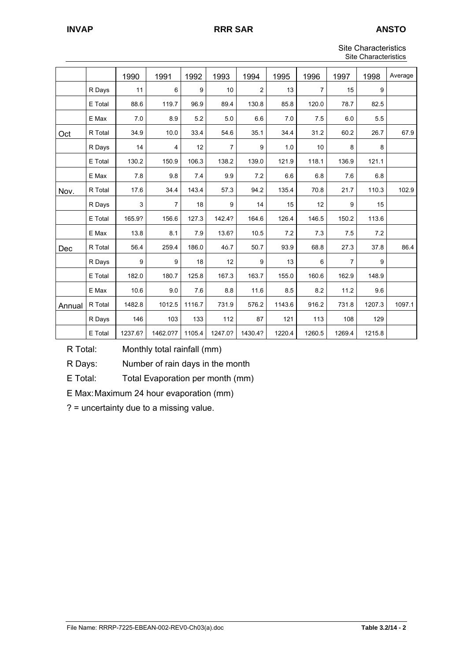## **INVAP RRR SAR ANSTO**

Site Characteristics Site Characteristics

|        | Site Uridi duteristics |         |                |        |         |         |        |                |                |        |         |
|--------|------------------------|---------|----------------|--------|---------|---------|--------|----------------|----------------|--------|---------|
|        |                        | 1990    | 1991           | 1992   | 1993    | 1994    | 1995   | 1996           | 1997           | 1998   | Average |
|        | R Days                 | 11      | 6              | 9      | 10      | 2       | 13     | $\overline{7}$ | 15             | 9      |         |
|        | E Total                | 88.6    | 119.7          | 96.9   | 89.4    | 130.8   | 85.8   | 120.0          | 78.7           | 82.5   |         |
|        | E Max                  | 7.0     | 8.9            | 5.2    | 5.0     | 6.6     | 7.0    | 7.5            | 6.0            | 5.5    |         |
| Oct    | R Total                | 34.9    | 10.0           | 33.4   | 54.6    | 35.1    | 34.4   | 31.2           | 60.2           | 26.7   | 67.9    |
|        | R Days                 | 14      | 4              | 12     | 7       | 9       | 1.0    | 10             | 8              | 8      |         |
|        | E Total                | 130.2   | 150.9          | 106.3  | 138.2   | 139.0   | 121.9  | 118.1          | 136.9          | 121.1  |         |
|        | E Max                  | 7.8     | 9.8            | 7.4    | 9.9     | 7.2     | 6.6    | 6.8            | 7.6            | 6.8    |         |
| Nov.   | R Total                | 17.6    | 34.4           | 143.4  | 57.3    | 94.2    | 135.4  | 70.8           | 21.7           | 110.3  | 102.9   |
|        | R Days                 | 3       | $\overline{7}$ | 18     | 9       | 14      | 15     | 12             | 9              | 15     |         |
|        | E Total                | 165.9?  | 156.6          | 127.3  | 142.4?  | 164.6   | 126.4  | 146.5          | 150.2          | 113.6  |         |
|        | E Max                  | 13.8    | 8.1            | 7.9    | 13.6?   | 10.5    | 7.2    | 7.3            | 7.5            | 7.2    |         |
| Dec    | R Total                | 56.4    | 259.4          | 186.0  | 46.7    | 50.7    | 93.9   | 68.8           | 27.3           | 37.8   | 86.4    |
|        | R Days                 | 9       | 9              | 18     | 12      | 9       | 13     | 6              | $\overline{7}$ | 9      |         |
|        | E Total                | 182.0   | 180.7          | 125.8  | 167.3   | 163.7   | 155.0  | 160.6          | 162.9          | 148.9  |         |
|        | E Max                  | 10.6    | 9.0            | 7.6    | 8.8     | 11.6    | 8.5    | 8.2            | 11.2           | 9.6    |         |
| Annual | R Total                | 1482.8  | 1012.5         | 1116.7 | 731.9   | 576.2   | 1143.6 | 916.2          | 731.8          | 1207.3 | 1097.1  |
|        | R Days                 | 146     | 103            | 133    | 112     | 87      | 121    | 113            | 108            | 129    |         |
|        | E Total                | 1237.6? | 1462.0?7       | 1105.4 | 1247.0? | 1430.4? | 1220.4 | 1260.5         | 1269.4         | 1215.8 |         |

R Total: Monthly total rainfall (mm)

R Days: Number of rain days in the month

E Total: Total Evaporation per month (mm)

E Max: Maximum 24 hour evaporation (mm)

? = uncertainty due to a missing value.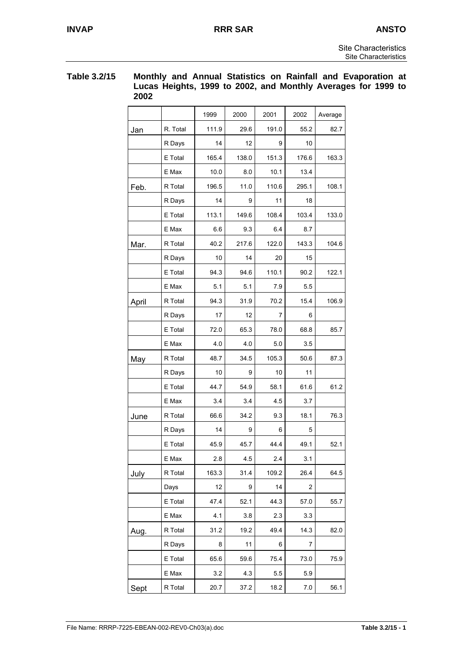#### **Table 3.2/15 Monthly and Annual Statistics on Rainfall and Evaporation at Lucas Heights, 1999 to 2002, and Monthly Averages for 1999 to 2002**

|       |          | 1999  | 2000  | 2001  | 2002    | Average |
|-------|----------|-------|-------|-------|---------|---------|
| Jan   | R. Total | 111.9 | 29.6  | 191.0 | 55.2    | 82.7    |
|       | R Days   | 14    | 12    | 9     | 10      |         |
|       | E Total  | 165.4 | 138.0 | 151.3 | 176.6   | 163.3   |
|       | E Max    | 10.0  | 8.0   | 10.1  | 13.4    |         |
| Feb.  | R Total  | 196.5 | 11.0  | 110.6 | 295.1   | 108.1   |
|       | R Days   | 14    | 9     | 11    | 18      |         |
|       | E Total  | 113.1 | 149.6 | 108.4 | 103.4   | 133.0   |
|       | E Max    | 6.6   | 9.3   | 6.4   | 8.7     |         |
| Mar.  | R Total  | 40.2  | 217.6 | 122.0 | 143.3   | 104.6   |
|       | R Days   | 10    | 14    | 20    | 15      |         |
|       | E Total  | 94.3  | 94.6  | 110.1 | 90.2    | 122.1   |
|       | E Max    | 5.1   | 5.1   | 7.9   | 5.5     |         |
| April | R Total  | 94.3  | 31.9  | 70.2  | 15.4    | 106.9   |
|       | R Days   | 17    | 12    | 7     | 6       |         |
|       | E Total  | 72.0  | 65.3  | 78.0  | 68.8    | 85.7    |
|       | E Max    | 4.0   | 4.0   | 5.0   | 3.5     |         |
| May   | R Total  | 48.7  | 34.5  | 105.3 | 50.6    | 87.3    |
|       | R Days   | 10    | 9     | 10    | 11      |         |
|       | E Total  | 44.7  | 54.9  | 58.1  | 61.6    | 61.2    |
|       | E Max    | 3.4   | 3.4   | 4.5   | 3.7     |         |
| June  | R Total  | 66.6  | 34.2  | 9.3   | 18.1    | 76.3    |
|       | R Days   | 14    | 9     | 6     | 5       |         |
|       | E Total  | 45.9  | 45.7  | 44.4  | 49.1    | 52.1    |
|       | E Max    | 2.8   | 4.5   | 2.4   | 3.1     |         |
| July  | R Total  | 163.3 | 31.4  | 109.2 | 26.4    | 64.5    |
|       | Days     | 12    | 9     | 14    | 2       |         |
|       | E Total  | 47.4  | 52.1  | 44.3  | 57.0    | 55.7    |
|       | E Max    | 4.1   | 3.8   | 2.3   | 3.3     |         |
| Aug.  | R Total  | 31.2  | 19.2  | 49.4  | 14.3    | 82.0    |
|       | R Days   | 8     | 11    | 6     | 7       |         |
|       | E Total  | 65.6  | 59.6  | 75.4  | 73.0    | 75.9    |
|       | E Max    | 3.2   | 4.3   | 5.5   | 5.9     |         |
| Sept  | R Total  | 20.7  | 37.2  | 18.2  | $7.0\,$ | 56.1    |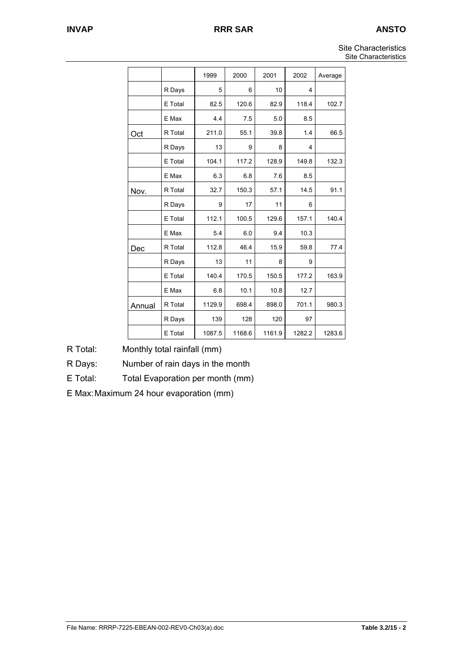|        |         | 1999   | 2000   | 2001   | 2002   | Average |
|--------|---------|--------|--------|--------|--------|---------|
|        | R Days  | 5      | 6      | 10     | 4      |         |
|        | E Total | 82.5   | 120.6  | 82.9   | 118.4  | 102.7   |
|        | E Max   | 4.4    | 7.5    | 5.0    | 8.5    |         |
| Oct    | R Total | 211.0  | 55.1   | 39.8   | 1.4    | 66.5    |
|        | R Days  | 13     | 9      | 8      | 4      |         |
|        | E Total | 104.1  | 117.2  | 128.9  | 149.8  | 132.3   |
|        | E Max   | 6.3    | 6.8    | 7.6    | 8.5    |         |
| Nov.   | R Total | 32.7   | 150.3  | 57.1   | 14.5   | 91.1    |
|        | R Days  | 9      | 17     | 11     | 6      |         |
|        | E Total | 112.1  | 100.5  | 129.6  | 157.1  | 140.4   |
|        | E Max   | 5.4    | 6.0    | 9.4    | 10.3   |         |
| Dec    | R Total | 112.8  | 46.4   | 15.9   | 59.8   | 77.4    |
|        | R Days  | 13     | 11     | 8      | 9      |         |
|        | E Total | 140.4  | 170.5  | 150.5  | 177.2  | 163.9   |
|        | E Max   | 6.8    | 10.1   | 10.8   | 12.7   |         |
| Annual | R Total | 1129.9 | 698.4  | 898.0  | 701.1  | 980.3   |
|        | R Days  | 139    | 128    | 120    | 97     |         |
|        | E Total | 1087.5 | 1168.6 | 1161.9 | 1282.2 | 1283.6  |

R Total: Monthly total rainfall (mm)

R Days: Number of rain days in the month

E Total: Total Evaporation per month (mm)

E Max: Maximum 24 hour evaporation (mm)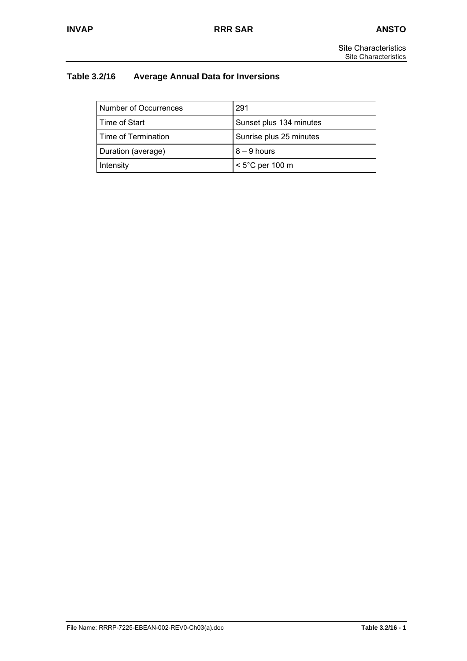# **Table 3.2/16 Average Annual Data for Inversions**

| Number of Occurrences | 291                     |
|-----------------------|-------------------------|
| Time of Start         | Sunset plus 134 minutes |
| Time of Termination   | Sunrise plus 25 minutes |
| Duration (average)    | $8 - 9$ hours           |
| Intensity             | $<$ 5°C per 100 m       |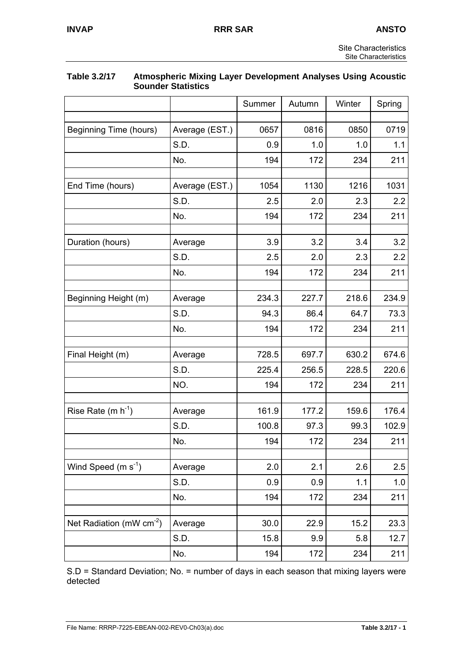|                               | <b>Sounder Statistics</b> |        |        |        |        |
|-------------------------------|---------------------------|--------|--------|--------|--------|
|                               |                           | Summer | Autumn | Winter | Spring |
| Beginning Time (hours)        | Average (EST.)            | 0657   | 0816   | 0850   | 0719   |
|                               | S.D.                      | 0.9    | 1.0    | 1.0    | 1.1    |
|                               |                           |        |        |        |        |
|                               | No.                       | 194    | 172    | 234    | 211    |
| End Time (hours)              | Average (EST.)            | 1054   | 1130   | 1216   | 1031   |
|                               | S.D.                      | 2.5    | 2.0    | 2.3    | 2.2    |
|                               | No.                       | 194    | 172    | 234    | 211    |
| Duration (hours)              | Average                   | 3.9    | 3.2    | 3.4    | 3.2    |
|                               | S.D.                      | 2.5    | 2.0    | 2.3    | 2.2    |
|                               | No.                       | 194    | 172    | 234    | 211    |
|                               |                           |        |        |        |        |
| Beginning Height (m)          | Average                   | 234.3  | 227.7  | 218.6  | 234.9  |
|                               | S.D.                      | 94.3   | 86.4   | 64.7   | 73.3   |
|                               | No.                       | 194    | 172    | 234    | 211    |
| Final Height (m)              | Average                   | 728.5  | 697.7  | 630.2  | 674.6  |
|                               | S.D.                      | 225.4  | 256.5  | 228.5  | 220.6  |
|                               | NO.                       | 194    | 172    | 234    | 211    |
| Rise Rate $(m h-1)$           | Average                   | 161.9  | 177.2  | 159.6  | 176.4  |
|                               | S.D.                      | 100.8  | 97.3   | 99.3   | 102.9  |
|                               | No.                       | 194    | 172    | 234    | 211    |
|                               |                           |        |        |        |        |
| Wind Speed $(m s-1)$          | Average                   | 2.0    | 2.1    | 2.6    | 2.5    |
|                               | S.D.                      | 0.9    | 0.9    | 1.1    | 1.0    |
|                               | No.                       | 194    | 172    | 234    | 211    |
| Net Radiation (mW $cm^{-2}$ ) | Average                   | 30.0   | 22.9   | 15.2   | 23.3   |
|                               | S.D.                      | 15.8   | 9.9    | 5.8    | 12.7   |
|                               | No.                       | 194    | 172    | 234    | 211    |

# **Table 3.2/17 Atmospheric Mixing Layer Development Analyses Using Acoustic**

S.D = Standard Deviation; No. = number of days in each season that mixing layers were detected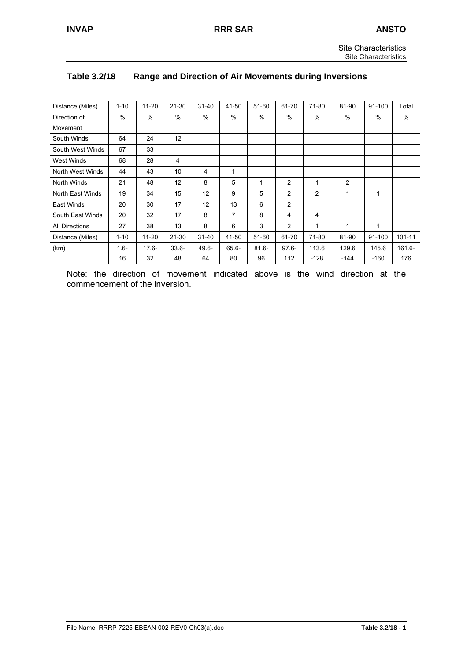| <b>Site Characteristics</b> |
|-----------------------------|
| Site Characteristics        |

| Table 3.2/18 | Range and Direction of Air Movements during Inversions |
|--------------|--------------------------------------------------------|
|--------------|--------------------------------------------------------|

| Distance (Miles)      | $1 - 10$ | $11 - 20$ | 21-30     | $31 - 40$ | 41-50          | 51-60    | 61-70          | 71-80          | 81-90          | 91-100 | Total      |
|-----------------------|----------|-----------|-----------|-----------|----------------|----------|----------------|----------------|----------------|--------|------------|
| Direction of          | $\%$     | $\%$      | $\%$      | $\%$      | %              | $\%$     | %              | $\frac{0}{0}$  | %              | $\%$   | $\%$       |
| Movement              |          |           |           |           |                |          |                |                |                |        |            |
| South Winds           | 64       | 24        | 12        |           |                |          |                |                |                |        |            |
| South West Winds      | 67       | 33        |           |           |                |          |                |                |                |        |            |
| <b>West Winds</b>     | 68       | 28        | 4         |           |                |          |                |                |                |        |            |
| North West Winds      | 44       | 43        | 10        | 4         | 1              |          |                |                |                |        |            |
| North Winds           | 21       | 48        | 12        | 8         | 5              | 1        | $\overline{c}$ |                | $\overline{c}$ |        |            |
| North East Winds      | 19       | 34        | 15        | 12        | 9              | 5        | $\overline{c}$ | $\overline{2}$ | 1              | 1      |            |
| East Winds            | 20       | 30        | 17        | 12        | 13             | 6        | $\overline{c}$ |                |                |        |            |
| South East Winds      | 20       | 32        | 17        | 8         | $\overline{7}$ | 8        | 4              | 4              |                |        |            |
| <b>All Directions</b> | 27       | 38        | 13        | 8         | 6              | 3        | $\overline{c}$ | $\mathbf 1$    | 1              | 1      |            |
| Distance (Miles)      | $1 - 10$ | $11 - 20$ | $21 - 30$ | $31 - 40$ | 41-50          | 51-60    | 61-70          | 71-80          | 81-90          | 91-100 | $101 - 11$ |
| (km)                  | $1.6 -$  | $17.6 -$  | $33.6 -$  | $49.6 -$  | $65.6 -$       | $81.6 -$ | $97.6 -$       | 113.6          | 129.6          | 145.6  | $161.6 -$  |
|                       | 16       | 32        | 48        | 64        | 80             | 96       | 112            | $-128$         | $-144$         | $-160$ | 176        |

Note: the direction of movement indicated above is the wind direction at the commencement of the inversion.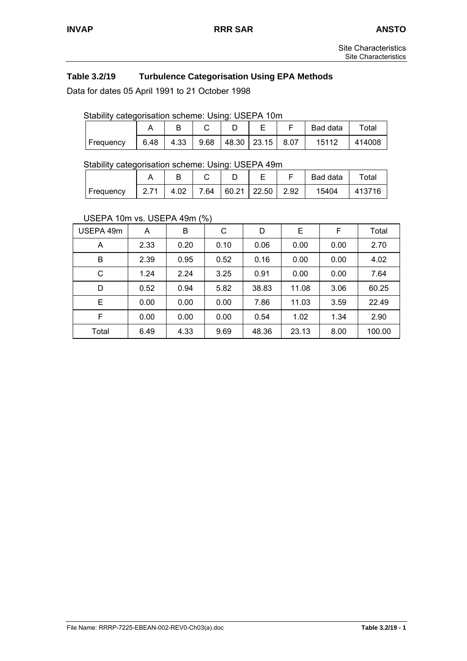# **Table 3.2/19 Turbulence Categorisation Using EPA Methods**

Data for dates 05 April 1991 to 21 October 1998

#### Stability categorisation scheme: Using: USEPA 10m

|           |      |  |               |  |                  |  | Bad data | Total  |  |  |  |  |
|-----------|------|--|---------------|--|------------------|--|----------|--------|--|--|--|--|
| Frequency | 6.48 |  | $4.33$   9.68 |  | 48.30 23.15 8.07 |  | 15112    | 414008 |  |  |  |  |

#### Stability categorisation scheme: Using: USEPA 49m

| $\overline{\phantom{a}}$ |                   |      |                   |                  | Bad data | ™otal  |
|--------------------------|-------------------|------|-------------------|------------------|----------|--------|
| Frequency                | 2.71 <sub>1</sub> | 4.02 | $\overline{7.64}$ | 60.21 22.50 2.92 | 15404    | 413716 |

#### USEPA 10m vs. USEPA 49m (%)

| USEPA 49m | A    | $\cdot$<br>В | С    | D     | Е     | F    | Total  |
|-----------|------|--------------|------|-------|-------|------|--------|
| A         | 2.33 | 0.20         | 0.10 | 0.06  | 0.00  | 0.00 | 2.70   |
| B         | 2.39 | 0.95         | 0.52 | 0.16  | 0.00  | 0.00 | 4.02   |
| C         | 1.24 | 2.24         | 3.25 | 0.91  | 0.00  | 0.00 | 7.64   |
| D         | 0.52 | 0.94         | 5.82 | 38.83 | 11.08 | 3.06 | 60.25  |
| E         | 0.00 | 0.00         | 0.00 | 7.86  | 11.03 | 3.59 | 22.49  |
| F         | 0.00 | 0.00         | 0.00 | 0.54  | 1.02  | 1.34 | 2.90   |
| Total     | 6.49 | 4.33         | 9.69 | 48.36 | 23.13 | 8.00 | 100.00 |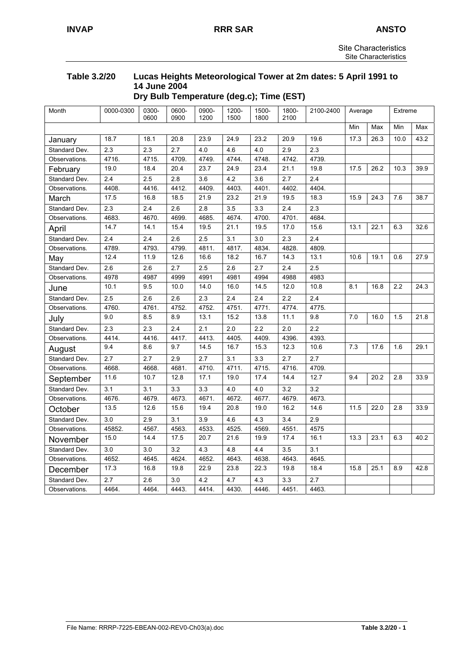## **Table 3.2/20 Lucas Heights Meteorological Tower at 2m dates: 5 April 1991 to 14 June 2004 Dry Bulb Temperature (deg.c); Time (EST)**

| Month         | 0000-0300        | 0300-<br>0600 | 0600-<br>0900 | 0900-<br>1200 | 1200-<br>1500 | 1500-<br>1800    | 1800-<br>2100 | 2100-2400        | Average |      | Extreme |      |
|---------------|------------------|---------------|---------------|---------------|---------------|------------------|---------------|------------------|---------|------|---------|------|
|               |                  |               |               |               |               |                  |               |                  | Min     | Max  | Min     | Max  |
| January       | 18.7             | 18.1          | 20.8          | 23.9          | 24.9          | 23.2             | 20.9          | 19.6             | 17.3    | 26.3 | 10.0    | 43.2 |
| Standard Dev. | 2.3              | 2.3           | 2.7           | 4.0           | 4.6           | 4.0              | 2.9           | 2.3              |         |      |         |      |
| Observations. | 4716.            | 4715          | 4709          | 4749.         | 4744          | 4748             | 4742.         | 4739.            |         |      |         |      |
| February      | 19.0             | 18.4          | 20.4          | 23.7          | 24.9          | 23.4             | 21.1          | 19.8             | 17.5    | 26.2 | 10.3    | 39.9 |
| Standard Dev. | 2.4              | 2.5           | 2.8           | 3.6           | 4.2           | 3.6              | 2.7           | $\overline{2.4}$ |         |      |         |      |
| Observations. | 4408.            | 4416.         | 4412.         | 4409.         | 4403.         | 4401.            | 4402.         | 4404.            |         |      |         |      |
| March         | 17.5             | 16.8          | 18.5          | 21.9          | 23.2          | 21.9             | 19.5          | 18.3             | 15.9    | 24.3 | 7.6     | 38.7 |
| Standard Dev. | 2.3              | 2.4           | 2.6           | 2.8           | 3.5           | 3.3              | 2.4           | 2.3              |         |      |         |      |
| Observations. | 4683.            | 4670.         | 4699.         | 4685.         | 4674.         | 4700.            | 4701.         | 4684.            |         |      |         |      |
| April         | 14.7             | 14.1          | 15.4          | 19.5          | 21.1          | 19.5             | 17.0          | 15.6             | 13.1    | 22.1 | 6.3     | 32.6 |
| Standard Dev. | 2.4              | 2.4           | 2.6           | 2.5           | 3.1           | $\overline{3.0}$ | 2.3           | 2.4              |         |      |         |      |
| Observations. | 4789.            | 4793          | 4799.         | 4811.         | 4817.         | 4834.            | 4828          | 4809.            |         |      |         |      |
| May           | 12.4             | 11.9          | 12.6          | 16.6          | 18.2          | 16.7             | 14.3          | 13.1             | 10.6    | 19.1 | 0.6     | 27.9 |
| Standard Dev. | 2.6              | 2.6           | 2.7           | 2.5           | 2.6           | 2.7              | 2.4           | 2.5              |         |      |         |      |
| Observations. | 4978             | 4987          | 4999          | 4991          | 4981          | 4994             | 4988          | 4983             |         |      |         |      |
| June          | 10.1             | 9.5           | 10.0          | 14.0          | 16.0          | 14.5             | 12.0          | 10.8             | 8.1     | 16.8 | 2.2     | 24.3 |
| Standard Dev. | 2.5              | 2.6           | 2.6           | 2.3           | 2.4           | 2.4              | 2.2           | 2.4              |         |      |         |      |
| Observations. | 4760.            | 4761.         | 4752.         | 4752.         | 4751.         | 4771.            | 4774.         | 4775.            |         |      |         |      |
| July          | 9.0              | 8.5           | 8.9           | 13.1          | 15.2          | 13.8             | 11.1          | 9.8              | 7.0     | 16.0 | 1.5     | 21.8 |
| Standard Dev. | 2.3              | 2.3           | 2.4           | 2.1           | 2.0           | 2.2              | 2.0           | 2.2              |         |      |         |      |
| Observations. | 4414.            | 4416.         | 4417.         | 4413.         | 4405.         | 4409.            | 4396.         | 4393.            |         |      |         |      |
| August        | 9.4              | 8.6           | 9.7           | 14.5          | 16.7          | 15.3             | 12.3          | 10.6             | 7.3     | 17.6 | 1.6     | 29.1 |
| Standard Dev. | 2.7              | 2.7           | 2.9           | 2.7           | 3.1           | 3.3              | 2.7           | 2.7              |         |      |         |      |
| Observations. | 4668.            | 4668          | 4681.         | 4710.         | 4711.         | 4715.            | 4716.         | 4709.            |         |      |         |      |
| September     | 11.6             | 10.7          | 12.8          | 17.1          | 19.0          | 17.4             | 14.4          | 12.7             | 9.4     | 20.2 | 2.8     | 33.9 |
| Standard Dev. | $\overline{3.1}$ | 3.1           | 3.3           | 3.3           | 4.0           | 4.0              | 3.2           | 3.2              |         |      |         |      |
| Observations. | 4676.            | 4679.         | 4673.         | 4671.         | 4672.         | 4677.            | 4679.         | 4673.            |         |      |         |      |
| October       | 13.5             | 12.6          | 15.6          | 19.4          | 20.8          | 19.0             | 16.2          | 14.6             | 11.5    | 22.0 | 2.8     | 33.9 |
| Standard Dev. | 3.0              | 2.9           | 3.1           | 3.9           | 4.6           | 4.3              | 3.4           | 2.9              |         |      |         |      |
| Observations. | 45852.           | 4567.         | 4563.         | 4533.         | 4525.         | 4569.            | 4551.         | 4575             |         |      |         |      |
| November      | 15.0             | 14.4          | 17.5          | 20.7          | 21.6          | 19.9             | 17.4          | 16.1             | 13.3    | 23.1 | 6.3     | 40.2 |
| Standard Dev. | 3.0              | 3.0           | 3.2           | 4.3           | 4.8           | 4.4              | 3.5           | 3.1              |         |      |         |      |
| Observations. | 4652.            | 4645.         | 4624.         | 4652.         | 4643.         | 4638.            | 4643.         | 4645.            |         |      |         |      |
| December      | 17.3             | 16.8          | 19.8          | 22.9          | 23.8          | 22.3             | 19.8          | 18.4             | 15.8    | 25.1 | 8.9     | 42.8 |
| Standard Dev. | 2.7              | 2.6           | 3.0           | 4.2           | 4.7           | 4.3              | 3.3           | 2.7              |         |      |         |      |
| Observations. | 4464.            | 4464.         | 4443.         | 4414.         | 4430.         | 4446.            | 4451.         | 4463.            |         |      |         |      |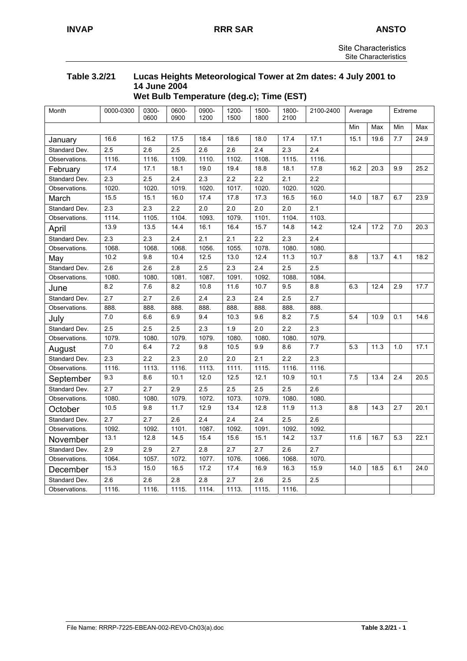## **Table 3.2/21 Lucas Heights Meteorological Tower at 2m dates: 4 July 2001 to 14 June 2004 Wet Bulb Temperature (deg.c); Time (EST)**

| Month         | 0000-0300        | 0300-<br>0600 | 0600-<br>0900 | 0900-<br>1200 | 1200-<br>1500 | 1500-<br>1800 | 1800-<br>2100 | 2100-2400 | Average |      | Extreme |      |
|---------------|------------------|---------------|---------------|---------------|---------------|---------------|---------------|-----------|---------|------|---------|------|
|               |                  |               |               |               |               |               |               |           | Min     | Max  | Min     | Max  |
| January       | 16.6             | 16.2          | 17.5          | 18.4          | 18.6          | 18.0          | 17.4          | 17.1      | 15.1    | 19.6 | 7.7     | 24.9 |
| Standard Dev. | 2.5              | 2.6           | 2.5           | 2.6           | 2.6           | 2.4           | 2.3           | 2.4       |         |      |         |      |
| Observations. | 1116.            | 1116.         | 1109.         | 1110.         | 1102.         | 1108.         | 1115.         | 1116.     |         |      |         |      |
| February      | 17.4             | 17.1          | 18.1          | 19.0          | 19.4          | 18.8          | 18.1          | 17.8      | 16.2    | 20.3 | 9.9     | 25.2 |
| Standard Dev. | 2.3              | 2.5           | 2.4           | 2.3           | 2.2           | 2.2           | 2.1           | 2.2       |         |      |         |      |
| Observations. | 1020.            | 1020.         | 1019.         | 1020.         | 1017.         | 1020.         | 1020.         | 1020.     |         |      |         |      |
| March         | 15.5             | 15.1          | 16.0          | 17.4          | 17.8          | 17.3          | 16.5          | 16.0      | 14.0    | 18.7 | 6.7     | 23.9 |
| Standard Dev. | 2.3              | 2.3           | 2.2           | 2.0           | 2.0           | 2.0           | 2.0           | 2.1       |         |      |         |      |
| Observations. | 1114.            | 1105.         | 1104.         | 1093.         | 1079.         | 1101.         | 1104.         | 1103.     |         |      |         |      |
| April         | 13.9             | 13.5          | 14.4          | 16.1          | 16.4          | 15.7          | 14.8          | 14.2      | 12.4    | 17.2 | 7.0     | 20.3 |
| Standard Dev. | 2.3              | 2.3           | 2.4           | 2.1           | 2.1           | 2.2           | 2.3           | 2.4       |         |      |         |      |
| Observations. | 1068.            | 1068.         | 1068.         | 1056.         | 1055.         | 1078.         | 1080.         | 1080.     |         |      |         |      |
| May           | 10.2             | 9.8           | 10.4          | 12.5          | 13.0          | 12.4          | 11.3          | 10.7      | 8.8     | 13.7 | 4.1     | 18.2 |
| Standard Dev. | 2.6              | 2.6           | 2.8           | 2.5           | 2.3           | 2.4           | 2.5           | 2.5       |         |      |         |      |
| Observations. | 1080.            | 1080.         | 1081.         | 1087.         | 1091.         | 1092.         | 1088.         | 1084.     |         |      |         |      |
| June          | 8.2              | 7.6           | 8.2           | 10.8          | 11.6          | 10.7          | 9.5           | 8.8       | 6.3     | 12.4 | 2.9     | 17.7 |
| Standard Dev. | 2.7              | 2.7           | 2.6           | 2.4           | 2.3           | 2.4           | 2.5           | 2.7       |         |      |         |      |
| Observations. | 888.             | 888.          | 888.          | 888.          | 888.          | 888.          | 888.          | 888.      |         |      |         |      |
| July          | 7.0              | 6.6           | 6.9           | 9.4           | 10.3          | 9.6           | 8.2           | 7.5       | 5.4     | 10.9 | 0.1     | 14.6 |
| Standard Dev. | 2.5              | 2.5           | 2.5           | 2.3           | 1.9           | 2.0           | 2.2           | 2.3       |         |      |         |      |
| Observations. | 1079.            | 1080.         | 1079.         | 1079.         | 1080.         | 1080.         | 1080.         | 1079.     |         |      |         |      |
| August        | 7.0              | 6.4           | 7.2           | 9.8           | 10.5          | 9.9           | 8.6           | 7.7       | 5.3     | 11.3 | 1.0     | 17.1 |
| Standard Dev. | 2.3              | 2.2           | 2.3           | 2.0           | 2.0           | 2.1           | 2.2           | 2.3       |         |      |         |      |
| Observations. | 1116.            | 1113.         | 1116.         | 1113.         | 1111.         | 1115.         | 1116.         | 1116.     |         |      |         |      |
| September     | 9.3              | 8.6           | 10.1          | 12.0          | 12.5          | 12.1          | 10.9          | 10.1      | 7.5     | 13.4 | 2.4     | 20.5 |
| Standard Dev. | $\overline{2.7}$ | 2.7           | 2.9           | 2.5           | 2.5           | 2.5           | 2.5           | 2.6       |         |      |         |      |
| Observations. | 1080.            | 1080.         | 1079.         | 1072.         | 1073.         | 1079.         | 1080.         | 1080.     |         |      |         |      |
| October       | 10.5             | 9.8           | 11.7          | 12.9          | 13.4          | 12.8          | 11.9          | 11.3      | 8.8     | 14.3 | 2.7     | 20.1 |
| Standard Dev. | 2.7              | 2.7           | 2.6           | 2.4           | 2.4           | 2.4           | 2.5           | 2.6       |         |      |         |      |
| Observations. | 1092.            | 1092.         | 1101.         | 1087.         | 1092.         | 1091.         | 1092.         | 1092.     |         |      |         |      |
| November      | 13.1             | 12.8          | 14.5          | 15.4          | 15.6          | 15.1          | 14.2          | 13.7      | 11.6    | 16.7 | 5.3     | 22.1 |
| Standard Dev. | 2.9              | 2.9           | 2.7           | 2.8           | 2.7           | 2.7           | 2.6           | 2.7       |         |      |         |      |
| Observations. | 1064.            | 1057.         | 1072.         | 1077.         | 1076.         | 1066.         | 1068.         | 1070.     |         |      |         |      |
| December      | 15.3             | 15.0          | 16.5          | 17.2          | 17.4          | 16.9          | 16.3          | 15.9      | 14.0    | 18.5 | 6.1     | 24.0 |
| Standard Dev. | 2.6              | 2.6           | 2.8           | 2.8           | 2.7           | 2.6           | 2.5           | 2.5       |         |      |         |      |
| Observations. | 1116.            | 1116.         | 1115.         | 1114.         | 1113.         | 1115.         | 1116.         |           |         |      |         |      |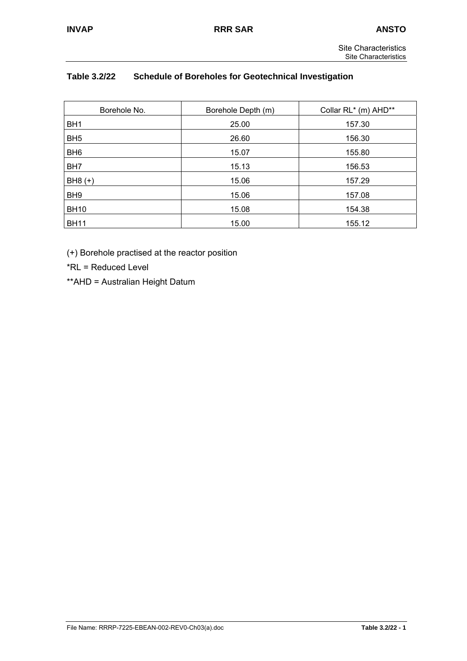# **Table 3.2/22 Schedule of Boreholes for Geotechnical Investigation**

| Borehole No.    | Borehole Depth (m) | Collar RL* (m) AHD** |  |  |
|-----------------|--------------------|----------------------|--|--|
| BH <sub>1</sub> | 25.00              | 157.30               |  |  |
| BH <sub>5</sub> | 26.60              | 156.30               |  |  |
| BH <sub>6</sub> | 15.07              | 155.80               |  |  |
| BH <sub>7</sub> | 15.13              | 156.53               |  |  |
| $BH8 (+)$       | 15.06              | 157.29               |  |  |
| BH <sub>9</sub> | 15.06              | 157.08               |  |  |
| <b>BH10</b>     | 15.08              | 154.38               |  |  |
| <b>BH11</b>     | 15.00              | 155.12               |  |  |

(+) Borehole practised at the reactor position

\*RL = Reduced Level

\*\*AHD = Australian Height Datum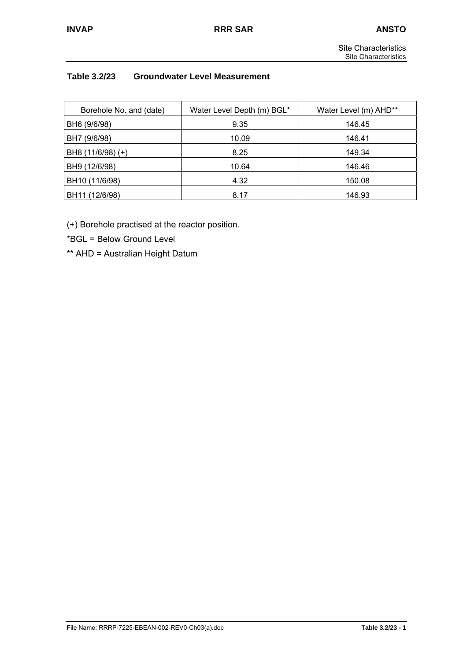# **Table 3.2/23 Groundwater Level Measurement**

| Borehole No. and (date) | Water Level Depth (m) BGL* | Water Level (m) AHD** |  |  |
|-------------------------|----------------------------|-----------------------|--|--|
| BH6 (9/6/98)            | 9.35                       | 146.45                |  |  |
| BH7 (9/6/98)            | 10.09                      | 146.41                |  |  |
| BH8 (11/6/98) (+)       | 8.25                       | 149.34                |  |  |
| BH9 (12/6/98)           | 10.64                      | 146.46                |  |  |
| BH10 (11/6/98)          | 4.32                       | 150.08                |  |  |
| BH11 (12/6/98)          | 8.17                       | 146.93                |  |  |

(+) Borehole practised at the reactor position.

\*BGL = Below Ground Level

\*\* AHD = Australian Height Datum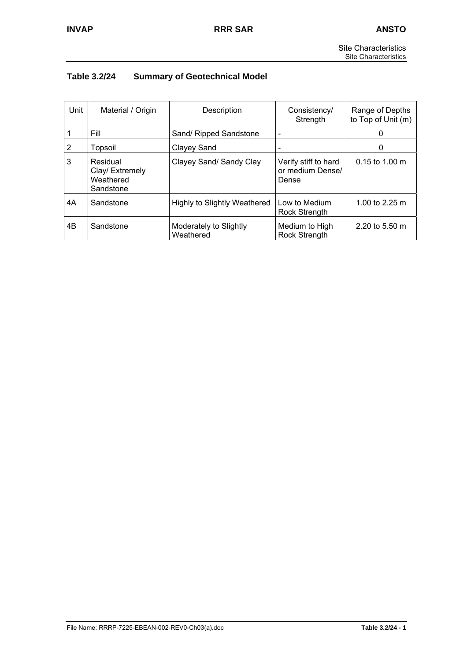# **Table 3.2/24 Summary of Geotechnical Model**

| Unit | Material / Origin                                     | Description                         | Consistency/<br>Strength                          | Range of Depths<br>to Top of Unit (m) |  |
|------|-------------------------------------------------------|-------------------------------------|---------------------------------------------------|---------------------------------------|--|
|      | Fill                                                  | Sand/ Ripped Sandstone              | $\overline{\phantom{a}}$                          | O                                     |  |
| 2    | Topsoil                                               | Clayey Sand                         |                                                   | 0                                     |  |
| 3    | Residual<br>Clay/ Extremely<br>Weathered<br>Sandstone | Clayey Sand/ Sandy Clay             | Verify stiff to hard<br>or medium Dense/<br>Dense | $0.15$ to 1.00 m                      |  |
| 4А   | Sandstone                                             | <b>Highly to Slightly Weathered</b> | Low to Medium<br><b>Rock Strength</b>             | 1.00 to 2.25 m                        |  |
| 4B   | Sandstone                                             | Moderately to Slightly<br>Weathered | Medium to High<br><b>Rock Strength</b>            | 2.20 to 5.50 m                        |  |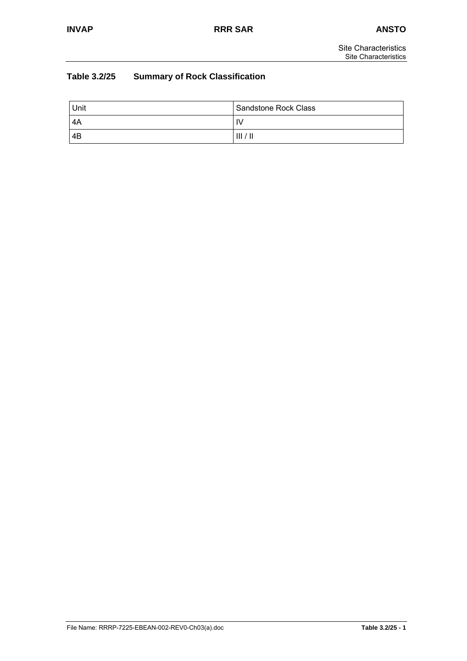# **Table 3.2/25 Summary of Rock Classification**

| Unit | Sandstone Rock Class |
|------|----------------------|
| -4A  | ۱V                   |
| 4B   | III/II               |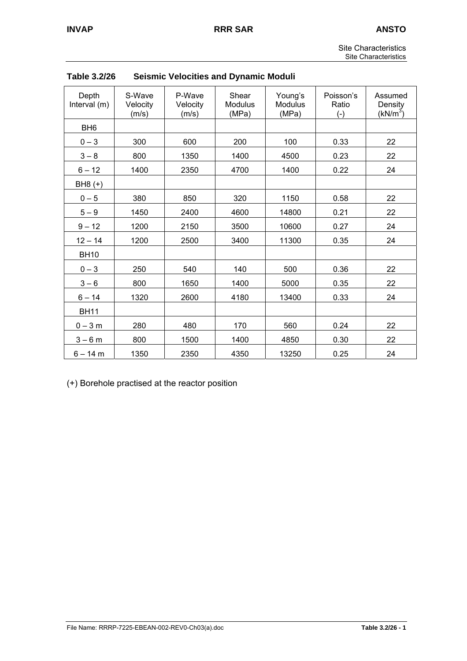| <b>Site Characteristics</b> |
|-----------------------------|
| <b>Site Characteristics</b> |

| Depth<br>Interval (m) | S-Wave<br>Velocity<br>(m/s) | P-Wave<br>Velocity<br>(m/s) | Shear<br>Modulus<br>(MPa) | Young's<br><b>Modulus</b><br>(MPa) | Poisson's<br>Ratio<br>$(-)$ | Assumed<br>Density<br>$(kN/m^3)$ |
|-----------------------|-----------------------------|-----------------------------|---------------------------|------------------------------------|-----------------------------|----------------------------------|
| BH <sub>6</sub>       |                             |                             |                           |                                    |                             |                                  |
| $0 - 3$               | 300                         | 600                         | 200                       | 100                                | 0.33                        | 22                               |
| $3 - 8$               | 800                         | 1350                        | 1400                      | 4500                               | 0.23                        | 22                               |
| $6 - 12$              | 1400                        | 2350                        | 4700                      | 1400                               | 0.22                        | 24                               |
| BH8 (+)               |                             |                             |                           |                                    |                             |                                  |
| $0 - 5$               | 380                         | 850                         | 320                       | 1150                               | 0.58                        | 22                               |
| $5 - 9$               | 1450                        | 2400                        | 4600                      | 14800                              | 0.21                        | 22                               |
| $9 - 12$              | 1200                        | 2150                        | 3500                      | 10600                              | 0.27                        | 24                               |
| $12 - 14$             | 1200                        | 2500                        | 3400                      | 11300                              | 0.35                        | 24                               |
| <b>BH10</b>           |                             |                             |                           |                                    |                             |                                  |
| $0 - 3$               | 250                         | 540                         | 140                       | 500                                | 0.36                        | 22                               |
| $3 - 6$               | 800                         | 1650                        | 1400                      | 5000                               | 0.35                        | 22                               |
| $6 - 14$              | 1320                        | 2600                        | 4180                      | 13400                              | 0.33                        | 24                               |
| <b>BH11</b>           |                             |                             |                           |                                    |                             |                                  |
| $0 - 3 m$             | 280                         | 480                         | 170                       | 560                                | 0.24                        | 22                               |
| $3 - 6 m$             | 800                         | 1500                        | 1400                      | 4850                               | 0.30                        | 22                               |
| $6 - 14 m$            | 1350                        | 2350                        | 4350                      | 13250                              | 0.25                        | 24                               |

| Table 3.2/26 |  |  | <b>Seismic Velocities and Dynamic Moduli</b> |
|--------------|--|--|----------------------------------------------|
|--------------|--|--|----------------------------------------------|

(+) Borehole practised at the reactor position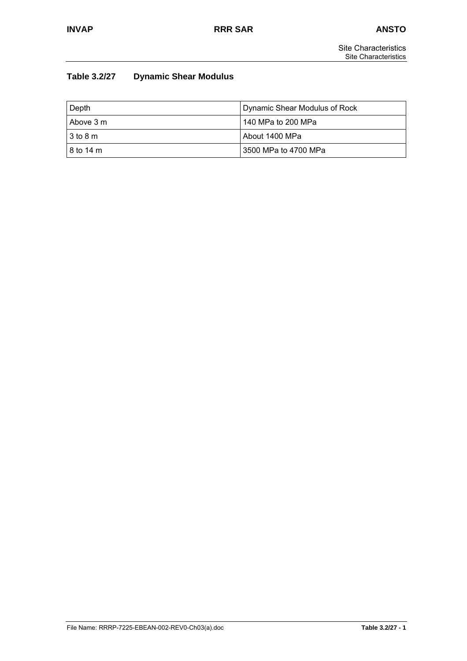## **Table 3.2/27 Dynamic Shear Modulus**

| Depth                        | Dynamic Shear Modulus of Rock |  |
|------------------------------|-------------------------------|--|
| I Above 3 m                  | 140 MPa to 200 MPa            |  |
| $13 \text{ to } 8 \text{ m}$ | About 1400 MPa                |  |
| 18 to 14 m                   | 3500 MPa to 4700 MPa          |  |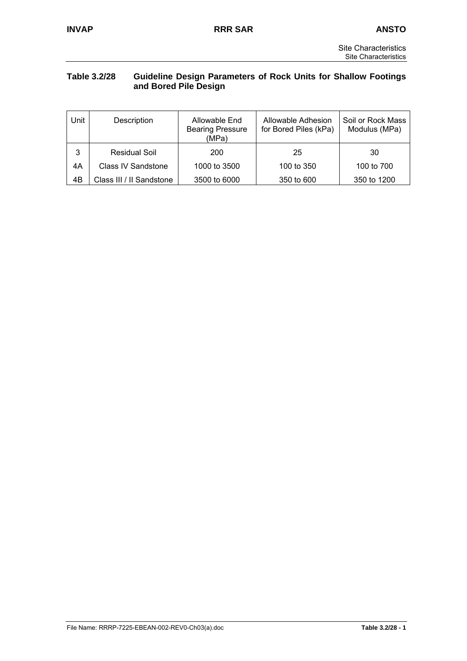## **Table 3.2/28 Guideline Design Parameters of Rock Units for Shallow Footings and Bored Pile Design**

| Unit | Description               | Allowable End<br><b>Bearing Pressure</b><br>(MPa) | Allowable Adhesion<br>for Bored Piles (kPa) | Soil or Rock Mass<br>Modulus (MPa) |
|------|---------------------------|---------------------------------------------------|---------------------------------------------|------------------------------------|
| 3    | Residual Soil             | 200                                               | 25                                          | 30                                 |
| 4A   | <b>Class IV Sandstone</b> | 1000 to 3500                                      | 100 to 350                                  | 100 to 700                         |
| 4B   | Class III / II Sandstone  | 3500 to 6000                                      | 350 to 600                                  | 350 to 1200                        |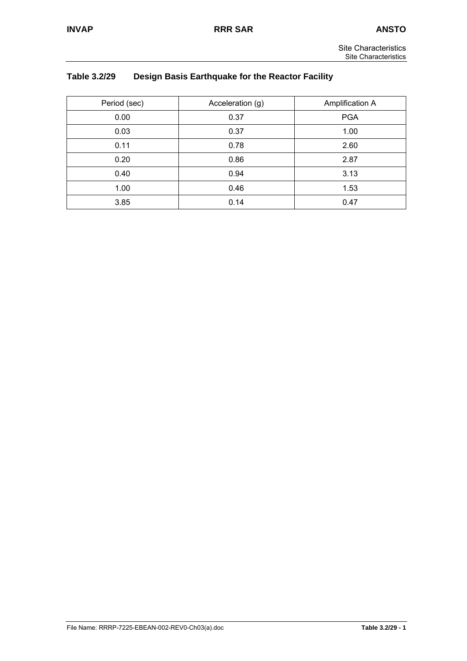## **Table 3.2/29 Design Basis Earthquake for the Reactor Facility**

| Period (sec) | Acceleration (g) | Amplification A |
|--------------|------------------|-----------------|
| 0.00         | 0.37             | <b>PGA</b>      |
| 0.03         | 0.37             | 1.00            |
| 0.11         | 0.78             | 2.60            |
| 0.20         | 0.86             | 2.87            |
| 0.40         | 0.94             | 3.13            |
| 1.00         | 0.46             | 1.53            |
| 3.85         | 0.14             | 0.47            |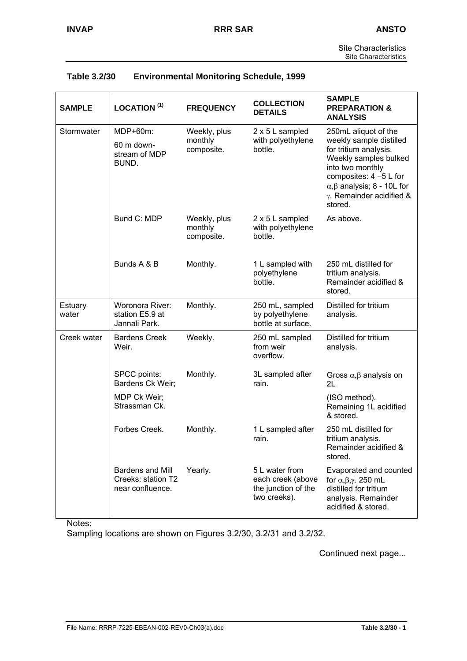| <b>SAMPLE</b>    | LOCATION <sup>(1)</sup>                                           | <b>FREQUENCY</b>                      | <b>COLLECTION</b><br><b>DETAILS</b>                                        | <b>SAMPLE</b><br><b>PREPARATION &amp;</b><br><b>ANALYSIS</b>                                                                                                                                                       |
|------------------|-------------------------------------------------------------------|---------------------------------------|----------------------------------------------------------------------------|--------------------------------------------------------------------------------------------------------------------------------------------------------------------------------------------------------------------|
| Stormwater       | MDP+60m:                                                          | Weekly, plus                          | 2 x 5 L sampled                                                            | 250mL aliquot of the                                                                                                                                                                                               |
|                  | 60 m down-<br>stream of MDP<br>BUND.                              | monthly<br>composite.                 | with polyethylene<br>bottle.                                               | weekly sample distilled<br>for tritium analysis.<br>Weekly samples bulked<br>into two monthly<br>composites: 4 -5 L for<br>$\alpha$ , $\beta$ analysis; 8 - 10L for<br>$\gamma$ . Remainder acidified &<br>stored. |
|                  | Bund C: MDP                                                       | Weekly, plus<br>monthly<br>composite. | 2 x 5 L sampled<br>with polyethylene<br>bottle.                            | As above.                                                                                                                                                                                                          |
|                  | Bunds A & B                                                       | Monthly.                              | 1 L sampled with<br>polyethylene<br>bottle.                                | 250 mL distilled for<br>tritium analysis.<br>Remainder acidified &<br>stored.                                                                                                                                      |
| Estuary<br>water | Woronora River:<br>station E5.9 at<br>Jannali Park.               | Monthly.                              | 250 mL, sampled<br>by polyethylene<br>bottle at surface.                   | Distilled for tritium<br>analysis.                                                                                                                                                                                 |
| Creek water      | <b>Bardens Creek</b><br>Weir.                                     | Weekly.                               | 250 mL sampled<br>from weir<br>overflow.                                   | Distilled for tritium<br>analysis.                                                                                                                                                                                 |
|                  | SPCC points:<br>Bardens Ck Weir;                                  | Monthly.                              | 3L sampled after<br>rain.                                                  | Gross $\alpha, \beta$ analysis on<br>2L                                                                                                                                                                            |
|                  | MDP Ck Weir;<br>Strassman Ck.                                     |                                       |                                                                            | (ISO method).<br>Remaining 1L acidified<br>& stored.                                                                                                                                                               |
|                  | Forbes Creek.                                                     | Monthly.                              | 1 L sampled after<br>rain.                                                 | 250 mL distilled for<br>tritium analysis.<br>Remainder acidified &<br>stored.                                                                                                                                      |
|                  | <b>Bardens and Mill</b><br>Creeks: station T2<br>near confluence. | Yearly.                               | 5 L water from<br>each creek (above<br>the junction of the<br>two creeks). | Evaporated and counted<br>for $\alpha, \beta, \gamma$ . 250 mL<br>distilled for tritium<br>analysis. Remainder<br>acidified & stored.                                                                              |

| Table 3.2/30 | <b>Environmental Monitoring Schedule, 1999</b> |
|--------------|------------------------------------------------|
|--------------|------------------------------------------------|

Notes:

Sampling locations are shown on Figures 3.2/30, 3.2/31 and 3.2/32.

Continued next page...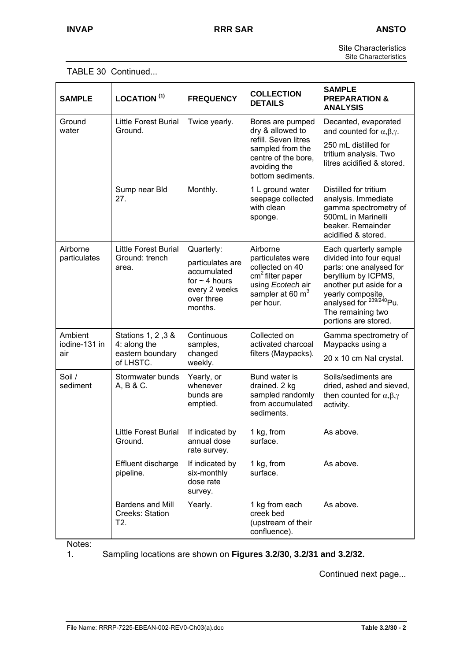Site Characteristics Site Characteristics

| <b>SAMPLE</b>                   | LOCATION <sup>(1)</sup>                                             | <b>FREQUENCY</b>                                                                                              | <b>COLLECTION</b><br><b>DETAILS</b>                                                                                                                | <b>SAMPLE</b><br><b>PREPARATION &amp;</b><br><b>ANALYSIS</b>                                                                                                                                                                           |
|---------------------------------|---------------------------------------------------------------------|---------------------------------------------------------------------------------------------------------------|----------------------------------------------------------------------------------------------------------------------------------------------------|----------------------------------------------------------------------------------------------------------------------------------------------------------------------------------------------------------------------------------------|
| Ground<br>water                 | <b>Little Forest Burial</b><br>Ground.                              | Twice yearly.                                                                                                 | Bores are pumped<br>dry & allowed to<br>refill. Seven litres<br>sampled from the<br>centre of the bore,<br>avoiding the<br>bottom sediments.       | Decanted, evaporated<br>and counted for $\alpha, \beta, \gamma$ .<br>250 mL distilled for<br>tritium analysis. Two<br>litres acidified & stored.                                                                                       |
|                                 | Sump near Bld<br>27.                                                | Monthly.                                                                                                      | 1 L ground water<br>seepage collected<br>with clean<br>sponge.                                                                                     | Distilled for tritium<br>analysis. Immediate<br>gamma spectrometry of<br>500mL in Marinelli<br>beaker. Remainder<br>acidified & stored.                                                                                                |
| Airborne<br>particulates        | <b>Little Forest Burial</b><br>Ground: trench<br>area.              | Quarterly:<br>particulates are<br>accumulated<br>for $\sim$ 4 hours<br>every 2 weeks<br>over three<br>months. | Airborne<br>particulates were<br>collected on 40<br>cm <sup>2</sup> filter paper<br>using Ecotech air<br>sampler at 60 m <sup>3</sup><br>per hour. | Each quarterly sample<br>divided into four equal<br>parts: one analysed for<br>beryllium by ICPMS,<br>another put aside for a<br>yearly composite,<br>analysed for <sup>239/240</sup> Pu.<br>The remaining two<br>portions are stored. |
| Ambient<br>iodine-131 in<br>air | Stations 1, 2, 3 &<br>4: along the<br>eastern boundary<br>of LHSTC. | Continuous<br>samples,<br>changed<br>weekly.                                                                  | Collected on<br>activated charcoal<br>filters (Maypacks).                                                                                          | Gamma spectrometry of<br>Maypacks using a<br>20 x 10 cm Nal crystal.                                                                                                                                                                   |
| Soil /<br>sediment              | Stormwater bunds<br>A, B & C.                                       | Yearly, or<br>whenever<br>bunds are<br>emptied.                                                               | Bund water is<br>drained. 2 kg<br>sampled randomly<br>from accumulated<br>sediments.                                                               | Soils/sediments are<br>dried, ashed and sieved,<br>then counted for $\alpha, \beta, \gamma$<br>activity.                                                                                                                               |
|                                 | Little Forest Burial<br>Ground.                                     | If indicated by<br>annual dose<br>rate survey.                                                                | 1 kg, from<br>surface.                                                                                                                             | As above.                                                                                                                                                                                                                              |
|                                 | Effluent discharge<br>pipeline.                                     | If indicated by<br>six-monthly<br>dose rate<br>survey.                                                        | 1 kg, from<br>surface.                                                                                                                             | As above.                                                                                                                                                                                                                              |
|                                 | <b>Bardens and Mill</b><br>Creeks: Station<br>T2.                   | Yearly.                                                                                                       | 1 kg from each<br>creek bed<br>(upstream of their<br>confluence).                                                                                  | As above.                                                                                                                                                                                                                              |

Notes:<br>1.

1. Sampling locations are shown on **Figures 3.2/30, 3.2/31 and 3.2/32.**

Continued next page...